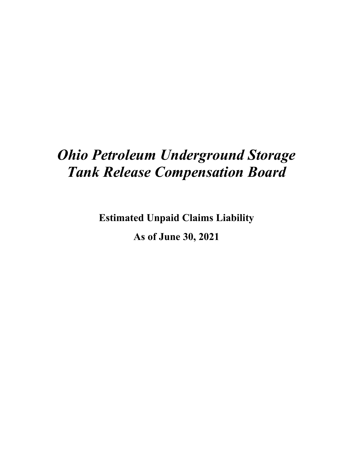# *Ohio Petroleum Underground Storage Tank Release Compensation Board*

**Estimated Unpaid Claims Liability**

**As of June 30, 2021**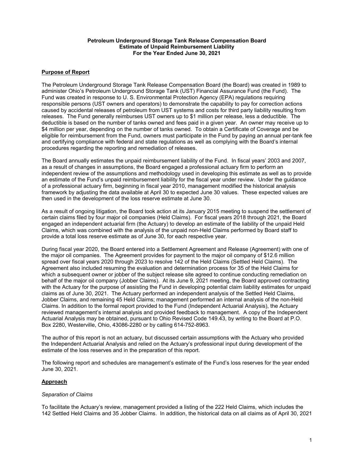#### **Petroleum Underground Storage Tank Release Compensation Board Estimate of Unpaid Reimbursement Liability For the Year Ended June 30, 2021**

## **Purpose of Report**

The Petroleum Underground Storage Tank Release Compensation Board (the Board) was created in 1989 to administer Ohio's Petroleum Underground Storage Tank (UST) Financial Assurance Fund (the Fund). The Fund was created in response to U. S. Environmental Protection Agency (EPA) regulations requiring responsible persons (UST owners and operators) to demonstrate the capability to pay for correction actions caused by accidental releases of petroleum from UST systems and costs for third party liability resulting from releases. The Fund generally reimburses UST owners up to \$1 million per release, less a deductible. The deductible is based on the number of tanks owned and fees paid in a given year. An owner may receive up to \$4 million per year, depending on the number of tanks owned. To obtain a Certificate of Coverage and be eligible for reimbursement from the Fund, owners must participate in the Fund by paying an annual per-tank fee and certifying compliance with federal and state regulations as well as complying with the Board's internal procedures regarding the reporting and remediation of releases.

The Board annually estimates the unpaid reimbursement liability of the Fund. In fiscal years' 2003 and 2007, as a result of changes in assumptions, the Board engaged a professional actuary firm to perform an independent review of the assumptions and methodology used in developing this estimate as well as to provide an estimate of the Fund's unpaid reimbursement liability for the fiscal year under review. Under the guidance of a professional actuary firm, beginning in fiscal year 2010, management modified the historical analysis framework by adjusting the data available at April 30 to expected June 30 values. These expected values are then used in the development of the loss reserve estimate at June 30.

As a result of ongoing litigation, the Board took action at its January 2015 meeting to suspend the settlement of certain claims filed by four major oil companies (Held Claims). For fiscal years 2018 through 2021, the Board engaged an independent actuarial firm (the Actuary) to develop an estimate of the liability of the unpaid Held Claims, which was combined with the analysis of the unpaid non-Held Claims performed by Board staff to provide a total loss reserve estimate as of June 30, for each respective year.

During fiscal year 2020, the Board entered into a Settlement Agreement and Release (Agreement) with one of the major oil companies. The Agreement provides for payment to the major oil company of \$12.6 million spread over fiscal years 2020 through 2023 to resolve 142 of the Held Claims (Settled Held Claims). The Agreement also included resuming the evaluation and determination process for 35 of the Held Claims for which a subsequent owner or jobber of the subject release site agreed to continue conducting remediation on behalf of the major oil company (Jobber Claims). At its June 9, 2021 meeting, the Board approved contracting with the Actuary for the purpose of assisting the Fund in developing potential claim liability estimates for unpaid claims as of June 30, 2021. The Actuary performed an independent analysis of the Settled Held Claims, Jobber Claims, and remaining 45 Held Claims; management performed an internal analysis of the non-Held Claims. In addition to the formal report provided to the Fund (Independent Actuarial Analysis), the Actuary reviewed management's internal analysis and provided feedback to management. A copy of the Independent Actuarial Analysis may be obtained, pursuant to Ohio Revised Code 149.43, by writing to the Board at P.O. Box 2280, Westerville, Ohio, 43086-2280 or by calling 614-752-8963.

The author of this report is not an actuary, but discussed certain assumptions with the Actuary who provided the Independent Actuarial Analysis and relied on the Actuary's professional input during development of the estimate of the loss reserves and in the preparation of this report.

The following report and schedules are management's estimate of the Fund's loss reserves for the year ended June 30, 2021.

## **Approach**

#### *Separation of Claims*

To facilitate the Actuary's review, management provided a listing of the 222 Held Claims, which includes the 142 Settled Held Claims and 35 Jobber Claims. In addition, the historical data on all claims as of April 30, 2021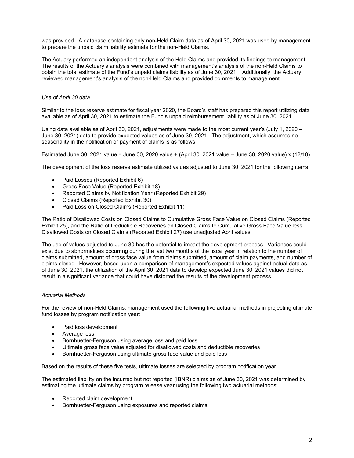was provided. A database containing only non-Held Claim data as of April 30, 2021 was used by management to prepare the unpaid claim liability estimate for the non-Held Claims.

The Actuary performed an independent analysis of the Held Claims and provided its findings to management. The results of the Actuary's analysis were combined with management's analysis of the non-Held Claims to obtain the total estimate of the Fund's unpaid claims liability as of June 30, 2021. Additionally, the Actuary reviewed management's analysis of the non-Held Claims and provided comments to management.

## *Use of April 30 data*

Similar to the loss reserve estimate for fiscal year 2020, the Board's staff has prepared this report utilizing data available as of April 30, 2021 to estimate the Fund's unpaid reimbursement liability as of June 30, 2021.

Using data available as of April 30, 2021, adjustments were made to the most current year's (July 1, 2020 – June 30, 2021) data to provide expected values as of June 30, 2021. The adjustment, which assumes no seasonality in the notification or payment of claims is as follows:

Estimated June 30, 2021 value = June 30, 2020 value + (April 30, 2021 value – June 30, 2020 value) x (12/10)

The development of the loss reserve estimate utilized values adjusted to June 30, 2021 for the following items:

- Paid Losses (Reported Exhibit 6)
- Gross Face Value (Reported Exhibit 18)
- Reported Claims by Notification Year (Reported Exhibit 29)
- Closed Claims (Reported Exhibit 30)
- Paid Loss on Closed Claims (Reported Exhibit 11)

The Ratio of Disallowed Costs on Closed Claims to Cumulative Gross Face Value on Closed Claims (Reported Exhibit 25), and the Ratio of Deductible Recoveries on Closed Claims to Cumulative Gross Face Value less Disallowed Costs on Closed Claims (Reported Exhibit 27) use unadjusted April values.

The use of values adjusted to June 30 has the potential to impact the development process. Variances could exist due to abnormalities occurring during the last two months of the fiscal year in relation to the number of claims submitted, amount of gross face value from claims submitted, amount of claim payments, and number of claims closed. However, based upon a comparison of management's expected values against actual data as of June 30, 2021, the utilization of the April 30, 2021 data to develop expected June 30, 2021 values did not result in a significant variance that could have distorted the results of the development process.

## *Actuarial Methods*

For the review of non-Held Claims, management used the following five actuarial methods in projecting ultimate fund losses by program notification year:

- Paid loss development
- Average loss
- Bornhuetter-Ferguson using average loss and paid loss
- Ultimate gross face value adjusted for disallowed costs and deductible recoveries
- Bornhuetter-Ferguson using ultimate gross face value and paid loss

Based on the results of these five tests, ultimate losses are selected by program notification year.

The estimated liability on the incurred but not reported (IBNR) claims as of June 30, 2021 was determined by estimating the ultimate claims by program release year using the following two actuarial methods:

- Reported claim development
- Bornhuetter-Ferguson using exposures and reported claims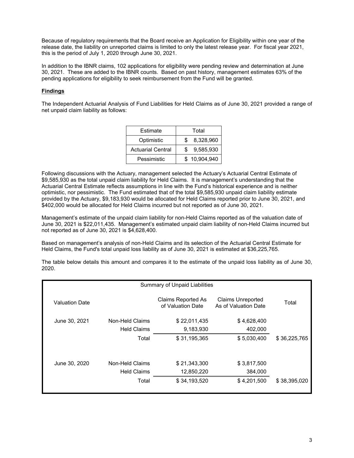Because of regulatory requirements that the Board receive an Application for Eligibility within one year of the release date, the liability on unreported claims is limited to only the latest release year. For fiscal year 2021, this is the period of July 1, 2020 through June 30, 2021.

In addition to the IBNR claims, 102 applications for eligibility were pending review and determination at June 30, 2021. These are added to the IBNR counts. Based on past history, management estimates 63% of the pending applications for eligibility to seek reimbursement from the Fund will be granted.

## **Findings**

The Independent Actuarial Analysis of Fund Liabilities for Held Claims as of June 30, 2021 provided a range of net unpaid claim liability as follows:

| Estimate                 | Total           |
|--------------------------|-----------------|
| Optimistic               | 8,328,960       |
| <b>Actuarial Central</b> | 9,585,930<br>\$ |
| Pessimistic              | \$10,904,940    |

Following discussions with the Actuary, management selected the Actuary's Actuarial Central Estimate of \$9,585,930 as the total unpaid claim liability for Held Claims. It is management's understanding that the Actuarial Central Estimate reflects assumptions in line with the Fund's historical experience and is neither optimistic, nor pessimistic. The Fund estimated that of the total \$9,585,930 unpaid claim liability estimate provided by the Actuary, \$9,183,930 would be allocated for Held Claims reported prior to June 30, 2021, and \$402,000 would be allocated for Held Claims incurred but not reported as of June 30, 2021.

Management's estimate of the unpaid claim liability for non-Held Claims reported as of the valuation date of June 30, 2021 is \$22,011,435. Management's estimated unpaid claim liability of non-Held Claims incurred but not reported as of June 30, 2021 is \$4,628,400.

Based on management's analysis of non-Held Claims and its selection of the Actuarial Central Estimate for Held Claims, the Fund's total unpaid loss liability as of June 30, 2021 is estimated at \$36,225,765.

The table below details this amount and compares it to the estimate of the unpaid loss liability as of June 30, 2020.

|                | Summary of Unpaid Liabilities         |                                         |                                                  |              |  |  |  |  |
|----------------|---------------------------------------|-----------------------------------------|--------------------------------------------------|--------------|--|--|--|--|
| Valuation Date |                                       | Claims Reported As<br>of Valuation Date | <b>Claims Unreported</b><br>As of Valuation Date | Total        |  |  |  |  |
| June 30, 2021  | Non-Held Claims<br><b>Held Claims</b> | \$22,011,435<br>9,183,930               | \$4,628,400<br>402,000                           |              |  |  |  |  |
|                | Total                                 | \$31,195,365                            | \$5,030,400                                      | \$36,225,765 |  |  |  |  |
| June 30, 2020  | Non-Held Claims<br><b>Held Claims</b> | \$21,343,300<br>12,850,220              | \$3,817,500<br>384,000                           |              |  |  |  |  |
|                | Total                                 | \$34,193,520                            | \$4,201,500                                      | \$38,395,020 |  |  |  |  |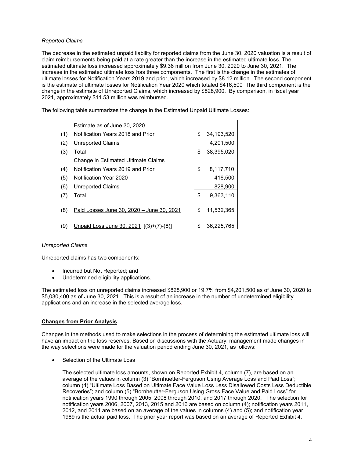## *Reported Claims*

The decrease in the estimated unpaid liability for reported claims from the June 30, 2020 valuation is a result of claim reimbursements being paid at a rate greater than the increase in the estimated ultimate loss. The estimated ultimate loss increased approximately \$9.36 million from June 30, 2020 to June 30, 2021. The increase in the estimated ultimate loss has three components. The first is the change in the estimates of ultimate losses for Notification Years 2019 and prior, which increased by \$8.12 million. The second component is the estimate of ultimate losses for Notification Year 2020 which totaled \$416,500 The third component is the change in the estimate of Unreported Claims, which increased by \$828,900. By comparison, in fiscal year 2021, approximately \$11.53 million was reimbursed.

The following table summarizes the change in the Estimated Unpaid Ultimate Losses:

|     | Estimate as of June 30, 2020              |    |            |
|-----|-------------------------------------------|----|------------|
| (1) | Notification Years 2018 and Prior         | \$ | 34,193,520 |
| (2) | <b>Unreported Claims</b>                  |    | 4,201,500  |
| (3) | Total                                     | \$ | 38,395,020 |
|     | Change in Estimated Ultimate Claims       |    |            |
| (4) | Notification Years 2019 and Prior         | \$ | 8,117,710  |
| (5) | Notification Year 2020                    |    | 416,500    |
| (6) | <b>Unreported Claims</b>                  |    | 828,900    |
| (7) | Total                                     | \$ | 9,363,110  |
|     |                                           |    |            |
| (8) | Paid Losses June 30, 2020 - June 30, 2021 | \$ | 11,532,365 |
| '9) | Unpaid Loss June 30, 2021 [(3)+(7)-(8)]   | S  | 36.225.765 |

## *Unreported Claims*

Unreported claims has two components:

- Incurred but Not Reported; and
- Undetermined eligibility applications.

The estimated loss on unreported claims increased \$828,900 or 19.7% from \$4,201,500 as of June 30, 2020 to \$5,030,400 as of June 30, 2021. This is a result of an increase in the number of undetermined eligibility applications and an increase in the selected average loss.

## **Changes from Prior Analysis**

Changes in the methods used to make selections in the process of determining the estimated ultimate loss will have an impact on the loss reserves. Based on discussions with the Actuary, management made changes in the way selections were made for the valuation period ending June 30, 2021, as follows:

Selection of the Ultimate Loss

The selected ultimate loss amounts, shown on Reported Exhibit 4, column (7), are based on an average of the values in column (3) "Bornhuetter-Ferguson Using Average Loss and Paid Loss"; column (4) "Ultimate Loss Based on Ultimate Face Value Loss Less Disallowed Costs Less Deductible Recoveries"; and column (5) "Bornheutter-Ferguson Using Gross Face Value and Paid Loss" for notification years 1990 through 2005, 2008 through 2010, and 2017 through 2020. The selection for notification years 2006, 2007, 2013, 2015 and 2016 are based on column (4); notification years 2011, 2012, and 2014 are based on an average of the values in columns (4) and (5); and notification year 1989 is the actual paid loss. The prior year report was based on an average of Reported Exhibit 4,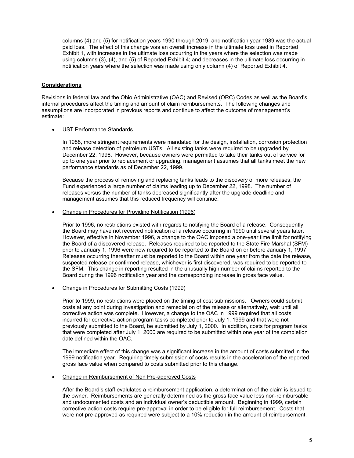columns (4) and (5) for notification years 1990 through 2019, and notification year 1989 was the actual paid loss. The effect of this change was an overall increase in the ultimate loss used in Reported Exhibit 1, with increases in the ultimate loss occurring in the years where the selection was made using columns (3), (4), and (5) of Reported Exhibit 4; and decreases in the ultimate loss occurring in notification years where the selection was made using only column (4) of Reported Exhibit 4.

## **Considerations**

Revisions in federal law and the Ohio Administrative (OAC) and Revised (ORC) Codes as well as the Board's internal procedures affect the timing and amount of claim reimbursements. The following changes and assumptions are incorporated in previous reports and continue to affect the outcome of management's estimate:

## UST Performance Standards

In 1988, more stringent requirements were mandated for the design, installation, corrosion protection and release detection of petroleum USTs. All existing tanks were required to be upgraded by December 22, 1998. However, because owners were permitted to take their tanks out of service for up to one year prior to replacement or upgrading, management assumes that all tanks meet the new performance standards as of December 22, 1999.

Because the process of removing and replacing tanks leads to the discovery of more releases, the Fund experienced a large number of claims leading up to December 22, 1998. The number of releases versus the number of tanks decreased significantly after the upgrade deadline and management assumes that this reduced frequency will continue.

Change in Procedures for Providing Notification (1996)

Prior to 1996, no restrictions existed with regards to notifying the Board of a release. Consequently, the Board may have not received notification of a release occurring in 1990 until several years later. However, effective in November 1996, a change to the OAC imposed a one-year time limit for notifying the Board of a discovered release. Releases required to be reported to the State Fire Marshal (SFM) prior to January 1, 1996 were now required to be reported to the Board on or before January 1, 1997. Releases occurring thereafter must be reported to the Board within one year from the date the release, suspected release or confirmed release, whichever is first discovered, was required to be reported to the SFM. This change in reporting resulted in the unusually high number of claims reported to the Board during the 1996 notification year and the corresponding increase in gross face value.

Change in Procedures for Submitting Costs (1999)

Prior to 1999, no restrictions were placed on the timing of cost submissions. Owners could submit costs at any point during investigation and remediation of the release or alternatively, wait until all corrective action was complete. However, a change to the OAC in 1999 required that all costs incurred for corrective action program tasks completed prior to July 1, 1999 and that were not previously submitted to the Board, be submitted by July 1, 2000. In addition, costs for program tasks that were completed after July 1, 2000 are required to be submitted within one year of the completion date defined within the OAC.

The immediate effect of this change was a significant increase in the amount of costs submitted in the 1999 notification year. Requiring timely submission of costs results in the acceleration of the reported gross face value when compared to costs submitted prior to this change.

#### Change in Reimbursement of Non Pre-approved Costs

After the Board's staff evalulates a reimbursement application, a determination of the claim is issued to the owner. Reimbursements are generally determined as the gross face value less non-reimbursable and undocumented costs and an individual owner's deductible amount. Beginning in 1999, certain corrective action costs require pre-approval in order to be eligible for full reimbursement. Costs that were not pre-approved as required were subject to a 10% reduction in the amount of reimbursement.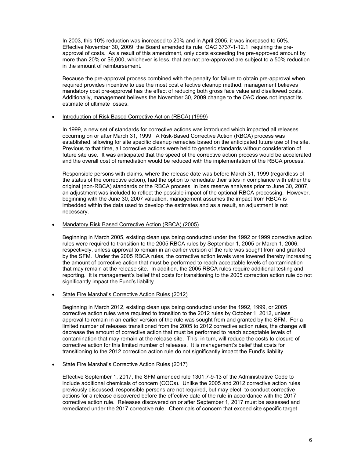In 2003, this 10% reduction was increased to 20% and in April 2005, it was increased to 50%. Effective November 30, 2009, the Board amended its rule, OAC 3737-1-12.1, requiring the preapproval of costs. As a result of this amendment, only costs exceeding the pre-approved amount by more than 20% or \$6,000, whichever is less, that are not pre-approved are subject to a 50% reduction in the amount of reimbursement.

Because the pre-approval process combined with the penalty for failure to obtain pre-approval when required provides incentive to use the most cost effective cleanup method, management believes mandatory cost pre-approval has the effect of reducing both gross face value and disallowed costs. Additionally, management believes the November 30, 2009 change to the OAC does not impact its estimate of ultimate losses.

#### Introduction of Risk Based Corrective Action (RBCA) (1999)

In 1999, a new set of standards for corrective actions was introduced which impacted all releases occurring on or after March 31, 1999. A Risk-Based Corrective Action (RBCA) process was established, allowing for site specific cleanup remedies based on the anticipated future use of the site. Previous to that time, all corrective actions were held to generic standards without consideration of future site use. It was anticipated that the speed of the corrective action process would be accelerated and the overall cost of remediation would be reduced with the implementation of the RBCA process.

Responsible persons with claims, where the release date was before March 31, 1999 (regardless of the status of the corrective action), had the option to remediate their sites in compliance with either the original (non-RBCA) standards or the RBCA process. In loss reserve analyses prior to June 30, 2007, an adjustment was included to reflect the possible impact of the optional RBCA processing. However, beginning with the June 30, 2007 valuation, management assumes the impact from RBCA is imbedded within the data used to develop the estimates and as a result, an adjustment is not necessary.

## Mandatory Risk Based Corrective Action (RBCA) (2005)

Beginning in March 2005, existing clean ups being conducted under the 1992 or 1999 corrective action rules were required to transition to the 2005 RBCA rules by September 1, 2005 or March 1, 2006, respectively, unless approval to remain in an earlier version of the rule was sought from and granted by the SFM. Under the 2005 RBCA rules, the corrective action levels were lowered thereby increasing the amount of corrective action that must be performed to reach acceptable levels of contamination that may remain at the release site. In addition, the 2005 RBCA rules require additional testing and reporting. It is management's belief that costs for transitioning to the 2005 correction action rule do not significantly impact the Fund's liability.

## State Fire Marshal's Corrective Action Rules (2012)

Beginning in March 2012, existing clean ups being conducted under the 1992, 1999, or 2005 corrective action rules were required to transition to the 2012 rules by October 1, 2012, unless approval to remain in an earlier version of the rule was sought from and granted by the SFM. For a limited number of releases transitioned from the 2005 to 2012 corrective action rules, the change will decrease the amount of corrective action that must be performed to reach acceptable levels of contamination that may remain at the release site. This, in turn, will reduce the costs to closure of corrective action for this limited number of releases. It is management's belief that costs for transitioning to the 2012 correction action rule do not significantly impact the Fund's liability.

## • State Fire Marshal's Corrective Action Rules (2017)

Effective September 1, 2017, the SFM amended rule 1301:7-9-13 of the Administrative Code to include additional chemicals of concern (COCs). Unlike the 2005 and 2012 corrective action rules previously discussed, responsible persons are not required, but may elect, to conduct corrective actions for a release discovered before the effective date of the rule in accordance with the 2017 corrective action rule. Releases discovered on or after September 1, 2017 must be assessed and remediated under the 2017 corrective rule. Chemicals of concern that exceed site specific target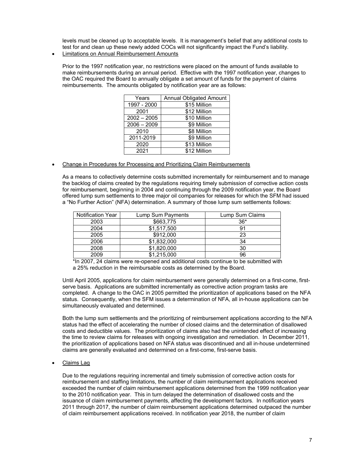levels must be cleaned up to acceptable levels. It is management's belief that any additional costs to test for and clean up these newly added COCs will not significantly impact the Fund's liability.

Limitations on Annual Reimbursement Amounts

Prior to the 1997 notification year, no restrictions were placed on the amount of funds available to make reimbursements during an annual period. Effective with the 1997 notification year, changes to the OAC required the Board to annually obligate a set amount of funds for the payment of claims reimbursements. The amounts obligated by notification year are as follows:

| Years         | <b>Annual Obligated Amount</b> |
|---------------|--------------------------------|
| 1997 - 2000   | \$15 Million                   |
| 2001          | \$12 Million                   |
| $2002 - 2005$ | \$10 Million                   |
| $2006 - 2009$ | \$9 Million                    |
| 2010          | \$8 Million                    |
| 2011-2019     | \$9 Million                    |
| 2020          | \$13 Million                   |
| 2021          | \$12 Million                   |

Change in Procedures for Processing and Prioritizing Claim Reimbursements

As a means to collectively determine costs submitted incrementally for reimbursement and to manage the backlog of claims created by the regulations requiring timely submission of corrective action costs for reimbursement, beginning in 2004 and continuing through the 2009 notification year, the Board offered lump sum settlements to three major oil companies for releases for which the SFM had issued a "No Further Action" (NFA) determination. A summary of those lump sum settlements follows:

| <b>Notification Year</b> | Lump Sum Payments | Lump Sum Claims |
|--------------------------|-------------------|-----------------|
| 2003                     | \$663,775         | $36*$           |
| 2004                     | \$1,517,500       | g,              |
| 2005                     | \$912,000         | 23              |
| 2006                     | \$1,832,000       | 34              |
| 2008                     | \$1,820,000       | 30              |
| 2009                     | \$1,215,000       | 96              |

\*In 2007, 24 claims were re-opened and additional costs continue to be submitted with a 25% reduction in the reimbursable costs as determined by the Board.

Until April 2005, applications for claim reimbursement were generally determined on a first-come, firstserve basis. Applications are submitted incrementally as corrective action program tasks are completed. A change to the OAC in 2005 permitted the prioritization of applications based on the NFA status. Consequently, when the SFM issues a determination of NFA, all in-house applications can be simultaneously evaluated and determined.

Both the lump sum settlements and the prioritizing of reimbursement applications according to the NFA status had the effect of accelerating the number of closed claims and the determination of disallowed costs and deductible values. The prioritization of claims also had the unintended effect of increasing the time to review claims for releases with ongoing investigation and remediation. In December 2011, the prioritization of applications based on NFA status was discontinued and all in-house undetermined claims are generally evaluated and determined on a first-come, first-serve basis.

• Claims Lag

Due to the regulations requiring incremental and timely submission of corrective action costs for reimbursement and staffing limitations, the number of claim reimbursement applications received exceeded the number of claim reimbursement applications determined from the 1999 notification year to the 2010 notification year. This in turn delayed the determination of disallowed costs and the issuance of claim reimbursement payments, affecting the development factors. In notification years 2011 through 2017, the number of claim reimbursement applications determined outpaced the number of claim reimbursement applications received. In notification year 2018, the number of claim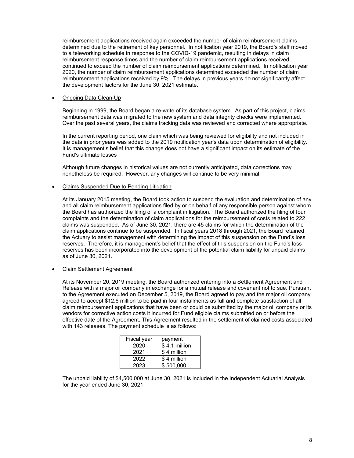reimbursement applications received again exceeded the number of claim reimbursement claims determined due to the retirement of key personnel. In notification year 2019, the Board's staff moved to a teleworking schedule in response to the COVID-19 pandemic, resulting in delays in claim reimbursement response times and the number of claim reimbursement applications received continued to exceed the number of claim reimbursement applications determined. In notification year 2020, the number of claim reimbursement applications determined exceeded the number of claim reimbursement applications received by 9%. The delays in previous years do not significantly affect the development factors for the June 30, 2021 estimate.

### Ongoing Data Clean-Up

Beginning in 1999, the Board began a re-write of its database system. As part of this project, claims reimbursement data was migrated to the new system and data integrity checks were implemented. Over the past several years, the claims tracking data was reviewed and corrected where appropriate.

In the current reporting period, one claim which was being reviewed for eligibility and not included in the data in prior years was added to the 2019 notification year's data upon determination of eligibility. It is management's belief that this change does not have a significant impact on its estimate of the Fund's ultimate losses

Although future changes in historical values are not currently anticipated, data corrections may nonetheless be required. However, any changes will continue to be very minimal.

## Claims Suspended Due to Pending Litigation

At its January 2015 meeting, the Board took action to suspend the evaluation and determination of any and all claim reimbursement applications filed by or on behalf of any responsible person against whom the Board has authorized the filing of a complaint in litigation. The Board authorized the filing of four complaints and the determination of claim applications for the reimbursement of costs related to 222 claims was suspended. As of June 30, 2021, there are 45 claims for which the determination of the claim applications continue to be suspended. In fiscal years 2018 through 2021, the Board retained the Actuary to assist management with determining the impact of this suspension on the Fund's loss reserves. Therefore, it is management's belief that the effect of this suspension on the Fund's loss reserves has been incorporated into the development of the potential claim liability for unpaid claims as of June 30, 2021.

Claim Settlement Agreement

At its November 20, 2019 meeting, the Board authorized entering into a Settlement Agreement and Release with a major oil company in exchange for a mutual release and covenant not to sue. Pursuant to the Agreement executed on December 5, 2019, the Board agreed to pay and the major oil company agreed to accept \$12.6 million to be paid in four installments as full and complete satisfaction of all claim reimbursement applications that have been or could be submitted by the major oil company or its vendors for corrective action costs it incurred for Fund eligible claims submitted on or before the effective date of the Agreement. This Agreement resulted in the settlement of claimed costs associated with 143 releases. The payment schedule is as follows:

| Fiscal year | payment       |
|-------------|---------------|
| 2020        | \$4.1 million |
| 2021        | \$4 million   |
| 2022        | \$4 million   |
| 2023        | \$500,000     |

The unpaid liability of \$4,500,000 at June 30, 2021 is included in the Independent Actuarial Analysis for the year ended June 30, 2021.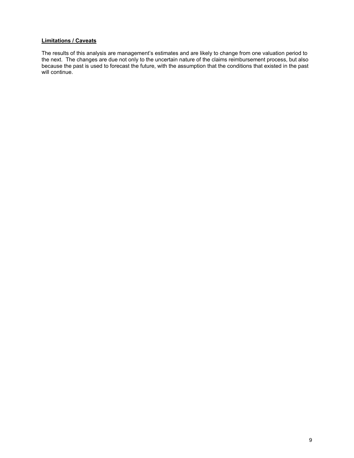# **Limitations / Caveats**

The results of this analysis are management's estimates and are likely to change from one valuation period to the next. The changes are due not only to the uncertain nature of the claims reimbursement process, but also because the past is used to forecast the future, with the assumption that the conditions that existed in the past will continue.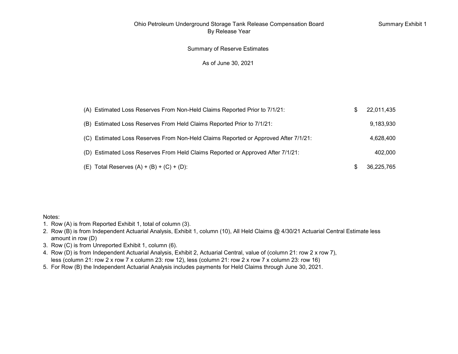# Summary of Reserve Estimates

## As of June 30, 2021

| (A) Estimated Loss Reserves From Non-Held Claims Reported Prior to 7/1/21:      |                                                                                     | 22,011,435 |
|---------------------------------------------------------------------------------|-------------------------------------------------------------------------------------|------------|
| (B) Estimated Loss Reserves From Held Claims Reported Prior to 7/1/21:          |                                                                                     | 9,183,930  |
|                                                                                 | (C) Estimated Loss Reserves From Non-Held Claims Reported or Approved After 7/1/21: | 4,628,400  |
| (D) Estimated Loss Reserves From Held Claims Reported or Approved After 7/1/21: |                                                                                     | 402.000    |
| (E) Total Reserves $(A) + (B) + (C) + (D)$ :                                    |                                                                                     | 36,225,765 |

#### Notes:

- 1. Row (A) is from Reported Exhibit 1, total of column (3).
- 2. Row (B) is from Independent Actuarial Analysis, Exhibit 1, column (10), All Held Claims @ 4/30/21 Actuarial Central Estimate less amount in row (D)
- 3. Row (C) is from Unreported Exhibit 1, column (6).
- less (column 21: row 2 x row 7 x column 23: row 12), less (column 21: row 2 x row 7 x column 23: row 16) 4. Row (D) is from Independent Actuarial Analysis, Exhibit 2, Actuarial Central, value of (column 21: row 2 x row 7),
- 5. For Row (B) the Independent Actuarial Analysis includes payments for Held Claims through June 30, 2021.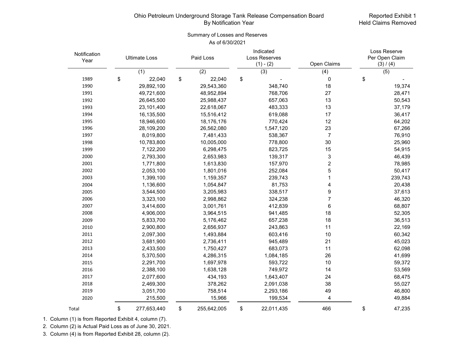## Reported Exhibit 1 Held Claims Removed

# Summary of Losses and Reserves As of 6/30/2021

| Notification<br>Year | <b>Ultimate Loss</b> |    | Paid Loss   |    | Indicated<br>Loss Reserves<br>$(1) - (2)$ | Open Claims             | Loss Reserve<br>Per Open Claim<br>(3) / (4) |  |
|----------------------|----------------------|----|-------------|----|-------------------------------------------|-------------------------|---------------------------------------------|--|
|                      | (1)                  |    | (2)         |    | $\overline{(3)}$                          | (4)                     | (5)                                         |  |
| 1989                 | \$<br>22,040         | \$ | 22,040      | \$ |                                           | 0                       | \$                                          |  |
| 1990                 | 29,892,100           |    | 29,543,360  |    | 348,740                                   | 18                      | 19,374                                      |  |
| 1991                 | 49,721,600           |    | 48,952,894  |    | 768,706                                   | 27                      | 28,471                                      |  |
| 1992                 | 26,645,500           |    | 25,988,437  |    | 657,063                                   | 13                      | 50,543                                      |  |
| 1993                 | 23,101,400           |    | 22,618,067  |    | 483,333                                   | 13                      | 37,179                                      |  |
| 1994                 | 16,135,500           |    | 15,516,412  |    | 619,088                                   | 17                      | 36,417                                      |  |
| 1995                 | 18,946,600           |    | 18,176,176  |    | 770,424                                   | 12                      | 64,202                                      |  |
| 1996                 | 28,109,200           |    | 26,562,080  |    | 1,547,120                                 | 23                      | 67,266                                      |  |
| 1997                 | 8,019,800            |    | 7,481,433   |    | 538,367                                   | $\overline{7}$          | 76,910                                      |  |
| 1998                 | 10,783,800           |    | 10,005,000  |    | 778,800                                   | 30                      | 25,960                                      |  |
| 1999                 | 7,122,200            |    | 6,298,475   |    | 823,725                                   | 15                      | 54,915                                      |  |
| 2000                 | 2,793,300            |    | 2,653,983   |    | 139,317                                   | 3                       | 46,439                                      |  |
| 2001                 | 1,771,800            |    | 1,613,830   |    | 157,970                                   | $\overline{\mathbf{c}}$ | 78,985                                      |  |
| 2002                 | 2,053,100            |    | 1,801,016   |    | 252,084                                   | 5                       | 50,417                                      |  |
| 2003                 | 1,399,100            |    | 1,159,357   |    | 239,743                                   | 1                       | 239,743                                     |  |
| 2004                 | 1,136,600            |    | 1,054,847   |    | 81,753                                    | 4                       | 20,438                                      |  |
| 2005                 | 3,544,500            |    | 3,205,983   |    | 338,517                                   | 9                       | 37,613                                      |  |
| 2006                 | 3,323,100            |    | 2,998,862   |    | 324,238                                   | 7                       | 46,320                                      |  |
| 2007                 | 3,414,600            |    | 3,001,761   |    | 412,839                                   | 6                       | 68,807                                      |  |
| 2008                 | 4,906,000            |    | 3,964,515   |    | 941,485                                   | 18                      | 52,305                                      |  |
| 2009                 | 5,833,700            |    | 5,176,462   |    | 657,238                                   | 18                      | 36,513                                      |  |
| 2010                 | 2,900,800            |    | 2,656,937   |    | 243,863                                   | 11                      | 22,169                                      |  |
| 2011                 | 2,097,300            |    | 1,493,884   |    | 603,416                                   | 10                      | 60,342                                      |  |
| 2012                 | 3,681,900            |    | 2,736,411   |    | 945,489                                   | 21                      | 45,023                                      |  |
| 2013                 | 2,433,500            |    | 1,750,427   |    | 683,073                                   | 11                      | 62,098                                      |  |
| 2014                 | 5,370,500            |    | 4,286,315   |    | 1,084,185                                 | 26                      | 41,699                                      |  |
| 2015                 | 2,291,700            |    | 1,697,978   |    | 593,722                                   | 10                      | 59,372                                      |  |
| 2016                 | 2,388,100            |    | 1,638,128   |    | 749,972                                   | 14                      | 53,569                                      |  |
| 2017                 | 2,077,600            |    | 434,193     |    | 1,643,407                                 | 24                      | 68,475                                      |  |
| 2018                 | 2,469,300            |    | 378,262     |    | 2,091,038                                 | 38                      | 55,027                                      |  |
| 2019                 | 3,051,700            |    | 758,514     |    | 2,293,186                                 | 49                      | 46,800                                      |  |
| 2020                 | 215,500              |    | 15,966      |    | 199,534                                   | 4                       | 49,884                                      |  |
| Total                | \$<br>277,653,440    | \$ | 255,642,005 | \$ | 22,011,435                                | 466                     | \$<br>47,235                                |  |

1. Column (1) is from Reported Exhibit 4, column (7).

2. Column (2) is Actual Paid Loss as of June 30, 2021.

3. Column (4) is from Reported Exhibit 28, column (2).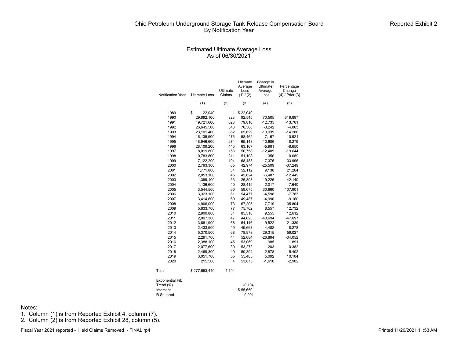#### Estimated Ultimate Average Loss As of 06/30/2021

| Notification Year | <b>Ultimate Loss</b> | Ultimate<br>Claims | Ultimate<br>Average<br>Loss<br>(1) / (2) | Change in<br>Ultimate<br>Average<br>Loss | Percentage<br>Change<br>$(4)$ / Prior $(3)$ |
|-------------------|----------------------|--------------------|------------------------------------------|------------------------------------------|---------------------------------------------|
|                   | (1)                  | (2)                | $\overline{(3)}$                         | (4)                                      | (5)                                         |
| 1989              | \$<br>22,040         | 1                  | \$22,040                                 |                                          |                                             |
| 1990              | 29,892,100           | 323                | 92,545                                   | 70,505                                   | 319.897                                     |
| 1991              | 49,721,600           | 623                | 79,810                                   | $-12,735$                                | $-13.761$                                   |
| 1992              | 26,645,500           | 348                | 76,568                                   | $-3,242$                                 | $-4.063$                                    |
| 1993              | 23,101,400           | 352                | 65,629                                   | $-10,939$                                | $-14.286$                                   |
| 1994              | 16,135,500           | 276                | 58,462                                   | $-7,167$                                 | $-10.921$                                   |
| 1995              | 18,946,600           | 274                | 69,148                                   | 10,686                                   | 18.279                                      |
| 1996              | 28,109,200           | 445                | 63,167                                   | $-5,981$                                 | $-8.650$                                    |
| 1997              | 8,019,800            | 158                | 50,758                                   | $-12,409$                                | $-19.644$                                   |
| 1998              | 10,783,800           | 211                | 51,108                                   | 350                                      | 0.689                                       |
| 1999              | 7,122,200            | 104                | 68,483                                   | 17,375                                   | 33.996                                      |
| 2000              | 2,793,300            | 65                 | 42,974                                   | $-25,509$                                | $-37.249$                                   |
| 2001              | 1,771,800            | 34                 | 52,112                                   | 9,138                                    | 21.264                                      |
| 2002              | 2,053,100            | 45                 | 45,624                                   | $-6,487$                                 | $-12.449$                                   |
| 2003              | 1,399,100            | 53                 | 26,398                                   | $-19,226$                                | $-42.140$                                   |
| 2004              | 1,136,600            | 40                 | 28,415                                   | 2,017                                    | 7.640                                       |
| 2005              | 3,544,500            | 60                 | 59,075                                   | 30,660                                   | 107.901                                     |
| 2006              | 3,323,100            | 61                 | 54,477                                   | $-4,598$                                 | $-7.783$                                    |
| 2007              | 3,414,600            | 69                 | 49,487                                   | $-4,990$                                 | $-9.160$                                    |
| 2008              | 4,906,000            | 73                 | 67,205                                   | 17,719                                   | 35.804                                      |
| 2009              | 5,833,700            | 77                 | 75,762                                   | 8,557                                    | 12.732                                      |
| 2010              | 2,900,800            | 34                 | 85,318                                   | 9,555                                    | 12.612                                      |
| 2011              | 2,097,300            | 47                 | 44,623                                   | $-40,694$                                | -47.697                                     |
| 2012              | 3,681,900            | 68                 | 54,146                                   | 9,522                                    | 21.339                                      |
| 2013              | 2,433,500            | 49                 | 49,663                                   | $-4,482$                                 | $-8.278$                                    |
| 2014              | 5,370,500            | 68                 | 78,978                                   | 29,315                                   | 59.027                                      |
| 2015              | 2,291,700            | 44                 | 52,084                                   | $-26,894$                                | $-34.052$                                   |
| 2016              | 2,388,100            | 45                 | 53,069                                   | 985                                      | 1.891                                       |
| 2017              | 2,077,600            | 39                 | 53,272                                   | 203                                      | 0.382                                       |
| 2018              | 2,469,300            | 49                 | 50,394                                   | $-2,878$                                 | $-5.402$                                    |
| 2019              | 3,051,700            | 55                 | 55,485                                   | 5,092                                    | 10.104                                      |
| 2020              | 215,500              | $\overline{4}$     | 53,875                                   | $-1,610$                                 | $-2.902$                                    |
| Total             | \$277,653,440        | 4,194              |                                          |                                          |                                             |

| <b>Exponential Fit:</b> |          |
|-------------------------|----------|
| Trend (%)               | $-0.104$ |
| Intercept               | \$55,650 |
| R Squared               | 0.001    |

Notes:

1. Column (1) is from Reported Exhibit 4, column (7).

2. Column (2) is from Reported Exhibit 28, column (5).

Fiscal Year 2021 reported - Held Claims Removed - FINAL.rp4 **Printed 11/20/2021 11:53 AM**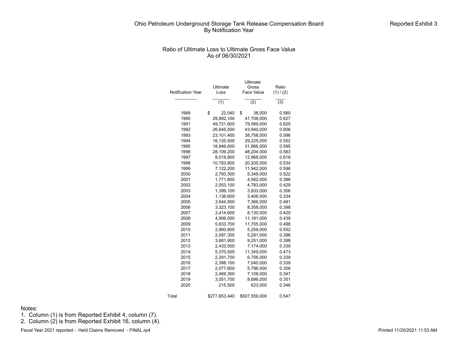## Ratio of Ultimate Loss to Ultimate Gross Face Value As of 06/30/2021

|                   |               | Ultimate          |           |
|-------------------|---------------|-------------------|-----------|
|                   | Ultimate      | Gross             | Ratio     |
| Notification Year | Loss          | <b>Face Value</b> | (1) / (2) |
|                   | (1)           | (2)               | (3)       |
|                   |               |                   |           |
| 1989              | \$<br>22,040  | \$<br>38,000      | 0.580     |
| 1990              | 29,892,100    | 47,708,000        | 0.627     |
| 1991              | 49,721,600    | 79,589,000        | 0.625     |
| 1992              | 26,645,500    | 43,940,000        | 0.606     |
| 1993              | 23,101,400    | 38,758,000        | 0.596     |
| 1994              | 16,135,500    | 29,225,000        | 0.552     |
| 1995              | 18,946,600    | 31,866,000        | 0.595     |
| 1996              | 28,109,200    | 48,204,000        | 0.583     |
| 1997              | 8,019,800     | 12,968,000        | 0.618     |
| 1998              | 10,783,800    | 20,205,000        | 0.534     |
| 1999              | 7,122,200     | 11,942,000        | 0.596     |
| 2000              | 2,793,300     | 5,349,000         | 0.522     |
| 2001              | 1,771,800     | 4,562,000         | 0.388     |
| 2002              | 2,053,100     | 4,783,000         | 0.429     |
| 2003              | 1,399,100     | 3,933,000         | 0.356     |
| 2004              | 1,136,600     | 3,406,000         | 0.334     |
| 2005              | 3,544,500     | 7,366,000         | 0.481     |
| 2006              | 3,323,100     | 8,358,000         | 0.398     |
| 2007              | 3,414,600     | 8,130,000         | 0.420     |
| 2008              | 4,906,000     | 11,181,000        | 0.439     |
| 2009              | 5,833,700     | 11,705,000        | 0.498     |
| 2010              | 2,900,800     | 5,259,000         | 0.552     |
| 2011              | 2,097,300     | 5,291,000         | 0.396     |
| 2012              | 3,681,900     | 9,251,000         | 0.398     |
| 2013              | 2,433,500     | 7,174,000         | 0.339     |
| 2014              | 5,370,500     | 11,349,000        | 0.473     |
| 2015              | 2,291,700     | 6,756,000         | 0.339     |
| 2016              | 2,388,100     | 7,040,000         | 0.339     |
| 2017              | 2,077,600     | 5,796,000         | 0.358     |
| 2018              | 2,469,300     | 7,108,000         | 0.347     |
| 2019              | 3,051,700     | 8,696,000         | 0.351     |
| 2020              | 215,500       | 623,000           | 0.346     |
| Total             | \$277,653,440 | \$507,559,000     | 0.547     |

Notes:

1. Column (1) is from Reported Exhibit 4, column (7).

2. Column (2) is from Reported Exhibit 16, column (4).

Fiscal Year 2021 reported - Held Claims Removed - FINAL.rp4 **Printed 11/20/2021 11:53 AM**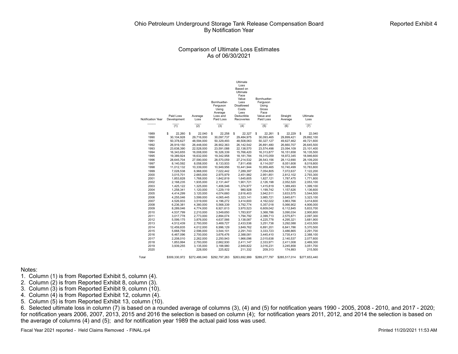#### Comparison of Ultimate Loss Estimates As of 06/30/2021

| Notification Year | Paid Loss<br>Development | Average<br>Loss         | Bornhuetter-<br>Ferguson<br>Using<br>Average<br>Loss and<br>Paid Loss | Ultimate<br>Loss<br>Based on<br>Ultimate<br>Face<br>Value<br>Less<br><b>Disallowed</b><br>Costs<br>Less<br>Deductible<br>Recoveries | Bornhuetter-<br>Ferguson<br>Using<br>Gross<br>Face<br>Value and<br>Paid Loss | Straight<br>Average    | Ultimate<br>Loss        |
|-------------------|--------------------------|-------------------------|-----------------------------------------------------------------------|-------------------------------------------------------------------------------------------------------------------------------------|------------------------------------------------------------------------------|------------------------|-------------------------|
|                   | (1)                      | (2)                     | (3)                                                                   | (4)                                                                                                                                 | (5)                                                                          | (6)                    | (7)                     |
| 1989              | \$<br>22,260             | \$<br>22,040            | S<br>22,258                                                           | \$<br>22,327                                                                                                                        | \$<br>22,261                                                                 | \$<br>22,229           | \$<br>22,040            |
| 1990              | 30,104,928               | 29,716,000              | 30,097,737                                                            | 29,484,975                                                                                                                          | 30,093,465                                                                   | 29,899,421             | 29,892,100              |
| 1991              | 50,378,627               | 48,594,000              | 50,329,493                                                            | 48,508,063                                                                                                                          | 50,327,127                                                                   | 49,627,462             | 49,721,600              |
| 1992              | 26,919,150               | 26,448,000              | 26,902,363                                                            | 26,142,542                                                                                                                          | 26,891,480                                                                   | 26,660,707             | 26,645,500              |
| 1993              | 23,638,390               | 22,528,000              | 23,591,088                                                            | 22.138.570                                                                                                                          | 23,574,498                                                                   | 23,094,109             | 23,101,400              |
| 1994              | 16,343,655               | 16,008,000              | 16,326,339                                                            | 15,766,420                                                                                                                          | 16,313,877                                                                   | 16,151,658             | 16,135,500              |
| 1995              | 19,389,924               | 18,632,000              | 19,342,958                                                            | 18,181,784                                                                                                                          | 19,315,059                                                                   | 18,972,345             | 18,946,600              |
| 1996              | 28,645,704               | 27,590,000              | 28,570,059                                                            | 27,214,532                                                                                                                          | 28,543,156                                                                   | 28,112,690             | 28,109,200              |
| 1997<br>1998      | 8,140,592                | 8.058.000<br>10,339,000 | 8.133.933                                                             | 7,811,456                                                                                                                           | 8,114,057                                                                    | 8,051,608              | 8.019.800<br>10,783,800 |
| 1999              | 11,012,132<br>7,028,538  | 6,968,000               | 10,949,956<br>7,022,442                                               | 10,441,944<br>7,289,397                                                                                                             | 10,959,465<br>7,054,805                                                      | 10,740,499             | 7,122,200               |
| 2000              | 3,015,701                | 2,665,000               | 2,975,979                                                             | 2,451,982                                                                                                                           | 2,951,851                                                                    | 7,072,637<br>2,812,102 | 2,793,300               |
| 2001              | 1,853,828                | 1,768,000               | 1,842,819                                                             | 1,645,605                                                                                                                           | 1,827,121                                                                    | 1,787,475              | 1,771,800               |
| 2002              | 2,168,235                | 1,935,000               | 2,131,447                                                             | 1,901,721                                                                                                                           | 2,126,198                                                                    | 2,052,520              | 2,053,100               |
| 2003              | 1,425,122                | 1,325,000               | 1,406,546                                                             | 1,374,977                                                                                                                           | 1,415,819                                                                    | 1,389,493              | 1,399,100               |
| 2004              | 1,258,341                | 1,120,000               | 1.229.119                                                             | 980.928                                                                                                                             | 1.199.742                                                                    | 1,157,626              | 1.136.600               |
| 2005              | 4,414,299                | 3,120,000               | 4,074,660                                                             | 2,616,403                                                                                                                           | 3,942,511                                                                    | 3,633,575              | 3,544,500               |
| 2006              | 4,255,046                | 3,599,000               | 4,065,445                                                             | 3,323,141                                                                                                                           | 3,985,721                                                                    | 3,845,671              | 3,323,100               |
| 2007              | 4,526,933                | 3,519,000               | 4,196,272                                                             | 3,414,600                                                                                                                           | 4,162,022                                                                    | 3,963,766              | 3,414,600               |
| 2008              | 6,236,381                | 4,380,000               | 5,568,339                                                             | 3.792.774                                                                                                                           | 5.357.018                                                                    | 5.066.902              | 4,906,000               |
| 2009              | 8,289,046                | 4,774,000               | 6,921,613                                                             | 3,970,523                                                                                                                           | 6,609,042                                                                    | 6,112,845              | 5,833,700               |
| 2010              | 4,537,799                | 2,210,000               | 3,549,650                                                             | 1,783,937                                                                                                                           | 3,368,786                                                                    | 3,090,034              | 2,900,800               |
| 2011              | 3,017,778                | 2,773,000               | 2,894,074                                                             | 1,794,792                                                                                                                           | 2,399,713                                                                    | 2,575,871              | 2,097,300               |
| 2012              | 5,599,175                | 3,876,000               | 4,637,566                                                             | 3,138,087                                                                                                                           | 4,225,778                                                                    | 4,295,321              | 3,681,900               |
| 2013              | 4,512,439                | 2,793,000               | 3,469,727                                                             | 2,433,536                                                                                                                           | 3,251,738                                                                    | 3,292,088              | 2,433,500               |
| 2014              | 12,459,835               | 4,012,000               | 6,996,129                                                             | 3,849,762                                                                                                                           | 6,891,201                                                                    | 6,841,786              | 5,370,500               |
| 2015              | 5,668,759                | 2,596,000               | 3,544,101                                                             | 2,291,743                                                                                                                           | 3,333,723                                                                    | 3,486,865              | 2,291,700               |
| 2016              | 6,467,096                | 2,700,000               | 3,676,476                                                             | 2,388,081                                                                                                                           | 3,445,410                                                                    | 3,735,413              | 2,388,100               |
| 2017              | 2,208,010                | 2,262,000               | 2,250,943                                                             | 1,966,096                                                                                                                           | 2,015,638                                                                    | 2,140,537              | 2,077,600               |
| 2018              | 1,853,994                | 2,793,000               | 2,662,930                                                             | 2,411,147                                                                                                                           | 2,333,971                                                                    | 2,411,008              | 2,469,300               |
| 2019              | 3,939,255                | 3,135,000               | 3,188,980                                                             | 2,949,822                                                                                                                           | 3,016,231                                                                    | 3,245,858              | 3,051,700               |
| 2020              |                          | 228,000                 | 225,822                                                               | 211,332                                                                                                                             | 209,313                                                                      | 174,893                | 215,500                 |
| Total             | \$309,330,972            | \$272,486,040           | \$292,797,263                                                         | \$263,692,999                                                                                                                       | \$289,277,797                                                                | \$285,517,014          | \$277,653,440           |

#### Notes:

- 1. Column (1) is from Reported Exhibit 5, column (4).
- 2. Column (2) is from Reported Exhibit 8, column (3).
- 3. Column (3) is from Reported Exhibit 9, column (10).
- 4. Column  $\hat{A}$ ) is from Reported Exhibit 12, column  $\hat{A}$ ).
- 5. Column (5) is from Reported Exhibit 13, column (10).

6. Selected ultimate loss in column (7) is based on a rounded average of columns (3), (4) and (5) for notification years 1990 - 2005, 2008 - 2010, and 2017 - 2020; for notification years 2006, 2007, 2013, 2015 and 2016 the selection is based on column (4); for notification years 2011, 2012, and 2014 the selection is based on the average of columns (4) and (5); and for notification year 1989 the actual paid loss was used.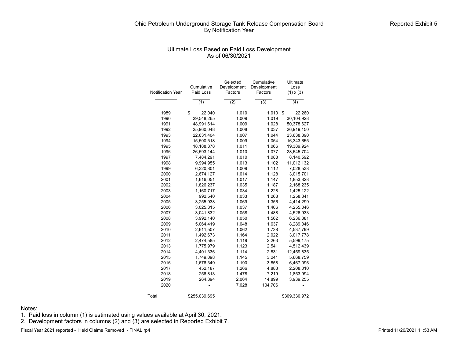# Ultimate Loss Based on Paid Loss Development As of 06/30/2021

| <b>Notification Year</b> | Cumulative<br>Paid Loss | Selected<br>Development<br>Factors | Cumulative<br>Development<br>Factors | Ultimate<br>Loss<br>$(1) \times (3)$ |
|--------------------------|-------------------------|------------------------------------|--------------------------------------|--------------------------------------|
|                          | (1)                     | (2)                                | (3)                                  | (4)                                  |
| 1989                     | \$<br>22,040            | 1.010                              | 1.010                                | \$<br>22,260                         |
| 1990                     | 29,548,265              | 1.009                              | 1.019                                | 30,104,928                           |
| 1991                     | 48,991,614              | 1.009                              | 1.028                                | 50,378,627                           |
| 1992                     | 25,960,048              | 1.008                              | 1.037                                | 26,919,150                           |
| 1993                     | 22,631,404              | 1.007                              | 1.044                                | 23,638,390                           |
| 1994                     | 15,500,518              | 1.009                              | 1.054                                | 16,343,655                           |
| 1995                     | 18,188,378              | 1.011                              | 1.066                                | 19,389,924                           |
| 1996                     | 26,593,144              | 1.010                              | 1.077                                | 28,645,704                           |
| 1997                     | 7,484,291               | 1.010                              | 1.088                                | 8,140,592                            |
| 1998                     | 9,994,955               | 1.013                              | 1.102                                | 11,012,132                           |
| 1999                     | 6,320,801               | 1.009                              | 1.112                                | 7,028,538                            |
| 2000                     | 2,674,127               | 1.014                              | 1.128                                | 3,015,701                            |
| 2001                     | 1,616,051               | 1.017                              | 1.147                                | 1,853,828                            |
| 2002                     | 1,826,237               | 1.035                              | 1.187                                | 2,168,235                            |
| 2003                     | 1,160,717               | 1.034                              | 1.228                                | 1,425,122                            |
| 2004                     | 992,540                 | 1.033                              | 1.268                                | 1,258,341                            |
| 2005                     | 3,255,938               | 1.069                              | 1.356                                | 4,414,299                            |
| 2006                     | 3,025,315               | 1.037                              | 1.406                                | 4,255,046                            |
| 2007                     | 3,041,832               | 1.058                              | 1.488                                | 4,526,933                            |
| 2008                     | 3,992,140               | 1.050                              | 1.562                                | 6,236,381                            |
| 2009                     | 5,064,419               | 1.048                              | 1.637                                | 8,289,046                            |
| 2010                     | 2,611,507               | 1.062                              | 1.738                                | 4,537,799                            |
| 2011                     | 1,492,673               | 1.164                              | 2.022                                | 3,017,778                            |
| 2012                     | 2,474,585               | 1.119                              | 2.263                                | 5,599,175                            |
| 2013                     | 1,775,979               | 1.123                              | 2.541                                | 4,512,439                            |
| 2014                     | 4,401,336               | 1.114                              | 2.831                                | 12,459,835                           |
| 2015                     | 1,749,098               | 1.145                              | 3.241                                | 5,668,759                            |
| 2016                     | 1,676,349               | 1.190                              | 3.858                                | 6,467,096                            |
| 2017                     | 452,187                 | 1.266                              | 4.883                                | 2,208,010                            |
| 2018                     | 256,813                 | 1.478                              | 7.219                                | 1,853,994                            |
| 2019                     | 264,394                 | 2.064                              | 14.899                               | 3,939,255                            |
| 2020                     |                         | 7.028                              | 104.706                              |                                      |
| Total                    | \$255,039,695           |                                    |                                      | \$309,330,972                        |

Notes:

1. Paid loss in column (1) is estimated using values available at April 30, 2021.

2. Development factors in columns (2) and (3) are selected in Reported Exhibit 7.

Fiscal Year 2021 reported - Held Claims Removed - FINAL.rp4 **Printed 11/20/2021 11:53 AM**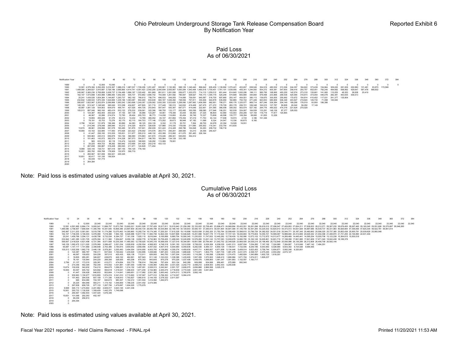#### Paid Loss As of 06/30/2021

| Notification Year |                |         |                                   |         |                                                   |                                         |         |                 |         |                                                                                                                                                                                                           |         |         |                 |         |         |                           |         |                                         |                 |         |         |         |         |         |         |         |         |         |                 |        |         |          |
|-------------------|----------------|---------|-----------------------------------|---------|---------------------------------------------------|-----------------------------------------|---------|-----------------|---------|-----------------------------------------------------------------------------------------------------------------------------------------------------------------------------------------------------------|---------|---------|-----------------|---------|---------|---------------------------|---------|-----------------------------------------|-----------------|---------|---------|---------|---------|---------|---------|---------|---------|---------|-----------------|--------|---------|----------|
| 1989              | $\Omega$       |         | $0$ 12.000                        | 10.040  | $\Omega$                                          |                                         |         |                 |         |                                                                                                                                                                                                           |         |         |                 |         |         |                           |         |                                         |                 |         |         |         |         |         |         |         |         |         |                 |        |         | $\Omega$ |
| 1990              |                |         |                                   |         |                                                   |                                         |         |                 |         | 12.581 4.579.384 2.292.209 3.016.367 1.986.216 1.987.037 1.726.236 1.251.497 935.901 1.130.383 998.129 1.340.440 896.642 605.459 1.139.992 1.070.421                                                      |         |         |                 |         |         |                           |         | 453.657 838.545 354.919 480.532 313.306 |                 |         |         | 244.357 | 184.622 | 373.438 | 154.964 | 309.220 | 281.009 | 202.880 | 131.481         | 83,870 | 172.568 |          |
| 1991              |                |         |                                   |         |                                                   |                                         |         |                 |         | 1.489.080 2.269.827 3.910.687 3.726.186 3.995.865 4.414.741 4.091.423 2.542.295 2.040.694 2.055.067 1.650.284 1.943.494 1.460.518 1.700.451 1.761.191 1.639.565 455.341 1.244.550 834.272 600.381 547.600 |         |         |                 |         |         |                           |         |                                         |                 |         |         | 258.416 | 255.757 | 652.051 | 792.245 | 494.682 | 568.992 | 429.647 | 597.478 568.832 |        |         |          |
| 1992              |                |         |                                   |         |                                                   |                                         |         |                 |         | 245.967 2.065.236 2.769.858 3.938.737 2.154.469 1.896.197 1.320.402 891.869 891.611 1.081.006 559.977 1.303.570 714.110 1.259.312 691.444 814.645 1.000.206 198.111 585.795 168.995 493.255               |         |         |                 |         |         |                           |         |                                         |                 |         |         | 142.574 | 273.318 | 135.661 | 141.060 | 115.053 | 48.353  | 38.838  | 20.419          |        |         |          |
| 1993              |                |         |                                   |         |                                                   |                                         |         |                 |         | 162.107 1.573.898 1.453.998 1.886.065 1.942.300 935.737 972.882 1.890.742 743.008 1.261.592 785.567 938.927 705.173 1.395.179 525.248                                                                     |         |         |                 |         |         | 574.699                   | 683.680 | 344.800                                 | 579.498         | 233,966 | 299.536 | 424.065 | 316.673 | 373.054 | 446 478 | 282.381 | 463.635 | 436.513 |                 |        |         |          |
| 1994              |                |         |                                   |         |                                                   |                                         |         |                 |         | 20.241 1.439.526 1.834.364 1.144.667 1.293.737 662.192 766.610 758.774 696.533 549.255 714.856 709.591                                                                                                    |         |         | 640.587 516.700 |         | 697.660 | 293.147 454.551           |         | 380.113                                 | 139,870         | 300.505 | 255.992 | 170.972 | 154,814 | 410.452 | 117.531 | 241.377 | 135,904 |         |                 |        |         |          |
| 1995              |                |         |                                   |         |                                                   |                                         |         |                 |         | 232.842 1.248.543 1.870.339 1.524.669 1.235.166 1.093.087 854.490 833.639 840.187 1.026.492 728.594 757.811 330.406 644.878                                                                               |         |         |                 |         | 535.950 | 182.885                   | 750.722 | 471.449                                 | 843.653         | 685.909 | 506.348 | 403.927 | 219.624 | 149.730 | 71.098  | 145,940 |         |         |                 |        |         |          |
| 1996              |                |         |                                   |         |                                                   |                                         |         |                 |         | 595,657 1,822,967 2,202,874 2,099,868 1,950,242 1,563,698 1,245,057 1,229,562 1,835,393 1,523,620 1,258,080 1,067,963 1,406,599 982,901                                                                   |         |         |                 |         |         | 758.271 806.176 1.320.577 |         | 869.714                                 | 657.246         | 536.384 | 204.149 | 199,290 | 176,519 | 93,950  | 186,386 |         |         |         |                 |        |         |          |
| 1997              |                |         |                                   |         | 149.129 913.347 1.148.545 365.049 510.358 434.607 |                                         |         |                 |         | 407.805 321.715 317.449 180.315 342.832 419.408 247.475 271.272 178.729                                                                                                                                   |         |         |                 |         |         | 283.178                   | 206.721 | 336,348                                 | 162.910         | 127.787 | 59.828  | 26.042  | 56.292  | 17.149  |         |         |         |         |                 |        |         |          |
| 1998              |                |         | 65.987 1.081.129 554.853          |         | 604.679 456.741 427.526                           |                                         | 464.726 |                 |         | 203.843 597.547 500.387 687.571 414.646 222.901                                                                                                                                                           |         |         |                 | 201.585 | 366,008 | 308.302                   | 563.574 | 527.182                                 | 294.776 485.022 |         | 474.318 | 221.624 | 270.029 |         |         |         |         |         |                 |        |         |          |
| 1999              |                |         | 105.513 897.046 960.160           | 483.419 | 533.123                                           | 276.232                                 | 239.061 | 322,396         | 186,755 | 133,177                                                                                                                                                                                                   | 222.492 | 100.256 | 188,080         | 217.946 | 106.251 | 162.539                   | 324.067 | 164.939                                 | 133,291         | 148.126 | 87.377  | 328.553 |         |         |         |         |         |         |                 |        |         |          |
| 2000              |                |         | 0 124.387 462.400                 | 203.524 | 47.193                                            | 357.138                                 | 35.986  | 123.267         | 54.951  | 178,356                                                                                                                                                                                                   | 43.044  | 58.400  | 27.325          | 88.804  | 42.960  | 133.543                   | 250.295 | 127.154                                 | 116,719         | 77.817  | 120.865 |         |         |         |         |         |         |         |                 |        |         |          |
| 2001              |                | 46.067  | 63.586                            | 214.574 | 72.783                                            | 28.424                                  | 200.703 | 86.773          | 114.038 | 116,800                                                                                                                                                                                                   | 63.454  | 36,749  | 72.337          | 73,808  | 48,596  | 135,777                   | 108,354 | 58.065                                  | 61.835          | 13.326  |         |         |         |         |         |         |         |         |                 |        |         |          |
| 2002              |                | 19,855  | 265.426                           | 61.376  | 92.214                                            | 10.232                                  | 13.789  | 365.052         | 83.197  | 251,892                                                                                                                                                                                                   | 175,354 | 97.219  | 71.753          | 63.144  | 77.908  | 18,574                    | 4.740   | 3.186                                   | 151,326         |         |         |         |         |         |         |         |         |         |                 |        |         |          |
| 2003              |                | 78.191  | 52.753                            | 73.276  | 62.170                                            | 62.115                                  | 164,703 | 177.146         | 173.252 | 26.673                                                                                                                                                                                                    | 99.948  | 67.182  | 11.068          | 8.324   | 24.547  | 10.336                    | 60.875  | 8.160                                   |                 |         |         |         |         |         |         |         |         |         |                 |        |         |          |
| 2004              | 2.796          | 18.341  | 151.879                           | 156,366 | 80,890                                            | 64.383                                  | 58.125  | 224.135         | 9.332   | 31.178                                                                                                                                                                                                    | 35,701  | 7.264   | 68,700          | 24.978  | 22,394  | 19.528                    | 16.551  |                                         |                 |         |         |         |         |         |         |         |         |         |                 |        |         |          |
| 2005              |                |         | 0 214.346 278.048                 | 269.946 | 53,212                                            | 216,329                                 | 49.674  | 326,639         |         | 127.866 316.330                                                                                                                                                                                           | 178.636 | 211.685 | 255,502         | 110.341 | 233.750 | 413.635                   |         |                                         |                 |         |         |         |         |         |         |         |         |         |                 |        |         |          |
| 2006              | 13.674         | 88.961  | 239.996                           | 391.578 | 160.465                                           | 161.876                                 | 157.601 | 282.939         |         | 531.422 214.428                                                                                                                                                                                           | 258.786 | 104.848 | 50.293          | 209.732 | 158,716 |                           |         |                                         |                 |         |         |         |         |         |         |         |         |         |                 |        |         |          |
| 2007              | 19.955         | 63.102  | 322.685                           | 117.950 | 470.926                                           | 223.422 278.592 374.576 283.774 295.291 |         |                 |         |                                                                                                                                                                                                           | 268.565 | 53.210  | 29.356          | 240.427 |         |                           |         |                                         |                 |         |         |         |         |         |         |         |         |         |                 |        |         |          |
| 2008              | $^{\circ}$     | 41.447  | 295.182                           | 310.205 | 155,831                                           | 311.977 555.210 448.132 433.399         |         |                 |         | 512.060 411.070                                                                                                                                                                                           |         | 291.463 | 226.164         |         |         |                           |         |                                         |                 |         |         |         |         |         |         |         |         |         |                 |        |         |          |
| 2009              |                | 930.963 | 220.014                           | 659.878 | 163.164                                           | 366,990                                 | 374.883 | 441.674         | 319,446 | 289.341 945.653                                                                                                                                                                                           |         | 352.412 |                 |         |         |                           |         |                                         |                 |         |         |         |         |         |         |         |         |         |                 |        |         |          |
| 2010              |                | 151.463 | 143.072                           |         | 362.574 514.228 267.573                           |                                         | 354.917 | 166,783         | 183,584 | 134.128 333.185                                                                                                                                                                                           |         |         |                 |         |         |                           |         |                                         |                 |         |         |         |         |         |         |         |         |         |                 |        |         |          |
| 2011              |                | 565     | 633.515                           | 90.118  | 116.474 142.635                                   |                                         | 168.905 | 149.292         | 113,089 | 78.081                                                                                                                                                                                                    |         |         |                 |         |         |                           |         |                                         |                 |         |         |         |         |         |         |         |         |         |                 |        |         |          |
| 2012              |                | 20.225  | 464.723                           | 98.262  |                                                   | 590.942 372.656 241.426                 |         | 253.218 433.133 |         |                                                                                                                                                                                                           |         |         |                 |         |         |                           |         |                                         |                 |         |         |         |         |         |         |         |         |         |                 |        |         |          |
| 2013              | $\Omega$       | 267.838 | 390,887                           | 318,408 |                                                   | 290.593 211.971 124.828                 |         | 171.454         |         |                                                                                                                                                                                                           |         |         |                 |         |         |                           |         |                                         |                 |         |         |         |         |         |         |         |         |         |                 |        |         |          |
| 2014              |                |         | 9.968 535.145 729.731             |         |                                                   | 967.018 587.155 794.129 778.190         |         |                 |         |                                                                                                                                                                                                           |         |         |                 |         |         |                           |         |                                         |                 |         |         |         |         |         |         |         |         |         |                 |        |         |          |
| 2015              | 10.951         |         | 282.782 836.768                   |         | 178.909 132.970 306.719                           |                                         |         |                 |         |                                                                                                                                                                                                           |         |         |                 |         |         |                           |         |                                         |                 |         |         |         |         |         |         |         |         |         |                 |        |         |          |
| 2016              |                |         | 0 260.567 821.936 364.521 229.325 |         |                                                   |                                         |         |                 |         |                                                                                                                                                                                                           |         |         |                 |         |         |                           |         |                                         |                 |         |         |         |         |         |         |         |         |         |                 |        |         |          |
| 2017              | 10.651         |         | 90,417 191,195 159,924            |         |                                                   |                                         |         |                 |         |                                                                                                                                                                                                           |         |         |                 |         |         |                           |         |                                         |                 |         |         |         |         |         |         |         |         |         |                 |        |         |          |
| 2018              | $\overline{0}$ |         | 65.039 191.774                    |         |                                                   |                                         |         |                 |         |                                                                                                                                                                                                           |         |         |                 |         |         |                           |         |                                         |                 |         |         |         |         |         |         |         |         |         |                 |        |         |          |
| 2019              | $\Omega$       | 264,394 |                                   |         |                                                   |                                         |         |                 |         |                                                                                                                                                                                                           |         |         |                 |         |         |                           |         |                                         |                 |         |         |         |         |         |         |         |         |         |                 |        |         |          |
| 2020              |                |         |                                   |         |                                                   |                                         |         |                 |         |                                                                                                                                                                                                           |         |         |                 |         |         |                           |         |                                         |                 |         |         |         |         |         |         |         |         |         |                 |        |         |          |

Note: Paid loss is estimated using values available at April 30, 2021.

#### Cumulative Paid Loss As of 06/30/2021

Notification Year 12 24 36 48 60 72 84 96 108 120 132 144 156 168 180 192 204 216 228 240 252 264 276 288 300 312 324 336 348 360 372 384 1990 1991 1993<br>1994 1996<br>1995 1998<br>1998 1999<br>2000 2004<br>2006 2006<br>2006 2006<br>2011<br>2011<br>2014<br>2014<br>2014<br>2014<br>2017 0 0 12,000 22,040 22,040 22,040 22,040 22,040 22,040 22,040 22,040 22,040 22,040 22,040 22,040 22,040 22,040 22,040 22,040 22,040 22,040 22,040 22,040 22,040 22,040 22,040 22,040 22,040 22,040 22,040 22,040 22,040 12,581 4,591,965 6,884,174 9,900,541 11,886,757 13,873,795 15,600,031 16,851,528 17,787,429 18,917,811 19,915,940 21,256,380 22,153,022 22,758,481 23,898,473 24,968,894 25,422,551 26,261,096 26,616,015 27,096,547 27,409,853 27,654,211 27,838,833 28,212,271 28,367,235 28,676,455 28,957,465 29,160,345 29,291,826 29,375,697 29,548,265 1,489,080 3,758,907 7,669,594 11,395,780 15,391,645 19,806,386 23,897,809 26,440,104 28,480,798 30,535,865 32,186,149 34,129,643 35,590,161 37,290,613 39,051,804 40,691,368 41,146,709 42,391,260 43,225,532 43,825,913 44,373,513 44,631,929 44,887,686 45,539,737 46,331,983 46,826,664 47,395,656 47,825,304 48,422,781 48,991,614 245,967 2,311,203 5,081,061 9,019,798 11,174,266 13,070,463 14,390,865 15,282,734 16,174,345 17,255,351 17,815,328 19,118,898 19,833,008 21,092,320 21,783,764 22,598,409 23,598,615 23,796,726 24,382,522 24,551,516 25,044,771 25,187,345 25,460,663 25,596,325 25,737,385 25,852,438 25,900,791 25,939,629 25,960,048  $\begin{smallmatrix} 120,0000&0&0.100,0000&0.100,0000&0.100,0000&0.100,0000&0.100,0000&0.100,0000&0.100,0000&0.100,0000&0.100,0000&0.100,0000&0.100,0000&0.100,0000&0.100,0000&0.100,0000&0.100,0000&0.100,0000&0.100,0000&0.100,0000&0.10$ 0 565 634,080 724,197 840,672 983,307 1,152,212 1,301,504 1,414,592 1,492,673 0 20,225 484,948 583,211 1,174,152 1,546,809 1,788,235 2,041,452 2,474,585 0 267,838 658,725 977,133 1,267,726 1,479,697 1,604,525 1,775,979 9,968 545,113 1,274,844 2,241,862 2,829,017 3,623,146 4,401,336 10,951 293,733 1,130,500 1,309,409 1,442,379 1,749,098 260,567 1,082,503 1,447,024 1,676,349 10,651 101,068 292,263 452,187 0 65,039 256,813 0 264,394 0

Note: Paid loss is estimated using values available at April 30, 2021.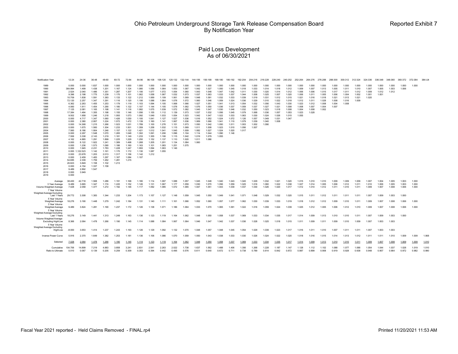#### Paid Loss Development As of 06/30/2021

| <b>Notification Year</b>                                                                                                                                                                                                                             | 12-24                                                                                                                                                                                                                                                                                      | 24-36                                                                                                                                                                                                                                                                          |                                                                                                                                                                                                                                                                   | 48-60                                                                                                                                                                                                                                                    | 60-72                                                                                                                                                                                                                                           | 72-84                                                                                                                                                                                                                                  | 84-96                                                                                                                                                                                                                         | 96-108                                                                                                                                                                                                               | 108-120                                                                                                                                                                                                     | 120-132                                                                                                                                                                                            | 132-144                                                                                                                                                                                   | 144-156                                                                                                                                                                          | 156-168                                                                                                                                                                 | 168-180                                                                                                                                                        | 180-192                                                                                                                                               | 192-204                                                                                                                                      | 204-216 216-228                                                                                                                     |                                                                                                                            | 228-240                                                                                                           | 240-252                                                                                                  | 252-264                                                                                         | 264-276                                                                                | 276-288                                                                       | 288-300                                                              | 300-312 312-324                                             |                                                    | 324-336                                   | 336-348                          | 348-360                 | 360-372                 | 372-384                 | 384-UI         |
|------------------------------------------------------------------------------------------------------------------------------------------------------------------------------------------------------------------------------------------------------|--------------------------------------------------------------------------------------------------------------------------------------------------------------------------------------------------------------------------------------------------------------------------------------------|--------------------------------------------------------------------------------------------------------------------------------------------------------------------------------------------------------------------------------------------------------------------------------|-------------------------------------------------------------------------------------------------------------------------------------------------------------------------------------------------------------------------------------------------------------------|----------------------------------------------------------------------------------------------------------------------------------------------------------------------------------------------------------------------------------------------------------|-------------------------------------------------------------------------------------------------------------------------------------------------------------------------------------------------------------------------------------------------|----------------------------------------------------------------------------------------------------------------------------------------------------------------------------------------------------------------------------------------|-------------------------------------------------------------------------------------------------------------------------------------------------------------------------------------------------------------------------------|----------------------------------------------------------------------------------------------------------------------------------------------------------------------------------------------------------------------|-------------------------------------------------------------------------------------------------------------------------------------------------------------------------------------------------------------|----------------------------------------------------------------------------------------------------------------------------------------------------------------------------------------------------|-------------------------------------------------------------------------------------------------------------------------------------------------------------------------------------------|----------------------------------------------------------------------------------------------------------------------------------------------------------------------------------|-------------------------------------------------------------------------------------------------------------------------------------------------------------------------|----------------------------------------------------------------------------------------------------------------------------------------------------------------|-------------------------------------------------------------------------------------------------------------------------------------------------------|----------------------------------------------------------------------------------------------------------------------------------------------|-------------------------------------------------------------------------------------------------------------------------------------|----------------------------------------------------------------------------------------------------------------------------|-------------------------------------------------------------------------------------------------------------------|----------------------------------------------------------------------------------------------------------|-------------------------------------------------------------------------------------------------|----------------------------------------------------------------------------------------|-------------------------------------------------------------------------------|----------------------------------------------------------------------|-------------------------------------------------------------|----------------------------------------------------|-------------------------------------------|----------------------------------|-------------------------|-------------------------|-------------------------|----------------|
| 1989<br>1990<br>1991<br>1992<br>1993<br>1994<br>1995<br>1996<br>1997<br>1998<br>1999<br>2000<br>2001<br>2002<br>2003<br>2004<br>2005<br>2006<br>2007<br>2008<br>2009<br>2010<br>2011<br>2012<br>2013<br>2014<br>2015<br>2016<br>2017<br>2018<br>2019 | 0.000<br>364.994<br>2.524<br>9.396<br>10.709<br>72.120<br>6.362<br>4.060<br>7.125<br>17.384<br>9.502<br>0.000<br>0.000<br>0.000<br>0.000<br>7.560<br>0.000<br>7.506<br>4.162<br>0.000<br>0.000<br>0.000<br>0.000<br>0.000<br>0.000<br>54.685<br>26.823<br>0.000<br>9.489<br>0.000<br>0.000 | 0.000<br>1.499<br>2.040<br>2.198<br>1.838<br>2.257<br>2.263<br>1.911<br>2.081<br>1.484<br>1.958<br>4.717<br>2.380<br>14.368<br>1.675<br>8.186<br>2.297<br>3.338<br>4.885<br>8.122<br>1.236<br>1.945<br>122.523<br>23.978<br>2.459<br>2.339<br>3.849<br>4.154<br>2.892<br>3.949 | 1.837<br>1.438<br>1.486<br>1.775<br>1.591<br>1.347<br>1.455<br>1.454<br>1.165<br>1.355<br>1.246<br>1.347<br>2.957<br>1.215<br>1.560<br>1.904<br>1.548<br>2.143<br>1.291<br>1.922<br>1.573<br>2.231<br>1.142<br>1.203<br>1.483<br>1.759<br>1.158<br>1.337<br>1.547 | 1.000<br>1.201<br>1.351<br>1.239<br>1.383<br>1.291<br>1.253<br>1.290<br>1.198<br>1.198<br>1.218<br>1.060<br>1.224<br>1.266<br>1.304<br>1.246<br>1.070<br>1.219<br>1.899<br>1.241<br>1.090<br>1.783<br>1.161<br>2.013<br>1.297<br>1.262<br>1.102<br>1.158 | 1.000<br>1.167<br>1.287<br>1.170<br>1.133<br>1.116<br>1.179<br>1.180<br>1.141<br>1.155<br>1.093<br>1.426<br>1.072<br>1.023<br>1.233<br>1.157<br>1.265<br>1.181<br>1.225<br>1.389<br>1.186<br>1.228<br>1.170<br>1.317<br>1.167<br>1.281<br>1.213 | 1.000<br>1.124<br>1.207<br>1.101<br>1.122<br>1.120<br>1.119<br>1.122<br>1.116<br>1.146<br>1.073<br>1.030<br>1.472<br>1.031<br>1.501<br>1.122<br>1.048<br>1.149<br>1.229<br>1,498<br>1.160<br>1.247<br>1.172<br>1.156<br>1.084<br>1.215 | 1.000<br>1.080<br>1.106<br>1.062<br>1.212<br>1.106<br>1.103<br>1.107<br>1.082<br>1.056<br>1.092<br>1.100<br>1.139<br>1.789<br>1.359<br>1.421<br>1.302<br>1.233<br>1.250<br>1.268<br>1.163<br>1.093<br>1.130<br>1.142<br>1.107 | 1.000<br>1.056<br>1.077<br>1.058<br>1.069<br>1.088<br>1.094<br>1.144<br>1.075<br>1.155<br>1.049<br>1.041<br>1.160<br>1.100<br>1.258<br>1.012<br>1.091<br>1.355<br>1.152<br>1.205<br>1.101<br>1.094<br>1.087<br>1.212 | 1.000<br>1.064<br>1.072<br>1.067<br>1.109<br>1.064<br>1.105<br>1.105<br>1.039<br>1.112<br>1.033<br>1.127<br>1.141<br>1.276<br>1.032<br>1.041<br>1.206<br>1.106<br>1.137<br>1.201<br>1.083<br>1.063<br>1.055 | 1.000<br>1.053<br>1.054<br>1.032<br>1.061<br>1.078<br>1.068<br>1.078<br>1.072<br>1.139<br>1.054<br>1.027<br>1.067<br>1.151<br>1.115<br>1.045<br>1.096<br>1.115<br>1.110<br>1.134<br>1.251<br>1.146 | 1.000<br>1.067<br>1.060<br>1.073<br>1.069<br>1.072<br>1.066<br>1.062<br>1.082<br>1.073<br>1.023<br>1.036<br>1.036<br>1.073<br>1.069<br>1.009<br>1.104<br>1.042<br>1.020<br>1.084<br>1.075 | 1.000<br>1.042<br>1.043<br>1.037<br>1.048<br>1.060<br>1.027<br>1.076<br>1.045<br>1.037<br>1.042<br>1.016<br>1.069<br>1.050<br>1.011<br>1.082<br>1.114<br>1.019<br>1.011<br>1.060 | 1.000<br>1.027<br>1.048<br>1.063<br>1.091<br>1.046<br>1.051<br>1.050<br>1.047<br>1.032<br>1.047<br>1.052<br>1.066<br>1.042<br>1.008<br>1.027<br>1.044<br>1.079<br>1.086 | 1.000<br>1.050<br>1.047<br>1.033<br>1.032<br>1.059<br>1.041<br>1.036<br>1.030<br>1.056<br>1.022<br>1.024<br>1.041<br>1.050<br>1.023<br>1.024<br>1.090<br>1.055 | 1.000<br>1.045<br>1.042<br>1.037<br>1.033<br>1.024<br>1.013<br>1.037<br>1.046<br>1.045<br>1.033<br>1.072<br>1.110<br>1.011<br>1.010<br>1.020<br>1.146 | 1.000<br>1.018<br>1.011<br>1.044<br>1.039<br>1.036<br>1.054<br>1.059<br>1.032<br>1.079<br>1.063<br>1.126<br>1.079<br>1.003<br>1.056<br>1.017 | 1.000<br>1.033<br>1.030<br>1.008<br>1.019<br>1.029<br>1.032<br>1.037<br>1.050<br>1.068<br>1.030<br>1.057<br>1.039<br>1.002<br>1.007 | 1.000<br>1.014<br>1.020<br>1.025<br>1.031<br>1.010<br>1.056<br>1.027<br>1.023<br>1.036<br>1.024<br>1.049<br>1.040<br>1.090 | 1.000<br>1.018<br>1.014<br>1.007<br>1.012<br>1.022<br>1.043<br>1.021<br>1.018<br>1.057<br>1.026<br>1.031<br>1.008 | 1.000<br>1.012<br>1.012<br>1.020<br>1.015<br>1 018<br>1.030<br>1.008<br>1.008<br>1.053<br>1.015<br>1.047 | 1.000<br>1.009<br>1.006<br>1.006<br>1.021<br>1.012<br>1.023<br>1.008<br>1.004<br>1.023<br>1.055 | 1.000<br>1.007<br>1.006<br>1.011<br>1.016<br>1.011<br>1.012<br>1.007<br>1.008<br>1.028 | 1.000<br>1.013<br>1.015<br>1.005<br>1.018<br>1.028<br>1.008<br>1.004<br>1.002 | 1.000<br>1.005<br>1.017<br>1.006<br>1.021<br>1.008<br>1.004<br>1.007 | 1.000<br>1.011<br>1.011<br>1.004<br>1.013<br>1.016<br>1.008 | 1.000<br>1.010<br>1.012<br>1.002<br>1.021<br>1.009 | 1.000<br>1.007<br>1.009<br>1.001<br>1.020 | 1.000<br>1.005<br>1.012<br>1.001 | 1.000<br>1.003<br>1.012 | 1.000<br>1.006          | 1.000                   |                |
| Average<br>3 Year Average<br>Volume Weighted Average<br>7 Year Volume                                                                                                                                                                                | 38,400<br>9.489<br>7.028                                                                                                                                                                                                                                                                   | 42.718<br>3.665<br>2.058                                                                                                                                                                                                                                                       | 1.568<br>1.347<br>1.477                                                                                                                                                                                                                                           | 1.286<br>1.174<br>1.272                                                                                                                                                                                                                                  | 1.191<br>1.220<br>1.192                                                                                                                                                                                                                         | 1.168<br>1.152<br>1.146                                                                                                                                                                                                                | 1.180<br>1.126<br>1.117                                                                                                                                                                                                       | 1.114<br>1.131<br>1.092                                                                                                                                                                                              | 1.097<br>1.067<br>1.085                                                                                                                                                                                     | 1.088<br>1.177<br>1.072                                                                                                                                                                            | 1.057<br>1.059<br>1.065                                                                                                                                                                   | 1.045<br>1.030<br>1.047                                                                                                                                                          | 1.048<br>1.070<br>1.051                                                                                                                                                 | 1.040<br>1.056<br>1.043                                                                                                                                        | 1.043<br>1.059<br>1.039                                                                                                                               | 1.045<br>1.025<br>1.037                                                                                                                      | 1.029<br>1.016<br>1.030                                                                                                             | 1.032<br>1.060<br>1.026                                                                                                    | 1.021<br>1.022<br>1.020                                                                                           | 1.020<br>1.038<br>1.017                                                                                  | 1.015<br>1.027<br>1.012                                                                         | 1.010<br>1.014<br>1.010                                                                | 1.010<br>1.005<br>1.012                                                       | 1.009<br>1.006<br>1.011                                              | 1.009<br>1.012<br>1.010                                     | 1.009<br>1.011<br>1.011                            | 1.007<br>1.010<br>1.009                   | 1.004<br>1.006<br>1.007          | 1.005<br>1.005<br>1.008 | 1.003<br>1.003<br>1.006 | 1.000<br>1.000<br>1.000 |                |
| Weighted Average Excluding<br>Last 1 Years                                                                                                                                                                                                           | 29,772                                                                                                                                                                                                                                                                                     | 3.308                                                                                                                                                                                                                                                                          | 1.383                                                                                                                                                                                                                                                             | 1.344                                                                                                                                                                                                                                                    | 1.233                                                                                                                                                                                                                                           | 1.204                                                                                                                                                                                                                                  | 1.173                                                                                                                                                                                                                         | 1.157                                                                                                                                                                                                                | 1.127                                                                                                                                                                                                       | 1.148                                                                                                                                                                                              | 1.059                                                                                                                                                                                     | 1.045                                                                                                                                                                            | 1.050                                                                                                                                                                   | 1.049                                                                                                                                                          | 1.041                                                                                                                                                 | 1.071                                                                                                                                        | 1.048                                                                                                                               | 1.029                                                                                                                      | 1.032                                                                                                             | 1.020                                                                                                    | 1.015                                                                                           | 1.011                                                                                  | 1.012                                                                         | 1.011                                                                | 1.011                                                       | 1.011                                              | 1.007                                     | 1.009                            | 1.003                   | 1.000                   |                         |                |
| 5 Year Volume<br>Weighted Average                                                                                                                                                                                                                    | 18.276                                                                                                                                                                                                                                                                                     | 3.190                                                                                                                                                                                                                                                                          | 1.448                                                                                                                                                                                                                                                             | 1.279                                                                                                                                                                                                                                                    | 1.242                                                                                                                                                                                                                                           | 1.184                                                                                                                                                                                                                                  | 1.131                                                                                                                                                                                                                         | 1.140                                                                                                                                                                                                                | 1.111                                                                                                                                                                                                       | 1.161                                                                                                                                                                                              | 1.066                                                                                                                                                                                     | 1.052                                                                                                                                                                            | 1.060                                                                                                                                                                   | 1.057                                                                                                                                                          | 1.077                                                                                                                                                 | 1.062                                                                                                                                        | 1.030                                                                                                                               | 1.039                                                                                                                      | 1.033                                                                                                             | 1.019                                                                                                    | 1.018                                                                                           | 1.012                                                                                  | 1.012                                                                         | 1.009                                                                | 1.010                                                       | 1.011                                              | 1.009                                     | 1.007                            | 1.008                   | 1.006                   | 1.000                   |                |
| 3 Year Volume<br>Weighted Average<br>5 Year Volume                                                                                                                                                                                                   | 9.489                                                                                                                                                                                                                                                                                      | 3.824                                                                                                                                                                                                                                                                          | 1.281                                                                                                                                                                                                                                                             | 1.190                                                                                                                                                                                                                                                    | 1.237                                                                                                                                                                                                                                           | 1.172                                                                                                                                                                                                                                  | 1.126                                                                                                                                                                                                                         | 1.138                                                                                                                                                                                                                | 1.071                                                                                                                                                                                                       | 1.186                                                                                                                                                                                              | 1.064                                                                                                                                                                                     | 1.033                                                                                                                                                                            | 1.070                                                                                                                                                                   | 1.065                                                                                                                                                          | 1.091                                                                                                                                                 | 1.022                                                                                                                                        | 1.016                                                                                                                               | 1.059                                                                                                                      | 1.024                                                                                                             | 1.039                                                                                                    | 1.025                                                                                           | 1.012                                                                                  | 1.005                                                                         | 1.006                                                                | 1.012                                                       | 1.010                                              | 1.009                                     | 1.007                            | 1.008                   | 1.006                   | 1.000                   |                |
| Weighted Average Excluding<br>Last 1 Years                                                                                                                                                                                                           | 18.276                                                                                                                                                                                                                                                                                     | 3.149                                                                                                                                                                                                                                                                          | 1.441                                                                                                                                                                                                                                                             | 1.313                                                                                                                                                                                                                                                    | 1.249                                                                                                                                                                                                                                           | 1.163                                                                                                                                                                                                                                  | 1.136                                                                                                                                                                                                                         | 1.123                                                                                                                                                                                                                | 1.119                                                                                                                                                                                                       | 1.164                                                                                                                                                                                              | 1.062                                                                                                                                                                                     | 1.048                                                                                                                                                                            | 1.050                                                                                                                                                                   | 1.058                                                                                                                                                          | 1.037                                                                                                                                                 | 1.069                                                                                                                                        | 1.033                                                                                                                               | 1.034                                                                                                                      | 1.035                                                                                                             | 1.017                                                                                                    | 1.014                                                                                           | 1.009                                                                                  | 1.013                                                                         | 1.010                                                                | 1.010                                                       | 1.011                                              | 1.007                                     | 1.009                            | 1.003                   | 1.000                   |                         |                |
| Volume Weighted Average<br><b>Excluding High/Low</b>                                                                                                                                                                                                 | 8.366                                                                                                                                                                                                                                                                                      | 2.064                                                                                                                                                                                                                                                                          | 1.478                                                                                                                                                                                                                                                             | 1.266                                                                                                                                                                                                                                                    | 1.190                                                                                                                                                                                                                                           | 1.145                                                                                                                                                                                                                                  | 1.114                                                                                                                                                                                                                         | 1.088                                                                                                                                                                                                                | 1.084                                                                                                                                                                                                       | 1.067                                                                                                                                                                                              | 1.064                                                                                                                                                                                     | 1.046                                                                                                                                                                            | 1.047                                                                                                                                                                   | 1.042                                                                                                                                                          | 1.037                                                                                                                                                 | 1.036                                                                                                                                        | 1.028                                                                                                                               | 1.025                                                                                                                      | 1.018                                                                                                             | 1.015                                                                                                    | 1.011                                                                                           | 1.009                                                                                  | 1.011                                                                         | 1.009                                                                | 1.010                                                       | 1.009                                              | 1.007                                     | 1.003                            | 1.003                   |                         |                         |                |
| 5 Year Volume<br>Weighted Average Excluding<br>High/Low                                                                                                                                                                                              | $-8.000$                                                                                                                                                                                                                                                                                   | 3.653                                                                                                                                                                                                                                                                          | 1.414                                                                                                                                                                                                                                                             | 1.237                                                                                                                                                                                                                                                    | 1.243                                                                                                                                                                                                                                           | 1.193                                                                                                                                                                                                                                  | 1.126                                                                                                                                                                                                                         | 1.129                                                                                                                                                                                                                | 1.092                                                                                                                                                                                                       | 1.132                                                                                                                                                                                              | 1.070                                                                                                                                                                                     | 1.048                                                                                                                                                                            | 1.057                                                                                                                                                                   | 1.048                                                                                                                                                          | 1.045                                                                                                                                                 | 1.054                                                                                                                                        | 1.029                                                                                                                               | 1.039                                                                                                                      | 1.023                                                                                                             | 1.017                                                                                                    | 1.016                                                                                           | 1.011                                                                                  | 1.010                                                                         | 1.007                                                                | 1.011                                                       | 1.011                                              | 1.007                                     | 1.003                            | 1.003                   |                         |                         |                |
| Inverse Power Curve                                                                                                                                                                                                                                  | 5.916                                                                                                                                                                                                                                                                                      | 2.370                                                                                                                                                                                                                                                                          | 1.649                                                                                                                                                                                                                                                             | 1.382                                                                                                                                                                                                                                                    | 1.253                                                                                                                                                                                                                                           | 1.181                                                                                                                                                                                                                                  | 1.136                                                                                                                                                                                                                         | 1.106                                                                                                                                                                                                                | 1.086                                                                                                                                                                                                       | 1.070                                                                                                                                                                                              | 1.059                                                                                                                                                                                     | 1.050                                                                                                                                                                            | 1.043                                                                                                                                                                   | 1.038                                                                                                                                                          | 1.033                                                                                                                                                 | 1.030                                                                                                                                        | 1.026                                                                                                                               | 1.024                                                                                                                      | 1.022                                                                                                             | 1.020                                                                                                    | 1.018                                                                                           | 1.016                                                                                  | 1.015                                                                         | 1.014                                                                | 1.013                                                       | 1.012                                              | 1.011                                     | 1.011                            | 1.010                   | 1.009                   | 1.009                   | 1.068          |
| Selected                                                                                                                                                                                                                                             | 7.028                                                                                                                                                                                                                                                                                      | 2.064                                                                                                                                                                                                                                                                          | 1.478                                                                                                                                                                                                                                                             | 1.266                                                                                                                                                                                                                                                    | 1.190                                                                                                                                                                                                                                           | 1.145                                                                                                                                                                                                                                  | 1.114                                                                                                                                                                                                                         | 1.123                                                                                                                                                                                                                | 1.119                                                                                                                                                                                                       | 1.164                                                                                                                                                                                              | 1.062                                                                                                                                                                                     | 1.048                                                                                                                                                                            | 1.050                                                                                                                                                                   | 1.058                                                                                                                                                          | 1.037                                                                                                                                                 | 1.069                                                                                                                                        | 1.033                                                                                                                               | 1.034                                                                                                                      | 1.035                                                                                                             | 1.017                                                                                                    | 1.014                                                                                           | 1.009                                                                                  | 1.013                                                                         | 1.010                                                                | 1.010                                                       | 1.011                                              | 1.009                                     | 1.007                            | 1.008                   | 1.009                   | 1.009                   | 1.010          |
| Cumulative<br>Ratio to Ultimate                                                                                                                                                                                                                      | 104.706<br>0.010                                                                                                                                                                                                                                                                           | 14.899<br>0.067                                                                                                                                                                                                                                                                | 7.219<br>0.139                                                                                                                                                                                                                                                    | 4.883<br>0.205                                                                                                                                                                                                                                           | 3.858<br>0.259                                                                                                                                                                                                                                  | 3.241<br>0.309                                                                                                                                                                                                                         | 2.831<br>0.353                                                                                                                                                                                                                | 2.541<br>0.394                                                                                                                                                                                                       | 2.263<br>0.442                                                                                                                                                                                              | 2.022<br>0.495                                                                                                                                                                                     | 1.738<br>0.576                                                                                                                                                                            | 1.637<br>0.611                                                                                                                                                                   | 1.562<br>0.640                                                                                                                                                          | 1.488<br>0.672                                                                                                                                                 | 1.406<br>0.711                                                                                                                                        | 1.356<br>0.738                                                                                                                               | 1.268<br>0.789                                                                                                                      | 1.228<br>0.814                                                                                                             | 1.187<br>0.842                                                                                                    | 1.147<br>0.872                                                                                           | 1.128<br>0.887                                                                                  | 1.112<br>0.899                                                                         | 1.102<br>0.908                                                                | 1.088<br>0.919                                                       | 1.077<br>0.928                                              | 1.066<br>0.938                                     | 1.054<br>0.948                            | 1.044<br>0.957                   | 1.037<br>0.964          | 1.028<br>0.972          | 1.019<br>0.982          | 1.010<br>0.990 |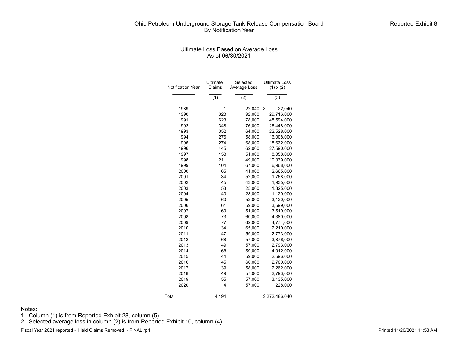#### Ultimate Loss Based on Average Loss As of 06/30/2021

|                          | Ultimate         | Selected         | <b>Ultimate Loss</b> |
|--------------------------|------------------|------------------|----------------------|
| <b>Notification Year</b> | Claims           | Average Loss     | $(1) \times (2)$     |
|                          | $\overline{(1)}$ | $\overline{(2)}$ | (3)                  |
| 1989                     | 1                | 22,040           | \$<br>22,040         |
| 1990                     | 323              | 92,000           | 29,716,000           |
| 1991                     | 623              | 78,000           | 48,594,000           |
| 1992                     | 348              | 76,000           | 26,448,000           |
| 1993                     | 352              | 64,000           | 22,528,000           |
| 1994                     | 276              | 58,000           | 16,008,000           |
| 1995                     | 274              | 68,000           | 18,632,000           |
| 1996                     | 445              | 62,000           | 27,590,000           |
| 1997                     | 158              | 51,000           | 8,058,000            |
| 1998                     | 211              | 49,000           | 10,339,000           |
| 1999                     | 104              | 67,000           | 6,968,000            |
| 2000                     | 65               | 41,000           | 2,665,000            |
| 2001                     | 34               | 52,000           | 1,768,000            |
| 2002                     | 45               | 43,000           | 1,935,000            |
| 2003                     | 53               | 25,000           | 1,325,000            |
| 2004                     | 40               | 28,000           | 1,120,000            |
| 2005                     | 60               | 52,000           | 3,120,000            |
| 2006                     | 61               | 59,000           | 3,599,000            |
| 2007                     | 69               | 51,000           | 3,519,000            |
| 2008                     | 73               | 60,000           | 4,380,000            |
| 2009                     | 77               | 62,000           | 4,774,000            |
| 2010                     | 34               | 65,000           | 2,210,000            |
| 2011                     | 47               | 59,000           | 2,773,000            |
| 2012                     | 68               | 57,000           | 3,876,000            |
| 2013                     | 49               | 57,000           | 2,793,000            |
| 2014                     | 68               | 59,000           | 4,012,000            |
| 2015                     | 44               | 59,000           | 2,596,000            |
| 2016                     | 45               | 60,000           | 2,700,000            |
| 2017                     | 39               | 58,000           | 2,262,000            |
| 2018                     | 49               | 57,000           | 2,793,000            |
| 2019                     | 55               | 57,000           | 3,135,000            |
| 2020                     | $\overline{4}$   | 57,000           | 228,000              |
| Total                    | 4,194            |                  | \$272,486,040        |

Notes:

1. Column (1) is from Reported Exhibit 28, column (5).

2. Selected average loss in column (2) is from Reported Exhibit 10, column (4).

Fiscal Year 2021 reported - Held Claims Removed - FINAL.rp4 **Printed 11/20/2021 11:53 AM**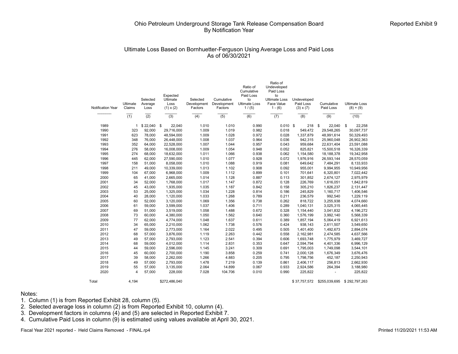## Ultimate Loss Based on Bornhuetter-Ferguson Using Average Loss and Paid Loss As of 06/30/2021

| <b>Notification Year</b> | Ultimate<br>Claims | Selected<br>Average<br>Loss | Expected<br>Ultimate<br>Loss<br>$(1) \times (2)$ | Selected<br>Development<br>Factors | Cumulative<br>Development<br>Factors | Ratio of<br>Cumulative<br>Paid Loss<br>to<br><b>Ultimate Loss</b><br>1/(5) | Ratio of<br>Undeveloped<br>Paid Loss<br>to<br><b>Ultimate Loss</b><br>Face Value<br>$1 - (6)$ | Undeveloped<br>Paid Loss<br>$(3) \times (7)$ | Cumulative<br>Paid Loss | <b>Ultimate Loss</b><br>$(8) + (9)$ |
|--------------------------|--------------------|-----------------------------|--------------------------------------------------|------------------------------------|--------------------------------------|----------------------------------------------------------------------------|-----------------------------------------------------------------------------------------------|----------------------------------------------|-------------------------|-------------------------------------|
|                          | $\overline{(1)}$   | $\overline{(2)}$            | (3)                                              | (4)                                | (5)                                  | (6)                                                                        | (7)                                                                                           | (8)                                          | (9)                     | (10)                                |
|                          |                    |                             |                                                  |                                    |                                      |                                                                            |                                                                                               |                                              |                         |                                     |
| 1989                     |                    | \$22,040                    | \$<br>22,040                                     | 1.010                              | 1.010                                | 0.990                                                                      | $0.010$ \$                                                                                    | 218                                          | \$<br>22.040            | \$<br>22,258                        |
| 1990                     | 323                | 92,000                      | 29,716,000                                       | 1.009                              | 1.019                                | 0.982                                                                      | 0.018                                                                                         | 549,472                                      | 29,548,265              | 30,097,737                          |
| 1991                     | 623                | 78,000                      | 48,594,000                                       | 1.009                              | 1.028                                | 0.972                                                                      | 0.028                                                                                         | 1,337,879                                    | 48,991,614              | 50,329,493                          |
| 1992                     | 348                | 76,000                      | 26,448,000                                       | 1.008                              | 1.037                                | 0.964                                                                      | 0.036                                                                                         | 942,315                                      | 25,960,048              | 26,902,363                          |
| 1993                     | 352                | 64,000                      | 22,528,000                                       | 1.007                              | 1.044                                | 0.957                                                                      | 0.043                                                                                         | 959,684                                      | 22,631,404              | 23,591,088                          |
| 1994                     | 276                | 58,000                      | 16,008,000                                       | 1.009                              | 1.054                                | 0.948                                                                      | 0.052                                                                                         | 825,821                                      | 15,500,518              | 16,326,339                          |
| 1995                     | 274                | 68,000                      | 18,632,000                                       | 1.011                              | 1.066                                | 0.938                                                                      | 0.062                                                                                         | 1,154,580                                    | 18,188,378              | 19,342,958                          |
| 1996                     | 445                | 62,000                      | 27,590,000                                       | 1.010                              | 1.077                                | 0.928                                                                      | 0.072                                                                                         | 1,976,916                                    | 26,593,144              | 28,570,059                          |
| 1997                     | 158                | 51,000                      | 8,058,000                                        | 1.010                              | 1.088                                | 0.919                                                                      | 0.081                                                                                         | 649,642                                      | 7,484,291               | 8,133,933                           |
| 1998                     | 211                | 49,000                      | 10,339,000                                       | 1.013                              | 1.102                                | 0.908                                                                      | 0.092                                                                                         | 955,001                                      | 9,994,955               | 10,949,956                          |
| 1999                     | 104                | 67.000                      | 6,968,000                                        | 1.009                              | 1.112                                | 0.899                                                                      | 0.101                                                                                         | 701.641                                      | 6,320,801               | 7,022,442                           |
| 2000                     | 65                 | 41,000                      | 2,665,000                                        | 1.014                              | 1.128                                | 0.887                                                                      | 0.113                                                                                         | 301,852                                      | 2,674,127               | 2,975,979                           |
| 2001                     | 34                 | 52,000                      | 1,768,000                                        | 1.017                              | 1.147                                | 0.872                                                                      | 0.128                                                                                         | 226.769                                      | 1,616,051               | 1,842,819                           |
| 2002                     | 45                 | 43,000                      | 1,935,000                                        | 1.035                              | 1.187                                | 0.842                                                                      | 0.158                                                                                         | 305,210                                      | 1,826,237               | 2,131,447                           |
| 2003                     | 53                 | 25,000                      | 1.325.000                                        | 1.034                              | 1.228                                | 0.814                                                                      | 0.186                                                                                         | 245.829                                      | 1.160.717               | 1,406,546                           |
| 2004                     | 40                 | 28,000                      | 1,120,000                                        | 1.033                              | 1.268                                | 0.789                                                                      | 0.211                                                                                         | 236.579                                      | 992.540                 | 1,229,119                           |
| 2005                     | 60                 | 52,000                      | 3,120,000                                        | 1.069                              | 1.356                                | 0.738                                                                      | 0.262                                                                                         | 818,722                                      | 3,255,938               | 4,074,660                           |
| 2006                     | 61                 | 59,000                      | 3,599,000                                        | 1.037                              | 1.406                                | 0.711                                                                      | 0.289                                                                                         | 1,040,131                                    | 3,025,315               | 4,065,445                           |
| 2007                     | 69                 | 51,000                      | 3,519,000                                        | 1.058                              | 1.488                                | 0.672                                                                      | 0.328                                                                                         | 1,154,440                                    | 3,041,832               | 4,196,272                           |
| 2008                     | 73                 | 60,000                      | 4,380,000                                        | 1.050                              | 1.562                                | 0.640                                                                      | 0.360                                                                                         | 1,576,199                                    | 3,992,140               | 5,568,339                           |
| 2009                     | 77                 | 62,000                      | 4,774,000                                        | 1.048                              | 1.637                                | 0.611                                                                      | 0.389                                                                                         | 1,857,194                                    | 5,064,419               | 6,921,613                           |
| 2010                     | 34                 | 65,000                      | 2,210,000                                        | 1.062                              | 1.738                                | 0.576                                                                      | 0.424                                                                                         | 938,143                                      | 2,611,507               | 3,549,650                           |
| 2011                     | 47                 | 59,000                      | 2,773,000                                        | 1.164                              | 2.022                                | 0.495                                                                      | 0.505                                                                                         | 1,401,400                                    | 1,492,673               | 2,894,074                           |
| 2012                     | 68                 | 57,000                      | 3,876,000                                        | 1.119                              | 2.263                                | 0.442                                                                      | 0.558                                                                                         | 2,162,981                                    | 2,474,585               | 4,637,566                           |
| 2013                     | 49                 | 57,000                      | 2,793,000                                        | 1.123                              | 2.541                                | 0.394                                                                      | 0.606                                                                                         | 1,693,748                                    | 1,775,979               | 3,469,727                           |
| 2014                     | 68                 | 59,000                      | 4,012,000                                        | 1.114                              | 2.831                                | 0.353                                                                      | 0.647                                                                                         | 2,594,794                                    | 4,401,336               | 6,996,129                           |
| 2015                     | 44                 | 59,000                      | 2,596,000                                        | 1.145                              | 3.241                                | 0.309                                                                      | 0.691                                                                                         | 1,795,003                                    | 1,749,098               | 3,544,101                           |
| 2016                     | 45                 | 60,000                      | 2,700,000                                        | 1.190                              | 3.858                                | 0.259                                                                      | 0.741                                                                                         | 2,000,128                                    | 1,676,349               | 3,676,476                           |
| 2017                     | 39                 | 58,000                      | 2,262,000                                        | 1.266                              | 4.883                                | 0.205                                                                      | 0.795                                                                                         | 1,798,756                                    | 452,187                 | 2,250,943                           |
| 2018                     | 49                 | 57,000                      | 2,793,000                                        | 1.478                              | 7.219                                | 0.139                                                                      | 0.861                                                                                         | 2,406,117                                    | 256,813                 | 2,662,930                           |
| 2019                     | 55                 | 57,000                      | 3,135,000                                        | 2.064                              | 14.899                               | 0.067                                                                      | 0.933                                                                                         | 2,924,586                                    | 264,394                 | 3,188,980                           |
| 2020                     | 4                  | 57,000                      | 228,000                                          | 7.028                              | 104.706                              | 0.010                                                                      | 0.990                                                                                         | 225,822                                      |                         | 225,822                             |
| Total                    | 4.194              |                             | \$272.486.040                                    |                                    |                                      |                                                                            |                                                                                               | \$37,757,572                                 | \$255.039.695           | \$292.797.263                       |

#### Notes:

1. Column (1) is from Reported Exhibit 28, column (5).

2. Selected average loss in column (2) is from Reported Exhibit 10, column (4).

3. Development factors in columns (4) and (5) are selected in Reported Exhibit 7.

4. Cumulative Paid Loss in column (9) is estimated using values available at April 30, 2021.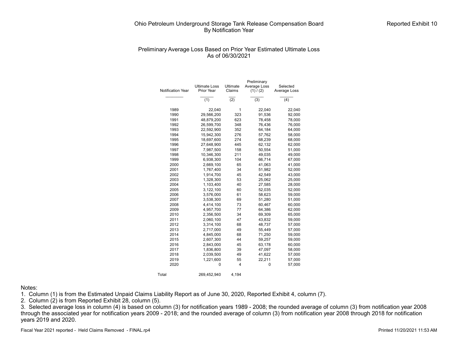## Preliminary Average Loss Based on Prior Year Estimated Ultimate Loss As of 06/30/2021

|                   |                      |                  | Preliminary  |              |
|-------------------|----------------------|------------------|--------------|--------------|
|                   | <b>Ultimate Loss</b> | Ultimate         | Average Loss | Selected     |
| Notification Year | Prior Year           | Claims           | (1) / (2)    | Average Loss |
|                   |                      |                  |              |              |
|                   | (1)                  | $\overline{(2)}$ | (3)          | (4)          |
| 1989              | 22,040               | 1                | 22,040       | 22,040       |
| 1990              | 29,566,200           | 323              | 91,536       | 92,000       |
| 1991              | 48,879,200           | 623              | 78,458       | 78,000       |
| 1992              | 26,599,700           | 348              | 76,436       | 76,000       |
| 1993              | 22,592,900           | 352              | 64,184       | 64,000       |
| 1994              | 15,942,300           | 276              | 57,762       | 58,000       |
| 1995              | 18,697,600           | 274              | 68,239       | 68,000       |
| 1996              | 27,648,900           | 445              | 62,132       | 62,000       |
| 1997              | 7,987,500            | 158              | 50,554       | 51,000       |
| 1998              | 10,346,300           | 211              | 49,035       | 49,000       |
| 1999              | 6,938,300            | 104              | 66,714       | 67,000       |
| 2000              | 2,669,100            | 65               | 41,063       | 41,000       |
| 2001              | 1,767,400            | 34               | 51,982       | 52,000       |
| 2002              | 1,914,700            | 45               | 42,549       | 43,000       |
| 2003              | 1,328,300            | 53               | 25,062       | 25,000       |
| 2004              | 1,103,400            | 40               | 27,585       | 28,000       |
| 2005              | 3,122,100            | 60               | 52,035       | 52,000       |
| 2006              | 3,576,000            | 61               | 58,623       | 59,000       |
| 2007              | 3,538,300            | 69               | 51,280       | 51,000       |
| 2008              | 4,414,100            | 73               | 60,467       | 60,000       |
| 2009              | 4,957,700            | 77               | 64,386       | 62,000       |
| 2010              | 2,356,500            | 34               | 69,309       | 65,000       |
| 2011              | 2,060,100            | 47               | 43,832       | 59,000       |
| 2012              | 3,314,100            | 68               | 48,737       | 57,000       |
| 2013              | 2,717,000            | 49               | 55,449       | 57,000       |
| 2014              | 4,845,000            | 68               | 71,250       | 59,000       |
| 2015              | 2,607,300            | 44               | 59,257       | 59,000       |
| 2016              | 2,843,000            | 45               | 63,178       | 60,000       |
| 2017              | 1,836,800            | 39               | 47,097       | 58,000       |
| 2018              | 2,039,500            | 49               | 41,622       | 57,000       |
| 2019              | 1,221,600            | 55               | 22,211       | 57,000       |
| 2020              | 0                    | 4                | 0            | 57,000       |
| Total             | 269,452,940          | 4,194            |              |              |

#### Notes:

1. Column (1) is from the Estimated Unpaid Claims Liability Report as of June 30, 2020, Reported Exhibit 4, column (7).

2. Column  $(2)$  is from Reported Exhibit 28, column (5).

3. Selected average loss in column (4) is based on column (3) for notification years 1989 - 2008; the rounded average of column (3) from notification year 2008 through the associated year for notification years 2009 - 2018; and the rounded average of column (3) from notification year 2008 through 2018 for notification years 2019 and 2020.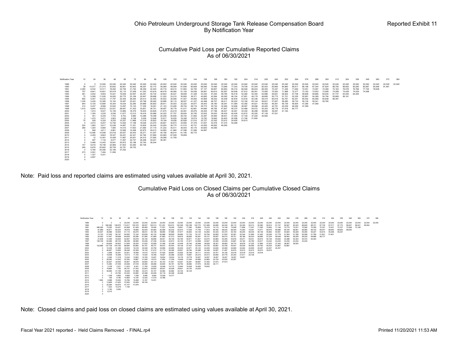## Cumulative Paid Loss per Cumulative Reported Claims As of 06/30/2021

| Notification Year |       | 24     | 36     | 48     | 60     | 72     | 84     | 96     | 108    | 120    | 132    | 144    | 156    | 168    | 180    | 192    | 204    | 216    | 228    | 240    | 252    | 264    | 276    | 288    | 300    | 312    | 324    | 336    |        | 360    |        | 384    |
|-------------------|-------|--------|--------|--------|--------|--------|--------|--------|--------|--------|--------|--------|--------|--------|--------|--------|--------|--------|--------|--------|--------|--------|--------|--------|--------|--------|--------|--------|--------|--------|--------|--------|
| 1989              |       |        | 12,000 | 22.040 | 22.040 | 22.040 | 22,040 | 22.040 | 22,040 | 22.040 | 22.040 | 22.040 | 22,040 | 22.040 | 22,040 | 22.040 | 22,040 | 22,040 | 22,040 | 22.040 | 22,040 | 22,040 | 22.040 | 22,040 | 22.040 | 22,040 | 22.040 | 22,040 | 22,040 | 22.040 | 22.040 | 22.040 |
| 1990              | 39    | 14,21  | 21.313 | 30.652 | 36,801 | 42.953 | 48,297 | 52.172 | 55,069 | 58,569 | 61.659 | 65,809 | 68.585 | 70,460 | 73,989 | 77,303 | 78,708 | 81,304 | 82,403 | 83,890 | 84,860 | 85.617 | 86,188 | 87.344 | 87.824 | 88,782 | 89.652 | 90,280 | 90.687 | 90.946 | 91.481 |        |
| 1991              | 2,390 | 6,034  | 12,311 | 18,292 | 24,706 | 31,792 | 38,359 | 42,440 | 45.716 | 49.014 | 51,663 | 54,783 | 57,127 | 59,857 | 62.683 | 65,315 | 66,046 | 68,044 | 69,383 | 70,347 | 71,226 | 71,640 | 72,051 | 73,097 | 74,369 | 75,163 | 76,076 | 76,766 | 77.725 | 78.638 |        |        |
| 1992              | 707   | 6,641  | 14.601 | 25.919 | 32.110 | 37.559 | 41,353 | 43,916 | 46.478 | 49.584 | 51.193 | 54,939 | 56.991 | 60,610 | 62.597 | 64,938 | 67,812 | 68,381 | 70,065 | 70.550 | 71,968 | 72,377 | 73,163 | 73,553 | 73,958 | 74,289 | 74,428 | 74.539 | 74.598 |        |        |        |
| 1993              | 461   | 4,932  | 9,063  | 14,421 | 19,939 | 22,597 | 25,361 | 30,732 | 32,843 | 36,427 | 38,659 | 41,326 | 43,330 | 47,293 | 48,785 | 50,418 | 52,360 | 53,340 | 54,986 | 55,651 | 56,502 | 57,706 | 58,606 | 59,666 | 60,934 | 61,737 | 63,054 | 64.294 |        |        |        |        |
| 1994              | 73    | 5,289  | 11,935 | 16,083 | 20,770 | 23,169 | 25,947 | 28,696 | 31,220 | 33,210 | 35,800 | 38,371 | 40,692 | 42,564 | 45,092 | 46,154 | 47,801 | 49,178 | 49,685 | 50,773 | 51,701 | 52,320 | 52,881 | 54.369 | 54.794 | 55.669 | 56.161 |        |        |        |        |        |
| 1995              | 850   | 5,407  | 12,233 | 17,797 | 22,305 | 26,294 | 29,413 | 32,455 | 35,522 | 39,268 | 41,927 | 44,693 | 45,899 | 48,252 | 50,208 | 50,876 | 53,616 | 55,336 | 58,415 | 60,919 | 62,767 | 64,241 | 65,042 | 65,589 | 65.848 | 66,381 |        |        |        |        |        |        |
| 1996              | 1,339 | 5,435  | 10,385 | 15,104 | 19,487 | 23,001 | 25,799 | 28,562 | 32,686 | 36,110 | 38,937 | 41,337 | 44,498 | 46,707 | 48.411 | 50,222 | 53,190 | 55,144 | 56,621 | 57,827 | 58,285 | 58,733 | 59,130 | 59.341 | 59.760 |        |        |        |        |        |        |        |
| 1997              | 944   | 6,725  | 13,994 | 16,304 | 19,534 | 22,285 | 24,866 | 26,902 | 28,911 | 30,053 | 32,222 | 34,877 | 36,443 | 38,160 | 39,291 | 41,084 | 42,392 | 44,521 | 45,552 | 46,361 | 46,739 | 46.904 | 47.260 | 47.369 |        |        |        |        |        |        |        |        |
| 1998              | 313   | 5,437  | 8,066  | 10,932 | 13,097 | 15,123 | 17,325 | 18,291 | 21,123 | 23,495 | 26,754 | 28,719 | 29,775 | 30,730 | 32,465 | 33,926 | 36,597 | 39,096 | 40,493 | 42.791 | 45,039 | 46,090 | 47.369 |        |        |        |        |        |        |        |        |        |
| 1999              | 1.015 | 9,640  | 18,872 | 23,521 | 28.647 | 31.303 | 33,601 | 36,701 | 38,497 | 39,778 | 41.917 | 42.881 | 44.690 | 46.785 | 47,807 | 49,370 | 52,486 | 54.072 | 55,353 | 56,778 | 57,618 | 60.777 |        |        |        |        |        |        |        |        |        |        |
| 2000              |       | 1.914  | 9.027  | 12,159 | 12.885 | 18,379 | 18.933 | 20,829 | 21.675 | 24.419 | 25.081 | 25.979 | 26,400 | 27,766 | 28.427 | 30.481 | 34,332 | 36,288 | 38,084 | 39.281 | 41.140 |        |        |        |        |        |        |        |        |        |        |        |
| 2001              |       | 1,355  | 3.225  | 9,536  | 11.677 | 12.513 | 18,416 | 20,968 | 24.322 | 27.757 | 29.624 | 30.705 | 32.832 | 35,003 | 36.432 | 40.426 | 43.612 | 45.320 | 47.139 | 47.531 |        |        |        |        |        |        |        |        |        |        |        |        |
| 2002              |       | 441    | 6,340  | 7,703  | 9,753  | 9,980  | 10,286 | 18,399 | 20,248 | 25.845 | 29.742 | 31,902 | 33.497 | 34,900 | 36,631 | 37.044 | 37.149 | 37.220 | 40.583 |        |        |        |        |        |        |        |        |        |        |        |        |        |
| 2003              |       | 1,475  | 2.471  | 3,853  | 5,026  | 6.198  | 9,306  | 12,648 | 15,917 | 16.420 | 18,306 | 19.574 | 19.783 | 19,940 | 20.403 | 20.598 | 21,746 | 21.900 |        |        |        |        |        |        |        |        |        |        |        |        |        |        |
| 2004              | 70    | 528    | 4.325  | 8.235  | 10.257 | 11,866 | 13.319 | 18.923 | 19.156 | 19.936 | 20.828 | 21.010 | 22.727 | 23.352 | 23.912 | 24,400 | 24.813 |        |        |        |        |        |        |        |        |        |        |        |        |        |        |        |
| 2005              |       | 3,572  | 8,207  | 12,706 | 13,593 | 17.198 | 18.026 | 23,470 | 25,601 | 30.873 | 33,850 | 37,378 | 41.637 | 43.476 | 47.372 | 54.266 |        |        |        |        |        |        |        |        |        |        |        |        |        |        |        |        |
| 2006              | 224   | 1,683  | 5.617  | 12,036 | 14.667 | 17.321 | 19.904 | 24,542 | 33,254 | 36,770 | 41.012 | 42.731 | 43.555 | 46.993 | 49.595 |        |        |        |        |        |        |        |        |        |        |        |        |        |        |        |        |        |
| 2007              | 289   | 1,204  | 5,880  | 7.590  | 14.415 | 17.653 | 21,690 | 27.119 | 31.232 | 35.511 | 39,403 | 40.175 | 40,600 | 44.085 |        |        |        |        |        |        |        |        |        |        |        |        |        |        |        |        |        |        |
| 2008              |       | 568    | 4.611  | 8.861  | 10.995 | 15.269 | 22,875 | 29,013 | 34,950 | 41.965 | 47.596 | 51.589 | 54.687 |        |        |        |        |        |        |        |        |        |        |        |        |        |        |        |        |        |        |        |
| 2009              |       | 12,090 | 14.948 | 23,518 | 25,637 | 30.403 | 35,271 | 41,007 | 45,156 | 48.914 | 61.195 | 65.772 |        |        |        |        |        |        |        |        |        |        |        |        |        |        |        |        |        |        |        |        |
| 2010              |       | 4,455  | 8.663  | 19.327 | 34.451 | 42.321 | 52,760 | 57,665 | 63,065 | 67.009 | 76.809 |        |        |        |        |        |        |        |        |        |        |        |        |        |        |        |        |        |        |        |        |        |
| 2011              |       | 12     | 13,491 | 15,408 | 17.887 | 20.921 | 24,515 | 27,692 | 30,098 | 31.759 |        |        |        |        |        |        |        |        |        |        |        |        |        |        |        |        |        |        |        |        |        |        |
| 2012              |       | 297    | 7,132  | 8,577  | 17,267 | 22,747 | 26,298 | 30.021 | 36,391 |        |        |        |        |        |        |        |        |        |        |        |        |        |        |        |        |        |        |        |        |        |        |        |
| 2013              |       | 5.466  | 13,443 | 19.941 | 25,872 | 30.198 | 32.745 | 36,244 |        |        |        |        |        |        |        |        |        |        |        |        |        |        |        |        |        |        |        |        |        |        |        |        |
| 2014              | 147   | 8.016  | 18,748 | 32,969 | 41.603 | 53.282 | 64.726 |        |        |        |        |        |        |        |        |        |        |        |        |        |        |        |        |        |        |        |        |        |        |        |        |        |
| 2015              | 249   | 6.676  | 25.693 | 29,759 | 32.781 | 39,752 |        |        |        |        |        |        |        |        |        |        |        |        |        |        |        |        |        |        |        |        |        |        |        |        |        |        |
| 2016              |       | 5,790  | 24,056 | 32,156 | 37.252 |        |        |        |        |        |        |        |        |        |        |        |        |        |        |        |        |        |        |        |        |        |        |        |        |        |        |        |
| 2017              | 273   | 2,591  | 7,494  | 11.595 |        |        |        |        |        |        |        |        |        |        |        |        |        |        |        |        |        |        |        |        |        |        |        |        |        |        |        |        |
| 2018              |       | 1,327  | 5.241  |        |        |        |        |        |        |        |        |        |        |        |        |        |        |        |        |        |        |        |        |        |        |        |        |        |        |        |        |        |
| 2019              |       | 4,807  |        |        |        |        |        |        |        |        |        |        |        |        |        |        |        |        |        |        |        |        |        |        |        |        |        |        |        |        |        |        |
| 2020              |       |        |        |        |        |        |        |        |        |        |        |        |        |        |        |        |        |        |        |        |        |        |        |        |        |        |        |        |        |        |        |        |

Note: Paid loss and reported claims are estimated using values available at April 30, 2021.

## Cumulative Paid Loss on Closed Claims per Cumulative Closed Claims As of 06/30/2021

| 22.040<br>22.040<br>22.040<br>22.040<br>22.040<br>22.040<br>22.040<br>22.040<br>22.040<br>22.040<br>22.040<br>1989<br>$\Omega$<br>$\Omega$<br>22.040<br>0 540,082<br>149,575<br>113,917<br>105,375<br>96,507<br>101.251<br>100,510<br>102.774<br>94.695<br>1990<br>100.313<br>100.306<br>100.166<br>101.069<br>94.342 | 22,040<br>22.040<br>22.040<br>22.040<br>22.040<br>22,040<br>22,040<br>22,040<br>22,040<br>22,040<br>22,040<br>22.040<br>22,040<br>22.040<br>22.040<br>22.040<br>22.040<br>85.934<br>96.112<br>93.329<br>92.382<br>91.747<br>90.222<br>89.845<br>88.731<br>87,735<br>87.170<br>86.441<br>93.013<br>90.914<br>90.847<br>87.517<br>86.647 |
|-----------------------------------------------------------------------------------------------------------------------------------------------------------------------------------------------------------------------------------------------------------------------------------------------------------------------|----------------------------------------------------------------------------------------------------------------------------------------------------------------------------------------------------------------------------------------------------------------------------------------------------------------------------------------|
|                                                                                                                                                                                                                                                                                                                       |                                                                                                                                                                                                                                                                                                                                        |
|                                                                                                                                                                                                                                                                                                                       |                                                                                                                                                                                                                                                                                                                                        |
| 73.355<br>54,268<br>76.249<br>76,859<br>53.451<br>61.429<br>69.482<br>76,494<br>77,537<br>78.641<br>77,090<br>74.148<br>496.360<br>75.316<br>74.115<br>1991                                                                                                                                                           | 71.062<br>70.356<br>70.107<br>70.185<br>72.948<br>71,858<br>71.007<br>70.962<br>71.146<br>70.775<br>70.231<br>70,590<br>70.337<br>70.421<br>70.268                                                                                                                                                                                     |
| 82.232<br>40.971<br>60.023<br>76.916<br>78.685<br>82.544<br>84.983<br>82.596<br>83.573<br>69.762<br>68,534<br>81,989<br>77.035<br>77,749<br>71.812<br>1992                                                                                                                                                            | 69.305<br>70.290<br>70,091<br>69.991<br>69.102<br>69.047<br>68,840<br>68.635<br>68,635<br>70.471<br>69,986<br>69.164<br>69,960<br>69.916                                                                                                                                                                                               |
| 43.644<br>60.275<br>54.126<br>57.856<br>54,370<br>40,527<br>36,589<br>51.115<br>58.031<br>58,965<br>57.577<br>55.842<br>54,139<br>53.462<br>54,333<br>1993                                                                                                                                                            | 55.150<br>55,337<br>56.245<br>56.035<br>56,138<br>55.962<br>54.991<br>54,824<br>55.228<br>55.095<br>55.227<br>54.814<br>55.458                                                                                                                                                                                                         |
| 10,120<br>51,545<br>58.197<br>64,593<br>72.124<br>60.132<br>62,688<br>58,829<br>51,733<br>53,127<br>50,794<br>50,655<br>51.520<br>63.639<br>56.682<br>1994                                                                                                                                                            | 52,361<br>52,344<br>51,884<br>51,492<br>51,924<br>51,766<br>52.058<br>51,769<br>51,601<br>51,601<br>52.036<br>51,778                                                                                                                                                                                                                   |
| 41.447<br>64.625<br>60.296<br>61.869<br>61.013<br>55.267<br>55.107<br>55.837<br>56,010<br>24,300<br>59,698<br>61.584<br>61.883<br>58,616<br>58.855<br>1995                                                                                                                                                            | 58,777<br>55.721<br>58.942<br>59.259<br>59.224<br>58,968<br>56,188<br>56,243<br>56,680<br>57.234<br>58,048                                                                                                                                                                                                                             |
| 52.927<br>49.856<br>21.638<br>31.046<br>43.654<br>54.818<br>55.194<br>48.149<br>51,827<br>52.863<br>53.355<br>48.441<br>50.165<br>50.671<br>53.074<br>1996                                                                                                                                                            | 54.344<br>54.372<br>54,304<br>53.816<br>55.271<br>55.031<br>55.615<br>54.693<br>54.386<br>55.146                                                                                                                                                                                                                                       |
| 47.236<br>149.129<br>62,499<br>68.104<br>58.238<br>58,566<br>42.610<br>43.568<br>43,440<br>43.039<br>53.246<br>43.344<br>40.145<br>41.617<br>43.627<br>1997                                                                                                                                                           | 43.232<br>43.232<br>43.232<br>43.232<br>43.691<br>44.162<br>45.782<br>44.617<br>43.232                                                                                                                                                                                                                                                 |
| 64.629<br>50.602<br>51.845<br>36.334<br>32.269<br>31.056<br>32.348<br>35.140<br>35.948<br>36,628<br>36,351<br>36,993<br>31.932<br>32.449<br>1998<br>$^{\circ}$                                                                                                                                                        | 36,520<br>36,774<br>37.322<br>37,865<br>37.523<br>37.342<br>36.847<br>36,678                                                                                                                                                                                                                                                           |
| 137,738<br>104.193<br>88.684<br>60.892<br>48.737<br>50,454<br>49.138<br>51,437<br>52.435<br>54.725<br>53.756<br>1999<br>102.896<br>50.161<br>49,912<br>55,667                                                                                                                                                         | 54,007<br>55,036<br>56,590<br>54,783<br>53.867<br>53.867<br>55.034                                                                                                                                                                                                                                                                     |
| 23.759<br>12,439<br>31.496<br>23.633<br>19.318<br>24.048<br>23.956<br>22.905<br>24.971<br>25.122<br>24,409<br>24,630<br>24,080<br>25,204<br>2000<br>$^{\circ}$                                                                                                                                                        | 24.257<br>24.655<br>24.257<br>24.257<br>24.829<br>24.934                                                                                                                                                                                                                                                                               |
| 46,067<br>15,665<br>28,446<br>30,066<br>22.308<br>16.125<br>21,610<br>21,710<br>26,096<br>29,657<br>28,784<br>32,348<br>32.827<br>31,497<br>2001<br>$\Omega$                                                                                                                                                          | 30,615<br>30,615<br>30,615<br>30.615<br>30.615                                                                                                                                                                                                                                                                                         |
| 23.921<br>18,358<br>28,897<br>33.922<br>35.784<br>34.711<br>34.701<br>34.192<br>2.699<br>30.391<br>14.515<br>14.515<br>27,420<br>34.433<br>2002<br>$\Omega$                                                                                                                                                           | 33.518<br>33.518<br>33,518<br>33.518                                                                                                                                                                                                                                                                                                   |
| 19,548<br>16,368<br>11.100<br>13,420<br>16.785<br>19,527<br>20.286<br>20.520<br>19.667<br>20.272<br>20.513<br>20.694<br>20.776<br>2003<br>12.013<br>$^{\circ}$                                                                                                                                                        | 20.343<br>21.611<br>20.106                                                                                                                                                                                                                                                                                                             |
| 19.634<br>18.257<br>18.257<br>18.257<br>18.257<br>2004<br>5.284<br>11.316<br>13.244<br>13,802<br>14,760<br>13.937<br>19.634<br>19.176<br>18,778<br>$\Omega$                                                                                                                                                           | 18.257<br>18.257                                                                                                                                                                                                                                                                                                                       |
| 22,724<br>28,383<br>22,350<br>19,887<br>15.072<br>17.852<br>17.339<br>20.856<br>22.983<br>22.520<br>14.342<br>21.062<br>19.458<br>21.024<br>2005                                                                                                                                                                      | 22.257                                                                                                                                                                                                                                                                                                                                 |
| 36,578<br>37.573<br>37.573<br>20.527<br>34.942<br>40.907<br>35,800<br>34.170<br>35.103<br>41,501<br>43.921<br>40.391<br>38,687<br>37.352<br>2006                                                                                                                                                                      |                                                                                                                                                                                                                                                                                                                                        |
| 37.975<br>10.382<br>27.049<br>24.938<br>27.518<br>25,460<br>28,586<br>32,600<br>35.191<br>36,752<br>38.582<br>36.352<br>36.111<br>2007<br>$\Omega$                                                                                                                                                                    |                                                                                                                                                                                                                                                                                                                                        |
| 11,203<br>3.108<br>3.331<br>8.441<br>11.782<br>13.935<br>14,710<br>15,944<br>16.029<br>16,483<br>16.642<br>16,448<br>2008<br>$\Omega$                                                                                                                                                                                 |                                                                                                                                                                                                                                                                                                                                        |
| 2009<br>19,864<br>7.793<br>28.191<br>21.423<br>23.943<br>25.922<br>28,537<br>30,028<br>34.120<br>33.632<br>29.601                                                                                                                                                                                                     |                                                                                                                                                                                                                                                                                                                                        |
| 18.229<br>37,488<br>33.157<br>32,582<br>32,682<br>30.104<br>39,285<br>31.156<br>33,373<br>30.104<br>2010<br>$^{\circ}$                                                                                                                                                                                                |                                                                                                                                                                                                                                                                                                                                        |
| 20.328<br>23.782<br>23.322<br>23,580<br>23.398<br>22.048<br>22.119<br>20,328<br>2011<br>$\Omega$                                                                                                                                                                                                                      |                                                                                                                                                                                                                                                                                                                                        |
| 5.668<br>7,259<br>10.538<br>10.317<br>1,348<br>9.485<br>9,954<br>2012<br>4.805                                                                                                                                                                                                                                        |                                                                                                                                                                                                                                                                                                                                        |
| 165<br>10.965<br>13.150<br>12.302<br>9.185<br>11.079<br>10.788<br>2013                                                                                                                                                                                                                                                |                                                                                                                                                                                                                                                                                                                                        |
| 10.093<br>15.784<br>15.268<br>13.231<br>5.689<br>13.167<br>2014<br>1.994<br>41.624<br>37.620<br>33,408<br>29.150<br>13,829<br>$\Omega$                                                                                                                                                                                |                                                                                                                                                                                                                                                                                                                                        |
| 2015<br>47.107<br>54.670<br>41.979                                                                                                                                                                                                                                                                                    |                                                                                                                                                                                                                                                                                                                                        |
| 22,294<br>2016<br>$^{\circ}$<br>10.279<br>7.194<br>1,523<br>2017<br>$^{\circ}$                                                                                                                                                                                                                                        |                                                                                                                                                                                                                                                                                                                                        |
| 3,190<br>5.093<br>2018                                                                                                                                                                                                                                                                                                |                                                                                                                                                                                                                                                                                                                                        |
| 6.210<br>2019                                                                                                                                                                                                                                                                                                         |                                                                                                                                                                                                                                                                                                                                        |
| 2020<br>$\Omega$                                                                                                                                                                                                                                                                                                      |                                                                                                                                                                                                                                                                                                                                        |

Note: Closed claims and paid loss on closed claims are estimated using values available at April 30, 2021.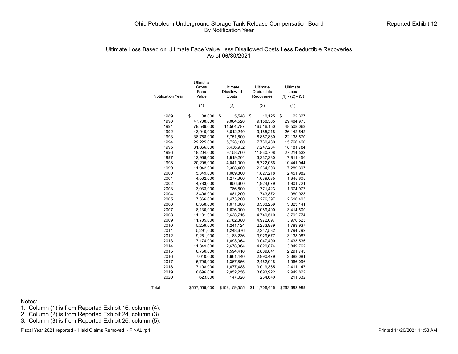## Ultimate Loss Based on Ultimate Face Value Less Disallowed Costs Less Deductible Recoveries As of 06/30/2021

|                          | Ultimate      |                               |                        |                   |
|--------------------------|---------------|-------------------------------|------------------------|-------------------|
|                          | Gross<br>Face | Ultimate<br><b>Disallowed</b> | Ultimate<br>Deductible | Ultimate<br>Loss  |
| <b>Notification Year</b> | Value         | Costs                         | Recoveries             | $(1) - (2) - (3)$ |
|                          |               |                               |                        |                   |
|                          | (1)           | (2)                           | (3)                    | (4)               |
| 1989                     | \$<br>38,000  | \$<br>5,548                   | \$                     | \$<br>22,327      |
| 1990                     | 47,708,000    | 9,064,520                     | 10,125<br>9,158,505    | 29,484,975        |
| 1991                     | 79,589,000    | 14,564,787                    | 16,516,150             | 48,508,063        |
| 1992                     | 43,940,000    | 8,612,240                     | 9,185,218              | 26,142,542        |
| 1993                     | 38,758,000    | 7,751,600                     | 8,867,830              | 22,138,570        |
| 1994                     | 29,225,000    | 5,728,100                     | 7,730,480              | 15,766,420        |
| 1995                     | 31,866,000    | 6,436,932                     | 7,247,284              | 18, 181, 784      |
| 1996                     | 48,204,000    | 9,158,760                     | 11,830,708             | 27,214,532        |
| 1997                     | 12,968,000    | 1,919,264                     | 3,237,280              | 7,811,456         |
| 1998                     | 20,205,000    | 4,041,000                     | 5,722,056              | 10,441,944        |
| 1999                     | 11,942,000    | 2,388,400                     | 2,264,203              | 7,289,397         |
|                          |               |                               |                        |                   |
| 2000                     | 5,349,000     | 1,069,800                     | 1,827,218              | 2,451,982         |
| 2001                     | 4,562,000     | 1,277,360                     | 1,639,035              | 1,645,605         |
| 2002                     | 4,783,000     | 956,600                       | 1,924,679              | 1,901,721         |
| 2003                     | 3,933,000     | 786,600                       | 1,771,423              | 1,374,977         |
| 2004                     | 3,406,000     | 681,200                       | 1,743,872              | 980,928           |
| 2005                     | 7,366,000     | 1,473,200                     | 3,276,397              | 2,616,403         |
| 2006                     | 8,358,000     | 1,671,600                     | 3,363,259              | 3,323,141         |
| 2007                     | 8,130,000     | 1,626,000                     | 3,089,400              | 3,414,600         |
| 2008                     | 11,181,000    | 2,638,716                     | 4,749,510              | 3,792,774         |
| 2009                     | 11,705,000    | 2,762,380                     | 4,972,097              | 3,970,523         |
| 2010                     | 5,259,000     | 1,241,124                     | 2,233,939              | 1,783,937         |
| 2011                     | 5,291,000     | 1,248,676                     | 2,247,532              | 1,794,792         |
| 2012                     | 9,251,000     | 2,183,236                     | 3,929,677              | 3,138,087         |
| 2013                     | 7,174,000     | 1,693,064                     | 3,047,400              | 2,433,536         |
| 2014                     | 11,349,000    | 2,678,364                     | 4,820,874              | 3,849,762         |
| 2015                     | 6,756,000     | 1,594,416                     | 2,869,841              | 2,291,743         |
| 2016                     | 7,040,000     | 1,661,440                     | 2,990,479              | 2,388,081         |
| 2017                     | 5,796,000     | 1,367,856                     | 2,462,048              | 1,966,096         |
| 2018                     | 7,108,000     | 1,677,488                     | 3,019,365              | 2,411,147         |
| 2019                     | 8,696,000     | 2,052,256                     | 3,693,922              | 2,949,822         |
| 2020                     | 623,000       | 147,028                       | 264,640                | 211,332           |
| Total                    | \$507,559,000 | \$102,159,555                 | \$141,706,446          | \$263,692,999     |

Notes:

1. Column (1) is from Reported Exhibit 16, column (4).

2. Column  $(2)$  is from Reported Exhibit 24, column  $(3)$ .

3. Column (3) is from Reported Exhibit 26, column (5).

Fiscal Year 2021 reported - Held Claims Removed - FINAL.rp4 **Printed 11/20/2021 11:53 AM**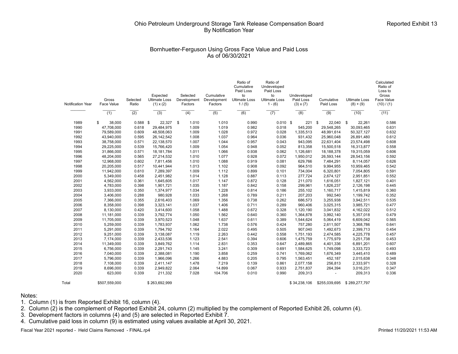## Bornhuetter-Ferguson Using Gross Face Value and Paid Loss As of 06/30/2021

| Notification Year | Gross<br>Face Value      | Selected<br>Ratio | Expected<br><b>Ultimate Loss</b><br>$(1) \times (2)$ | Selected<br>Development<br>Factors | Cumulative<br>Development<br>Factors | Ratio of<br>Cumulative<br>Paid Loss<br>to<br><b>Ultimate Loss</b><br>1/(5) | Ratio of<br>Undeveloped<br>Paid Loss<br>to<br><b>Ultimate Loss</b><br>$1 - (6)$ | Undeveloped<br>Paid Loss<br>$(3) \times (7)$ | Cumulative<br>Paid Loss  | <b>Ultimate Loss</b><br>$(8) + (9)$ | Calculated<br>Ratio of<br>Loss to<br>Gross<br>Face Value<br>(10) / (1) |
|-------------------|--------------------------|-------------------|------------------------------------------------------|------------------------------------|--------------------------------------|----------------------------------------------------------------------------|---------------------------------------------------------------------------------|----------------------------------------------|--------------------------|-------------------------------------|------------------------------------------------------------------------|
|                   | (1)                      | $\overline{(2)}$  | $\overline{(3)}$                                     | $\overline{(4)}$                   | $\overline{(5)}$                     | $\overline{(6)}$                                                           | (7)                                                                             | (8)                                          | (9)                      | (10)                                | (11)                                                                   |
| 1989              | \$<br>38,000             | $0.588$ \$        | 22,327                                               | \$<br>1.010                        | 1.010                                | 0.990                                                                      | $0.010$ \$                                                                      | 221                                          | \$<br>22,040             | \$<br>22,261                        | 0.586                                                                  |
| 1990              | 47,708,000               | 0.618             | 29,484,975                                           | 1.009                              | 1.019                                | 0.982                                                                      | 0.018                                                                           | 545,200                                      | 29,548,265               | 30,093,465                          | 0.631                                                                  |
| 1991              | 79,589,000               | 0.609             | 48,508,063                                           | 1.009                              | 1.028                                | 0.972                                                                      | 0.028                                                                           | 1,335,513                                    | 48,991,614               |                                     | 0.632                                                                  |
| 1992              | 43,940,000               | 0.595             | 26, 142, 542                                         | 1.008                              | 1.037                                | 0.964                                                                      | 0.036                                                                           | 931,432                                      | 25,960,048               | 50,327,127<br>26,891,480            | 0.612                                                                  |
| 1993              | 38,758,000               | 0.571             | 22,138,570                                           | 1.007                              | 1.044                                | 0.957                                                                      | 0.043                                                                           | 943,095                                      | 22,631,404               | 23,574,498                          | 0.608                                                                  |
| 1994              | 29.225.000               | 0.539             | 15.766.420                                           | 1.009                              | 1.054                                | 0.948                                                                      | 0.052                                                                           | 813.358                                      | 15.500.518               | 16,313,877                          | 0.558                                                                  |
| 1995              | 31,866,000               | 0.571             | 18, 181, 784                                         | 1.011                              | 1.066                                | 0.938                                                                      | 0.062                                                                           | 1,126,681                                    | 18,188,378               | 19,315,059                          | 0.606                                                                  |
| 1996              |                          |                   |                                                      | 1.010                              | 1.077                                |                                                                            | 0.072                                                                           |                                              |                          |                                     | 0.592                                                                  |
| 1997              | 48,204,000<br>12,968,000 | 0.565<br>0.602    | 27,214,532<br>7,811,456                              | 1.010                              | 1.088                                | 0.928<br>0.919                                                             | 0.081                                                                           | 1,950,012<br>629,766                         | 26,593,144<br>7,484,291  | 28,543,156<br>8,114,057             | 0.626                                                                  |
| 1998              | 20,205,000               | 0.517             | 10,441,944                                           | 1.013                              | 1.102                                | 0.908                                                                      | 0.092                                                                           | 964.510                                      | 9.994.955                | 10,959,465                          | 0.542                                                                  |
| 1999              | 11,942,000               | 0.610             | 7,289,397                                            | 1.009                              | 1.112                                | 0.899                                                                      | 0.101                                                                           | 734,004                                      | 6,320,801                |                                     | 0.591                                                                  |
| 2000              | 5,349,000                | 0.458             | 2,451,982                                            | 1.014                              | 1.128                                | 0.887                                                                      | 0.113                                                                           | 277,724                                      | 2,674,127                | 7,054,805<br>2,951,851              | 0.552                                                                  |
|                   |                          |                   |                                                      |                                    | 1.147                                |                                                                            |                                                                                 |                                              |                          |                                     |                                                                        |
| 2001<br>2002      | 4,562,000                | 0.361             | 1,645,605                                            | 1.017                              | 1.187                                | 0.872                                                                      | 0.128<br>0.158                                                                  | 211,070                                      | 1,616,051                | 1,827,121                           | 0.401                                                                  |
|                   | 4,783,000                | 0.398             | 1,901,721                                            | 1.035                              |                                      | 0.842                                                                      |                                                                                 | 299,961                                      | 1,826,237                | 2,126,198                           | 0.445                                                                  |
| 2003              | 3,933,000                | 0.350             | 1,374,977                                            | 1.034                              | 1.228                                | 0.814                                                                      | 0.186                                                                           | 255,102                                      | 1,160,717                | 1,415,819                           | 0.360                                                                  |
| 2004              | 3,406,000                | 0.288             | 980,928                                              | 1.033                              | 1.268                                | 0.789                                                                      | 0.211                                                                           | 207,203                                      | 992,540                  | 1,199,742                           | 0.352                                                                  |
| 2005              | 7,366,000                | 0.355             | 2,616,403                                            | 1.069                              | 1.356                                | 0.738                                                                      | 0.262                                                                           | 686,573                                      | 3,255,938                | 3,942,511                           | 0.535                                                                  |
| 2006              | 8,358,000                | 0.398             | 3,323,141                                            | 1.037                              | 1.406                                | 0.711                                                                      | 0.289                                                                           | 960,406                                      | 3,025,315                | 3,985,721                           | 0.477                                                                  |
| 2007              | 8,130,000                | 0.420             | 3,414,600                                            | 1.058                              | 1.488                                | 0.672                                                                      | 0.328                                                                           | 1,120,190                                    | 3,041,832                | 4,162,022                           | 0.512                                                                  |
| 2008              | 11,181,000               | 0.339             | 3,792,774                                            | 1.050                              | 1.562                                | 0.640                                                                      | 0.360                                                                           | 1,364,878                                    | 3,992,140                | 5,357,018                           | 0.479                                                                  |
| 2009              | 11,705,000               | 0.339             | 3,970,523                                            | 1.048                              | 1.637                                | 0.611                                                                      | 0.389                                                                           | 1,544,624                                    | 5,064,419                | 6,609,042                           | 0.565                                                                  |
| 2010              | 5,259,000                | 0.339             | 1,783,937                                            | 1.062                              | 1.738                                | 0.576                                                                      | 0.424                                                                           | 757,280                                      | 2,611,507                | 3,368,786                           | 0.641                                                                  |
| 2011              | 5,291,000                | 0.339             | 1,794,792                                            | 1.164                              | 2.022                                | 0.495                                                                      | 0.505                                                                           | 907.040                                      | 1,492,673                | 2,399,713                           | 0.454                                                                  |
| 2012              | 9,251,000                | 0.339             | 3,138,087                                            | 1.119                              | 2.263                                | 0.442                                                                      | 0.558                                                                           | 1,751,193                                    | 2,474,585                | 4,225,778                           | 0.457                                                                  |
| 2013              | 7,174,000                | 0.339             | 2,433,536                                            | 1.123                              | 2.541                                | 0.394                                                                      | 0.606                                                                           | 1,475,759                                    | 1,775,979                | 3,251,738                           | 0.453                                                                  |
| 2014              | 11,349,000               | 0.339             | 3,849,762                                            | 1.114                              | 2.831                                | 0.353                                                                      | 0.647                                                                           | 2,489,865                                    | 4,401,336                | 6,891,201                           | 0.607                                                                  |
| 2015              | 6,756,000                | 0.339             | 2,291,743                                            | 1.145                              | 3.241                                | 0.309                                                                      | 0.691                                                                           | 1,584,625                                    | 1,749,098                | 3,333,723                           | 0.493                                                                  |
| 2016              | 7,040,000                | 0.339             | 2,388,081                                            | 1.190                              | 3.858                                | 0.259                                                                      | 0.741                                                                           | 1,769,062                                    | 1,676,349                | 3,445,410                           | 0.489                                                                  |
| 2017              | 5,796,000                | 0.339             | 1,966,096                                            | 1.266                              | 4.883                                | 0.205                                                                      | 0.795                                                                           | 1,563,451                                    | 452,187                  | 2,015,638                           | 0.348                                                                  |
| 2018              | 7,108,000                | 0.339             | 2,411,147                                            | 1.478                              | 7.219                                | 0.139                                                                      | 0.861                                                                           | 2,077,158                                    | 256,813                  | 2,333,971                           | 0.328                                                                  |
| 2019              | 8,696,000                | 0.339             | 2,949,822                                            | 2.064                              | 14.899                               | 0.067                                                                      | 0.933                                                                           | 2,751,837                                    | 264,394                  | 3,016,231                           | 0.347                                                                  |
| 2020              | 623,000                  | 0.339             | 211,332                                              | 7.028                              | 104.706                              | 0.010                                                                      | 0.990                                                                           | 209,313                                      | $\overline{\phantom{a}}$ | 209,313                             | 0.336                                                                  |
| Total             | \$507,559,000            |                   | \$263,692,999                                        |                                    |                                      |                                                                            |                                                                                 | \$34,238,106                                 | \$255,039,695            | \$289,277,797                       |                                                                        |

#### Notes:

1. Column (1) is from Reported Exhibit 16, column (4).

2. Column (2) is the complement of Reported Exhibit 24, column (2) multiplied by the complement of Reported Exhibit 26, column (4).

3. Development factors in columns (4) and (5) are selected in Reported Exhibit 7.

4. Cumulative paid loss in column (9) is estimated using values available at April 30, 2021.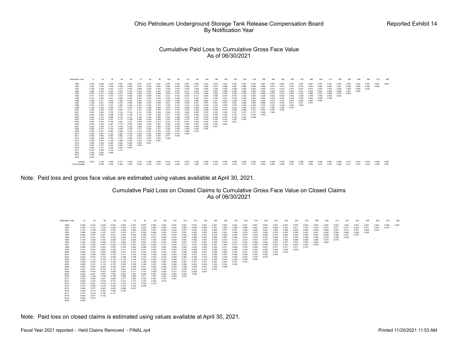#### Cumulative Paid Loss to Cumulative Gross Face Value As of 06/30/2021

| Notification Year | 12             | 24             | 36             | 48             | 60             | 72             | 84             | 96             | 108            | 120            | 132            | 144            | 156            | 168            | 180            | 192            | 204   | 216   | 228   | 240   | 252   | 264   | 276   | 288   | 300   | 312   | 324   | 336   | 348   | 360   | 372   | 384   |
|-------------------|----------------|----------------|----------------|----------------|----------------|----------------|----------------|----------------|----------------|----------------|----------------|----------------|----------------|----------------|----------------|----------------|-------|-------|-------|-------|-------|-------|-------|-------|-------|-------|-------|-------|-------|-------|-------|-------|
| 1989              | 0.000          | 0.000          | 0.320          | 0.587          | 0.587          | 0.587          | 0.587          | 0.587          | 0.587          | 0.587          | 0.587          | 0.587          | 0.587          | 0.587          | 0.587          | 0.587          | 0.587 | 0.587 | 0.587 | 0.587 | 0.587 | 0.587 | 0.587 | 0.587 | 0.587 | 0.587 | 0.587 | 0.587 | 0.587 | 0.587 | 0.587 | 0.587 |
| 1990              | 0.002          | 0.318          | 0.334          | 0.438          | 0.469          | 0.507          | 0.546          | 0.560          | 0.564          | 0.539          | 0.558          | 0.577          | 0.566          | 0.573          | 0.586          | 0.597          | 0.598 | 0.608 | 0.608 | 0.614 | 0.615 | 0.616 | 0.618 | 0.622 | 0.620 | 0.623 | 0.627 | 0.629 | 0.629 | 0.630 | 0.630 |       |
| 1991              | 0.180          | 0.196          | 0.303          | 0.372          | 0.425          | 0.488          | 0.530          | 0.553          | 0.509          | 0.534          | 0.542          | 0.548          | 0.555          | 0.565          | 0.582          | 0.596          | 0.593 | 0.602 | 0.609 | 0.611 | 0.613 | 0.612 | 0.612 | 0.616 | 0.620 | 0.622 | 0.626 | 0.625 | 0.628 | 0.630 |       |       |
| 1992              | 0.085          | 0.242          | 0.324          | 0.474          | 0.473          | 0.519          | 0.544          | 0.491          | 0.509          | 0.521          | 0.512          | 0.532          | 0.540          | 0.557          | 0.558          | 0.565          | 0.584 | 0.583 | 0.590 | 0.590 | 0.597 | 0.597 | 0.601 | 0.603 | 0.604 | 0.606 | 0.606 | 0.607 | 0.607 |       |       |       |
| 1993              | 0.084          | 0.314          | 0.356          | 0.437          | 0.496          | 0.504          | 0.393          | 0.448          | 0.448          | 0.457          | 0.464          | 0.479          | 0.494          | 0.528          | 0.535          | 0.542          | 0.554 | 0.557 | 0.568 | 0.570 | 0.573 | 0.580 | 0.582 | 0.586 | 0.591 | 0.589 | 0.597 | 0.603 |       |       |       |       |
| 1994              | 0.011          | 0.207          | 0.373          | 0.410          | 0.459          | 0.382          | 0.408          | 0.431          | 0.431          | 0.437          | 0.454          | 0.471          | 0.483          | 0.490          | 0.510          | 0.507          | 0.518 | 0.529 | 0.529 | 0.532 | 0.539 | 0.539 | 0.538 | 0.548 | 0.548 | 0.553 | 0.553 |       |       |       |       |       |
| 1995              | 0.143          | 0.305          | 0.461          | 0.500          | 0.404          | 0.444          | 0.446          | 0.438          | 0.452          | 0.459          | 0.471          | 0.487          | 0.491          | 0.509          | 0.521          | 0.519          | 0.538 | 0.542 | 0.558 | 0.575 | 0.581 | 0.588 | 0.592 | 0.593 | 0.593 | 0.596 |       |       |       |       |       |       |
| 1996              | 0.224          | 0.411          | 0.446          | 0.324          | 0.382          | 0.406          | 0.414          | 0.415          | 0.442          | 0.465          | 0.476          | 0.486          | 0.506          | 0.517          | 0.522          | 0.528          | 0.547 | 0.560 | 0.568 | 0.576 | 0.578 | 0.579 | 0.580 | 0.580 | 0.581 |       |       |       |       |       |       |       |
| 1997              | 0.126          | 0.341          | 0.449          | 0.472          | 0.480          | 0.480          | 0.490          | 0.505          | 0.521          | 0.508          | 0.522          | 0.541          | 0.551          | 0.561          | 0.567          | 0.581          | 0.589 | 0.603 | 0.608 | 0.614 | 0.616 | 0.613 | 0.617 | 0.612 |       |       |       |       |       |       |       |       |
| 1998              | 0.053          | 0.276          | 0.322          | 0.360          | 0.346          | 0.367          | 0.385          | 0.372          | 0.399          | 0.415          | 0.444          | 0.458          | 0.463          | 0.464          | 0.480          | 0.478          | 0.486 | 0.506 | 0.514 | 0.522 | 0.536 | 0.536 | 0.529 |       |       |       |       |       |       |       |       |       |
| 1999              | 0.198          | 0.243          | 0.359          | 0.371          | 0.427          | 0.440          | 0.459          | 0.469          | 0.479          | 0.484          | 0.499          | 0.494          | 0.502          | 0.514          | 0.516          | 0.524          | 0.544 | 0.551 | 0.547 | 0.554 | 0.560 | 0.570 |       |       |       |       |       |       |       |       |       |       |
| 2000              | 0.000          | 0.128          | 0.277          | 0.323          | 0.311          | 0.377          | 0.355          | 0.370          | 0.373          | 0.415          | 0.420          | 0.426          | 0.429          | 0.440          | 0.441          | 0.459          | 0.496 | 0.511 | 0.522 | 0.527 | 0.542 |       |       |       |       |       |       |       |       |       |       |       |
| 2001              | 0.000          | 0.045          | 0.076          | 0.136          | 0.143          | 0.147          | 0.208          | 0.228          | 0.254          | 0.270          | 0.282          | 0.290          | 0.305          | 0.323          | 0.329          | 0.351          | 0.372 | 0.377 | 0.389 | 0.388 |       |       |       |       |       |       |       |       |       |       |       |       |
| 2002              | 0.000          | 0.024          | 0.208          | 0.185          | 0.189          | 0.170          | 0.164          | 0.262          | 0.277          | 0.336          | 0.367          | 0.385          | 0.401          | 0.406          | 0.422          | 0.419          | 0.417 | 0.415 | 0.428 |       |       |       |       |       |       |       |       |       |       |       |       |       |
| 2003              | 0.000          | 0.110          | 0.098          | 0.118          | 0.131          | 0.145          | 0.195          | 0.250          | 0.307          | 0.298          | 0.329          | 0.343          | 0.345          | 0.344          | 0.347          | 0.339          | 0.357 | 0.338 |       |       |       |       |       |       |       |       |       |       |       |       |       |       |
| 2004              | 0.007<br>0.000 | 0.019<br>0.104 | 0.107          | 0.172          | 0.198          | 0.208          | 0.224          | 0.306          | 0.301          | 0.306          | 0.315          | 0.310          | 0.332<br>0.461 | 0.338<br>0.463 | 0.342<br>0.472 | 0.347<br>0.527 | 0.340 |       |       |       |       |       |       |       |       |       |       |       |       |       |       |       |
| 2005<br>2006      | 0.019          | 0.045          | 0.188          | 0.241          | 0.231          | 0.262          | 0.261          | 0.314          | 0.332          | 0.379          | 0.397          | 0.425          | 0.405          | 0.424          | 0.442          |                |       |       |       |       |       |       |       |       |       |       |       |       |       |       |       |       |
| 2007              | 0.035          | 0.035          | 0.097<br>0.137 | 0.179<br>0.153 | 0.208<br>0.239 | 0.229<br>0.266 | 0.246<br>0.310 | 0.267<br>0.369 | 0.345<br>0.387 | 0.365<br>0.409 | 0.395<br>0.445 | 0.407<br>0.448 | 0.439          | 0.472          |                |                |       |       |       |       |       |       |       |       |       |       |       |       |       |       |       |       |
| 2008              | 0.000          | 0.015          | 0.103          | 0.169          | 0.180          | 0.217          | 0.282          | 0.331          | 0.362          | 0.404          | 0.428          | 0.446          | 0.462          |                |                |                |       |       |       |       |       |       |       |       |       |       |       |       |       |       |       |       |
| 2009              | 0.000          | 0.241          | 0.262          | 0.368          | 0.375          | 0.414          | 0.451          | 0.476          | 0.497          | 0.476          | 0.569          | 0.574          |                |                |                |                |       |       |       |       |       |       |       |       |       |       |       |       |       |       |       |       |
| 2010              | 0.000          | 0.097          | 0.157          | 0.267          | 0.425          | 0.460          | 0.532          | 0.550          | 0.569          | 0.551          | 0.585          |                |                |                |                |                |       |       |       |       |       |       |       |       |       |       |       |       |       |       |       |       |
| 2011              | 0.000          | 0.000          | 0.285          | 0.292          | 0.319          | 0.342          | 0.382          | 0.397          | 0.411          | 0.425          |                |                |                |                |                |                |       |       |       |       |       |       |       |       |       |       |       |       |       |       |       |       |
| 2012              | 0.000          | 0.008          | 0.150          | 0.161          | 0.280          | 0.337          | 0.357          | 0.358          | 0.386          |                |                |                |                |                |                |                |       |       |       |       |       |       |       |       |       |       |       |       |       |       |       |       |
| 2013              | 0.000          | 0.091          | 0.196          | 0.258          | 0.302          | 0.334          | 0.349          | 0.367          |                |                |                |                |                |                |                |                |       |       |       |       |       |       |       |       |       |       |       |       |       |       |       |       |
| 2014              | 0.008          | 0.159          | 0.302          | 0.440          | 0.448          | 0.523          | 0.591          |                |                |                |                |                |                |                |                |                |       |       |       |       |       |       |       |       |       |       |       |       |       |       |       |       |
| 2015              | 0.007          | 0.123          | 0.404          | 0.405          | 0.395          | 0.446          |                |                |                |                |                |                |                |                |                |                |       |       |       |       |       |       |       |       |       |       |       |       |       |       |       |       |
| 2016              | 0.000          | 0.101          | 0.335          | 0.404          | 0.444          |                |                |                |                |                |                |                |                |                |                |                |       |       |       |       |       |       |       |       |       |       |       |       |       |       |       |       |
| 2017              | 0.020          | 0.058          | 0.136          | 0.174          |                |                |                |                |                |                |                |                |                |                |                |                |       |       |       |       |       |       |       |       |       |       |       |       |       |       |       |       |
| 2018              | 0.000          | 0.035          | 0.095          |                |                |                |                |                |                |                |                |                |                |                |                |                |       |       |       |       |       |       |       |       |       |       |       |       |       |       |       |       |
| 2019              | 0.000          | 0.081          |                |                |                |                |                |                |                |                |                |                |                |                |                |                |       |       |       |       |       |       |       |       |       |       |       |       |       |       |       |       |
| 2020              | 0.000          |                |                |                |                |                |                |                |                |                |                |                |                |                |                |                |       |       |       |       |       |       |       |       |       |       |       |       |       |       |       |       |
| Average           | 0.075          | 0.146          | 0.255          | 0.317          | 0.349          | 0.370          | 0.389          | 0.405          | 0.423          | 0.437          | 0.457          | 0.463          | 0.466          | 0.478          | 0.487          | 0.498          | 0.508 | 0.525 | 0.545 | 0.558 | 0.578 | 0.584 | 0.586 | 0.594 | 0.593 | 0.597 | 0.599 | 0.610 | 0.613 | 0.616 | 0.609 | 0.587 |
| 3 Year Average    |                | 0.058          | 0.189          | 0.328          | 0.429          | 0.434          | 0.432          | 0.374          | 0.455          | 0.484          | 0.527          | 0.489          | 0.436          | 0.453          | 0.419          | 0.404          | 0.371 | 0.377 | 0.446 | 0.490 | 0.546 | 0.573 | 0.575 | 0.595 | 0.574 | 0.579 | 0.585 | 0.611 | 0.621 | 0.616 | 0.609 | 0.587 |

Note: Paid loss and gross face value are estimated using values available at April 30, 2021.

## Cumulative Paid Loss on Closed Claims to Cumulative Gross Face Value on Closed Claims As of 06/30/2021

Notification Year 12 24 36 48 60 72 84 96 108 120 132 144 156 168 180 192 204 216 228 240 252 264 276 288 300 312 324 336 348 360 372 384 1989 1990 1991 1992 1993 1994 1995 1996 1997 1998 1999 2000 2001 2002 2003 2004 2005 2006 2007 2008 2009 2010 2011 2012 2013 2014 2015 2016 2017 2018 2019 2020 0.000 0.000 0.320 0.587 0.587 0.587 0.587 0.587 0.587 0.587 0.587 0.587 0.587 0.587 0.587 0.587 0.587 0.587 0.587 0.587 0.587 0.587 0.587 0.587 0.587 0.587 0.587 0.587 0.587 0.587 0.587 0.587 0.002 0.314 0.334 0.436 0.467 0.510 0.542 0.559 0.562 0.540 0.558 0.580 0.565 0.573 0.583 0.598 0.598 0.603 0.603 0.609 0.610 0.611 0.612 0.615 0.614 0.617 0.617 0.618 0.617 0.618 0.618 0.184 0.199 0.308 0.374 0.429 0.500 0.529 0.551 0.509 0.534 0.537 0.546 0.552 0.560 0.577 0.591 0.592 0.595 0.604 0.606 0.606 0.605 0.605 0.608 0.606 0.607 0.610 0.607 0.609 0.610 0.085 0.238 0.315 0.471 0.476 0.517 0.540 0.484 0.502 0.516 0.507 0.526 0.534 0.549 0.551 0.559 0.576 0.575 0.582 0.579 0.587 0.585 0.591 0.591 0.593 0.594 0.594 0.594 0.594 0.084 0.307 0.347 0.431 0.487 0.493 0.380 0.441 0.441 0.442 0.448 0.465 0.481 0.518 0.526 0.534 0.547 0.549 0.556 0.557 0.560 0.563 0.566 0.567 0.569 0.565 0.572 0.572 0.012 0.214 0.381 0.415 0.462 0.379 0.403 0.427 0.428 0.434 0.450 0.465 0.479 0.488 0.507 0.506 0.514 0.524 0.525 0.528 0.531 0.530 0.526 0.539 0.539 0.539 0.539 0.148 0.305 0.449 0.488 0.397 0.436 0.437 0.428 0.443 0.450 0.463 0.482 0.487 0.503 0.515 0.512 0.537 0.543 0.547 0.556 0.562 0.566 0.569 0.568 0.570 0.570 0.252 0.406 0.446 0.310 0.364 0.391 0.391 0.393 0.423 0.446 0.457 0.470 0.491 0.502 0.509 0.514 0.533 0.548 0.554 0.561 0.561 0.563 0.563 0.564 0.564 0.126 0.358 0.461 0.470 0.474 0.475 0.481 0.497 0.511 0.497 0.513 0.534 0.544 0.551 0.560 0.574 0.579 0.593 0.598 0.603 0.603 0.603 0.603 0.603 0.059 0.278 0.323 0.367 0.339 0.350 0.366 0.353 0.387 0.396 0.425 0.440 0.445 0.450 0.471 0.468 0.478 0.499 0.507 0.511 0.511 0.511 0.513 0.215 0.251 0.352 0.350 0.411 0.416 0.437 0.450 0.461 0.462 0.475 0.468 0.479 0.488 0.491 0.498 0.515 0.525 0.520 0.528 0.529 0.529 0.000 0.144 0.295 0.289 0.273 0.347 0.324 0.340 0.342 0.387 0.392 0.408 0.407 0.409 0.409 0.420 0.421 0.423 0.423 0.423 0.423 0.000 0.048 0.084 0.129 0.121 0.126 0.189 0.198 0.228 0.243 0.248 0.257 0.274 0.285 0.291 0.292 0.292 0.292 0.292 0.292 0.000 0.010 0.215 0.206 0.188 0.168 0.155 0.275 0.278 0.349 0.383 0.399 0.416 0.426 0.429 0.430 0.430 0.430 0.430 0.000 0.110 0.102 0.122 0.136 0.146 0.203 0.262 0.304 0.293 0.313 0.329 0.330 0.329 0.336 0.326 0.346 0.348 0.008 0.020 0.123 0.148 0.164 0.181 0.199 0.295 0.291 0.299 0.301 0.301 0.301 0.301 0.301 0.301 0.301 0.000 0.101 0.119 0.174 0.160 0.185 0.186 0.233 0.242 0.266 0.286 0.300 0.329 0.330 0.333 0.336 0.020 0.047 0.095 0.182 0.201 0.229 0.241 0.264 0.326 0.354 0.359 0.364 0.361 0.369 0.369 0.037 0.037 0.152 0.172 0.201 0.233 0.283 0.332 0.347 0.372 0.409 0.413 0.413 0.423 0.000 0.014 0.022 0.084 0.075 0.117 0.161 0.206 0.203 0.231 0.231 0.236 0.242 0.000 0.041 0.070 0.243 0.261 0.307 0.342 0.381 0.394 0.362 0.445 0.446 0.000 0.136 0.188 0.145 0.356 0.380 0.411 0.421 0.421 0.423 0.423 0.000 0.000 0.261 0.288 0.317 0.329 0.350 0.349 0.357 0.357 0.000 0.015 0.078 0.101 0.124 0.173 0.193 0.204 0.218 0.000 0.001 0.070 0.105 0.151 0.151 0.162 0.162 0.014 0.064 0.150 0.242 0.270 0.278 0.286 0.008 0.077 0.422 0.428 0.399 0.407 0.000 0.113 0.462 0.462 0.530 0.013 0.012 0.130 0.147 0.000 0.047 0.132 0.000 0.270  $\begin{array}{l} 0.000\\ 0.002\\ 0.184\\ 0.088\\ 0.036\\ 0.036\\ 0.030\\ 0.000\\ 0.000\\ 0.000\\ 0.000\\ 0.000\\ 0.000\\ 0.000\\ 0.000\\ 0.000\\ 0.000\\ 0.000\\ 0.000\\ 0.000\\ 0.000\\ 0.000\\ 0.000\\ 0.000\\ 0.000\\ 0.000\\ 0.000\\ 0.000\\ 0.000\\ 0.000\\ 0.$ 

Note: Paid loss on closed claims is estimated using values available at April 30, 2021.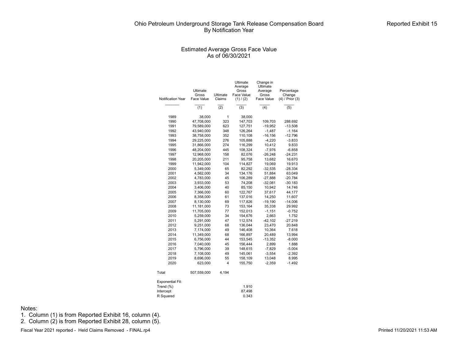#### Estimated Average Gross Face Value As of 06/30/2021

|                   |                   |                  | Ultimate<br>Average | Change in<br>Ultimate |                      |
|-------------------|-------------------|------------------|---------------------|-----------------------|----------------------|
|                   | Ultimate<br>Gross | Ultimate         | Gross<br>Face Value | Average<br>Gross      | Percentage<br>Change |
| Notification Year | Face Value        | Claims           | (1) / (2)           | Face Value            | (4) / Prior (3)      |
|                   |                   |                  |                     |                       |                      |
|                   | (1)               | $\overline{(2)}$ | (3)                 | (4)                   | (5)                  |
| 1989              | 38,000            | 1                | 38,000              |                       |                      |
| 1990              | 47,708,000        | 323              | 147,703             | 109,703               | 288.692              |
| 1991              | 79,589,000        | 623              | 127,751             | $-19,952$             | $-13.508$            |
| 1992              | 43,940,000        | 348              | 126,264             | $-1,487$              | $-1.164$             |
| 1993              | 38,758,000        | 352              | 110,108             | $-16, 156$            | $-12.796$            |
| 1994              | 29,225,000        | 276              | 105,888             | $-4,220$              | $-3.833$             |
| 1995              | 31,866,000        | 274              | 116,299             | 10,412                | 9.833                |
| 1996              | 48,204,000        | 445              | 108,324             | $-7,976$              | $-6.858$             |
| 1997              | 12,968,000        | 158              | 82,076              | $-26,248$             | $-24.231$            |
| 1998              | 20,205,000        | 211              | 95,758              | 13,682                | 16.670               |
| 1999              | 11,942,000        | 104              | 114,827             | 19,069                | 19.913               |
| 2000              | 5,349,000         | 65               | 82,292              | $-32,535$             | $-28.334$            |
| 2001              | 4,562,000         | 34               | 134,176             | 51,884                | 63.049               |
| 2002              | 4,783,000         | 45               | 106.289             | $-27,888$             | $-20.784$            |
| 2003              | 3,933,000         | 53               | 74,208              | $-32,081$             | $-30.183$            |
| 2004              | 3,406,000         | 40               | 85,150              | 10,942                | 14.746               |
| 2005              | 7,366,000         | 60               | 122,767             | 37,617                | 44.177               |
| 2006              | 8,358,000         | 61               | 137,016             | 14,250                | 11.607               |
| 2007              | 8,130,000         | 69               | 117,826             | $-19,190$             | $-14.006$            |
| 2008              | 11,181,000        | 73               | 153,164             | 35,338                | 29.992               |
| 2009              | 11,705,000        | 77               | 152,013             | $-1,151$              | $-0.752$             |
| 2010              | 5,259,000         | 34               | 154,676             | 2,663                 | 1.752                |
| 2011              | 5,291,000         | 47               | 112,574             | $-42,102$             | $-27.219$            |
| 2012              | 9,251,000         | 68               | 136,044             | 23,470                | 20.848               |
| 2013              | 7,174,000         | 49               | 146,408             | 10,364                | 7.618                |
| 2014              | 11,349,000        | 68               | 166,897             | 20,489                | 13.994               |
| 2015              | 6,756,000         | 44               | 153,545             | $-13,352$             | $-8.000$             |
| 2016              | 7,040,000         | 45               | 156,444             | 2,899                 | 1.888                |
| 2017              | 5,796,000         | 39               | 148,615             | $-7,829$              | $-5.004$             |
| 2018              | 7,108,000         | 49               | 145,061             | $-3,554$              | $-2.392$             |
| 2019              | 8,696,000         | 55               | 158,109             | 13,048                | 8.995                |
| 2020              | 623,000           | 4                | 155,750             | $-2,359$              | $-1.492$             |
| Total             | 507,559,000       | 4,194            |                     |                       |                      |

| Exponential Fit: |        |
|------------------|--------|
| Trend $(\%)$     | 1.910  |
| Intercept        | 87.498 |
| R Squared        | 0.343  |

Notes:

1. Column (1) is from Reported Exhibit 16, column (4).

2. Column (2) is from Reported Exhibit 28, column (5).

Fiscal Year 2021 reported - Held Claims Removed - FINAL.rp4 **Printed 11/20/2021 11:53 AM**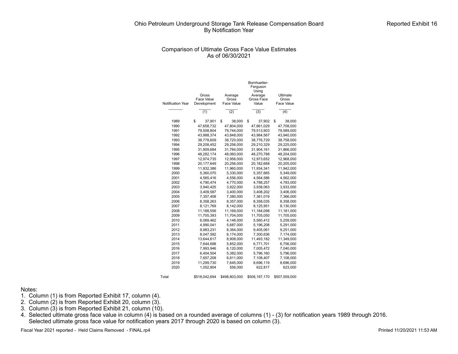## Comparison of Ultimate Gross Face Value Estimates As of 06/30/2021

|                          |               |                     | Bornhuetter-<br>Ferguson<br>Using |               |
|--------------------------|---------------|---------------------|-----------------------------------|---------------|
|                          | Gross         | Average             | Average                           | Ultimate      |
|                          | Face Value    | Gross<br>Face Value | Gross Face                        | Gross         |
| <b>Notification Year</b> | Development   |                     | Value                             | Face Value    |
|                          | (1)           | (2)                 | (3)                               | (4)           |
| 1989                     | \$<br>37,901  | \$<br>38,000        | \$<br>37,902                      | \$<br>38,000  |
| 1990                     | 47,658,732    | 47,804,000          | 47,661,029                        | 47,708,000    |
| 1991                     | 79,508,804    | 79,744,000          | 79,513,903                        | 79,589,000    |
| 1992                     | 43,988,374    | 43.848.000          | 43,984,567                        | 43,940,000    |
| 1993                     | 38,778,609    | 38,720,000          | 38,776,729                        | 38,758,000    |
| 1994                     | 29,208,452    | 29,256,000          | 29,210,329                        | 29,225,000    |
| 1995                     | 31,909,684    | 31,784,000          | 31,904,161                        | 31,866,000    |
| 1996                     | 48,282,174    | 48,060,000          | 48,270,788                        | 48,204,000    |
| 1997                     | 12,974,735    | 12,956,000          | 12,973,652                        | 12,968,000    |
| 1998                     | 20,177,649    | 20,256,000          | 20,182,668                        | 20,205,000    |
| 1999                     | 11,932,386    | 11,960,000          | 11,934,341                        | 11,942,000    |
| 2000                     | 5,360,070     | 5,330,000           | 5,357,665                         | 5,349,000     |
| 2001                     | 4,565,416     | 4,556,000           | 4,564,586                         | 4,562,000     |
| 2002                     | 4,790,474     | 4,770,000           | 4,788,257                         | 4,783,000     |
| 2003                     | 3,940,425     | 3,922,000           | 3,938,063                         | 3,933,000     |
| 2004                     | 3,409,587     | 3,400,000           | 3,408,202                         | 3,406,000     |
| 2005                     | 7,357,408     | 7,380,000           | 7,361,019                         | 7,366,000     |
| 2006                     | 8,358,263     | 8,357,000           | 8,358,035                         | 8,358,000     |
| 2007                     | 8,121,769     | 8,142,000           | 8,125,951                         | 8,130,000     |
| 2008                     | 11,188,556    | 11,169,000          | 11,184,098                        | 11,181,000    |
| 2009                     | 11,705,393    | 11,704,000          | 11,705,050                        | 11,705,000    |
| 2010                     | 6,069,462     | 4,148,000           | 5,560,412                         | 5,259,000     |
| 2011                     | 4,990,041     | 5,687,000           | 5,196,208                         | 5,291,000     |
| 2012                     | 9,983,231     | 8,364,000           | 9,405,061                         | 9,251,000     |
| 2013                     | 8,047,592     | 6,174,000           | 7,300,636                         | 7,174,000     |
| 2014                     | 13,644,617    | 8,908,000           | 11,493,182                        | 11,349,000    |
| 2015                     | 7,644,698     | 5,852,000           | 6,771,701                         | 6,756,000     |
| 2016                     | 7,993,946     | 6,120,000           | 7,005,472                         | 7,040,000     |
| 2017                     | 6,404,504     | 5,382,000           | 5,796,160                         | 5,796,000     |
| 2018                     | 7,657,208     | 6,811,000           | 7,108,407                         | 7,108,000     |
| 2019                     | 11,299,730    | 7,645,000           | 8,696,119                         | 8,696,000     |
| 2020                     | 1,052,804     | 556,000             | 622,817                           | 623,000       |
| Total                    | \$518.042.694 | \$498.803.000       | \$508.197.170                     | \$507.559.000 |

#### Notes:

- 1. Column (1) is from Reported Exhibit 17, column (4).
- 2. Column  $(2)$  is from Reported Exhibit 20, column  $(3)$ .
- 3. Column (3) is from Reported Exhibit 21, column (10).
- 4. Selected ultimate gross face value in column (4) is based on a rounded average of columns (1) (3) for notification years 1989 through 2016. Selected ultimate gross face value for notification years 2017 through 2020 is based on column (3).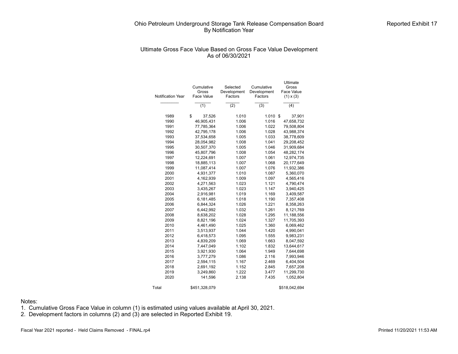# Ultimate Gross Face Value Based on Gross Face Value Development As of 06/30/2021

| <b>Notification Year</b> | Cumulative<br>Gross<br>Face Value | Selected<br>Development<br>Factors | Cumulative<br>Development<br>Factors | Ultimate<br>Gross<br>Face Value<br>$(1) \times (3)$ |
|--------------------------|-----------------------------------|------------------------------------|--------------------------------------|-----------------------------------------------------|
|                          | (1)                               | (2)                                | (3)                                  | (4)                                                 |
| 1989                     | \$<br>37,526                      | 1.010                              | 1.010                                | 37,901<br>\$                                        |
| 1990                     | 46,905,431                        | 1.006                              | 1.016                                | 47,658,732                                          |
| 1991                     | 77,785,364                        | 1.006                              | 1.022                                | 79,508,804                                          |
| 1992                     | 42,795,178                        | 1.006                              | 1.028                                | 43,988,374                                          |
| 1993                     | 37,534,658                        | 1.005                              | 1.033                                | 38,778,609                                          |
| 1994                     | 28,054,982                        | 1.008                              | 1.041                                | 29,208,452                                          |
| 1995                     | 30,507,370                        | 1.005                              | 1.046                                | 31,909,684                                          |
| 1996                     | 45,807,796                        | 1.008                              | 1.054                                | 48,282,174                                          |
| 1997                     | 12,224,691                        | 1.007                              | 1.061                                | 12,974,735                                          |
| 1998                     | 18,885,113                        | 1.007                              | 1.068                                | 20,177,649                                          |
| 1999                     | 11,087,414                        | 1.007                              | 1.076                                | 11,932,386                                          |
| 2000                     | 4,931,377                         | 1.010                              | 1.087                                | 5,360,070                                           |
| 2001                     | 4,162,939                         | 1.009                              | 1.097                                | 4,565,416                                           |
| 2002                     | 4,271,563                         | 1.023                              | 1.121                                | 4,790,474                                           |
| 2003                     | 3,435,267                         | 1.023                              | 1.147                                | 3,940,425                                           |
| 2004                     | 2,916,981                         | 1.019                              | 1.169                                | 3,409,587                                           |
| 2005                     | 6,181,485                         | 1.018                              | 1.190                                | 7,357,408                                           |
| 2006                     | 6,844,324                         | 1.026                              | 1.221                                | 8,358,263                                           |
| 2007                     | 6,442,992                         | 1.032                              | 1.261                                | 8,121,769                                           |
| 2008                     | 8,638,202                         | 1.028                              | 1.295                                | 11,188,556                                          |
| 2009                     | 8,821,196                         | 1.024                              | 1.327                                | 11,705,393                                          |
| 2010                     | 4,461,490                         | 1.025                              | 1.360                                | 6,069,462                                           |
| 2011                     | 3,513,937                         | 1.044                              | 1.420                                | 4,990,041                                           |
| 2012                     | 6,418,573                         | 1.095                              | 1.555                                | 9,983,231                                           |
| 2013                     | 4,839,209                         | 1.069                              | 1.663                                | 8,047,592                                           |
| 2014                     | 7,447,049                         | 1.102                              | 1.832                                | 13,644,617                                          |
| 2015                     | 3,921,930                         | 1.064                              | 1.949                                | 7,644,698                                           |
| 2016                     | 3,777,279                         | 1.086                              | 2.116                                | 7,993,946                                           |
| 2017                     | 2,594,115                         | 1.167                              | 2.469                                | 6,404,504                                           |
| 2018                     | 2,691,192                         | 1.152                              | 2.845                                | 7,657,208                                           |
| 2019                     | 3,249,860                         | 1.222                              | 3.477                                | 11,299,730                                          |
| 2020                     | 141,596                           | 2.138                              | 7.435                                | 1,052,804                                           |
| Total                    | \$451,328,079                     |                                    |                                      | \$518,042,694                                       |

Notes:

1. Cumulative Gross Face Value in column (1) is estimated using values available at April 30, 2021.

2. Development factors in columns (2) and (3) are selected in Reported Exhibit 19.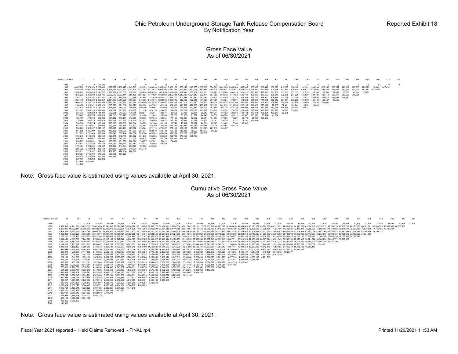#### Gross Face Value As of 06/30/2021

| <b>Notification Year</b> |                     |                                                                                                                                                                                                              |            |                         |                    |                                   |                                                 |                    |                                                                         |                   |                  |                  |                   |                                 |                  |                   | 204              |                         | 228     | 240                                     | 252     |            |         |         |         |         |         |                                 |         |                |          |
|--------------------------|---------------------|--------------------------------------------------------------------------------------------------------------------------------------------------------------------------------------------------------------|------------|-------------------------|--------------------|-----------------------------------|-------------------------------------------------|--------------------|-------------------------------------------------------------------------|-------------------|------------------|------------------|-------------------|---------------------------------|------------------|-------------------|------------------|-------------------------|---------|-----------------------------------------|---------|------------|---------|---------|---------|---------|---------|---------------------------------|---------|----------------|----------|
| 1989                     | $\Omega$            |                                                                                                                                                                                                              | $0$ 37.526 | $^{\circ}$              |                    | $^{\circ}$                        |                                                 | $^{\circ}$         |                                                                         |                   | $\Omega$         |                  | $^{\circ}$        |                                 | $^{\circ}$       |                   | $^{\circ}$       | $\Omega$                |         |                                         |         | $^{\circ}$ |         |         |         |         |         |                                 |         |                | $\Omega$ |
| 1990                     |                     | 6.487,962 7.973,920 6.163.469 1.976.271 2.738.420 2.049.709 1.165.129 1.563.816 1.396.531 3.603.166 576.143 1.118.273 2.338.310 554.505 1.061.505 1.061.368 646.345 675.367 619.449 338.296 415.139          |            |                         |                    |                                   |                                                 |                    |                                                                         |                   |                  |                  |                   |                                 |                  |                   |                  |                         |         |                                         |         | 380.160    | 141.561 | 269.204 | 425.256 | 259.952 | 143.911 | 199.635                         | 220.525 | 74.642 247.494 |          |
|                          |                     | 8,285,085 10,937,362 6,083,791 5,315,991 5,577,650 4,403,415 4,473,381 2,774,533 8,055,486 1,277,824 2,225,942 2,837,221 1,853,883 1,954,628 1,092,547 1,157,687 1,088,487 1,073,690 552,285 704,518 637,474 |            |                         |                    |                                   |                                                 |                    |                                                                         |                   |                  |                  |                   |                                 |                  |                   |                  |                         |         |                                         |         | 516,999    | 505.631 | 516.594 | 857.163 | 554.906 |         | 450.615 814.211 587.657 618.709 |         |                |          |
| 1992                     |                     | 2.908.826 6.628.453 6.140.877 3.352.138 4.571.007 1.574.599 1.296.628 4.655.938 661.655 1.322.655 1.667.443 1.150.407 822.151 1.126.482 1.133.560 999.916 423.222 370.567                                    |            |                         |                    |                                   |                                                 |                    |                                                                         |                   |                  |                  |                   |                                 |                  |                   |                  |                         |         | 497.420 291.807                         | 332.187 | 277.337    | 137.733 | 124.160 | 121.369 | 71,559  | 55.050  | 40.310                          | 39.722  |                |          |
| 1993                     |                     | 1,932,233 3,604,960 3,421,795 2,655,579 2,523,414 1,650,123 6,934,854 1,417,826 1,690,868 2,255,738 1,240,419 1,021,240 532,174 667,985 563,012 611,659                                                      |            |                         |                    |                                   |                                                 |                    |                                                                         |                   |                  |                  |                   |                                 |                  |                   |                  |                         |         | 530.780 455.606 340.120 309.516 372.598 |         | 264.220    | 443.866 | 389.423 | 468.714 | 602.475 | 286.628 | 346.831                         |         |                |          |
|                          |                     | 1,763,231 5,275,204 1,800,844 1,982,029 1,660,578 4,277,644 794,958 817,619 1,624,471 977,371 801,085 732,880 753,284 718,674 415,059 745,140 322,263 201,770 266,540 408,574 117,194 331,346                |            |                         |                    |                                   |                                                 |                    |                                                                         |                   |                  |                  |                   |                                 |                  |                   |                  |                         |         |                                         |         |            | 338.921 | 239.626 | 247.017 | 166,098 | 275,560 |                                 |         |                |          |
| 1995                     |                     | 1.624.448 3.239.320 2.400.259 2.484.850 5.387.279 1.106.087 1.846.333 2.194.010 1.228.943 1.934.786 942.439 739.645 461.806 367.383 436.324 473.801                                                          |            |                         |                    |                                   |                                                 |                    |                                                                         |                   |                  |                  |                   |                                 |                  |                   | 444.029          | 644.611 741.472 353.219 |         |                                         | 537.751 | 338,202    | 194,830 | 182.409 | 109.537 | 93.599  |         |                                 |         |                |          |
| 1996                     |                     | 2.660.742 3.222.174 4.477.488 10.385.989 1.957.261 2.497.794 2.539.599 2.874.038 2.265.932 1.666.325 1.820.209 1.500.740 1.254.635 1.066.238 1.084.475 1.030.399                                             |            |                         |                    |                                   |                                                 |                    |                                                                         |                   |                  |                  |                   |                                 |                  |                   | 957.938          | 564.547                 | 505.909 | 368.879                                 | 195,950 | 207.879    | 279.069 | 110.536 | 313.050 |         |         |                                 |         |                |          |
| 1997                     |                     | 1.184.478  1.929.321  1.809.020                                                                                                                                                                              |            |                         |                    |                                   |                                                 |                    | 533.879 971.012 905.975 688.324 402.582 351.324 564.366 416.532 422.690 |                   |                  |                  |                   | 265.432 300.139 201.939 219.798 |                  |                   | 202.105          | 301.422                 | 173.812 | 77.905                                  | 58.411  | 103.249    | 15.292  | 125.685 |         |         |         |                                 |         |                |          |
| 1998                     |                     | 1.243.620 2.914.873 1.131.788 1.116.563 1.589.937                                                                                                                                                            |            |                         |                    |                                   | 709.148 800.290                                 |                    | 859.961 801.900                                                         | 780.500           | 764.656          | 522.344          | 348.207           | 393,809                         | 303.716 686.128  |                   | 926,908          | 398.813                 | 319,686 | 683.756                                 | 449.674 | 388,904    | 749.931 |         |         |         |         |                                 |         |                |          |
| 1999                     |                     | 532.583 3.586.110 1.341.885 1.134.221 381.752                                                                                                                                                                |            |                         |                    | 430.359                           | 211.136                                         |                    | 523.119 224.027 189.408                                                 |                   | 186.156          | 292.171          | 230.716 210.998   |                                 | 153.578 170.292  |                   | 229.368          | 176.839                 | 325.535 | 123.929                                 | 54.547  | 378,687    |         |         |         |         |         |                                 |         |                |          |
| 2000                     | 363,370             | 609.823 1.144.309                                                                                                                                                                                            |            |                         |                    |                                   | 332.031 246.573 470.648 302.844 186.311 123.577 |                    |                                                                         | 40.652            | 57.423           | 82.461           |                   | 36.013 109.914                  | 87.422 122.936   |                   | 183.132          | 119.074 126.954         |         | 103.347                                 | 82.565  |            |         |         |         |         |         |                                 |         |                |          |
| 2001                     | 335,487             | 698.755 413.029                                                                                                                                                                                              |            |                         | 942.816 393.776    | 119,805                           | 103.194                                         |                    | 122,462 129,334                                                         | 232.266           | 83.326           | 21,777           | 64.448            | 24.032                          | 84.828           | 149,613           | 63.987           | 108.056                 | 30.564  | 41.384                                  |         |            |         |         |         |         |         |                                 |         |                |          |
| 2002                     | 123.190             | 718.678 532.288                                                                                                                                                                                              |            | 501.422 446.131         |                    | 313,580                           | 192.875                                         |                    | 327,345 133,551 171,155                                                 |                   | 187,300          | 83.167           |                   | 28.814 104.856                  | 37,355           | 76.227            | 30,770           | 24.495 238.365          |         |                                         |         |            |         |         |         |         |         |                                 |         |                |          |
| 2003                     | 315,460<br>398,558  | 392.815 627.079<br>735.225                                                                                                                                                                                   |            | 398.541<br>295.326      | 301.699<br>160,560 | 236,530<br>206.364                | 252.022<br>94.883                               | 160,908<br>101.900 | 63.617                                                                  | 167.164<br>63.746 | 32.094<br>40.534 | 73.228<br>62.892 | 19,720            | 34.041                          | 39.576<br>32.462 | 110.121<br>17,380 | 4.191<br>102.602 | 206.464                 |         |                                         |         |            |         |         |         |         |         |                                 |         |                |          |
| 2004<br>2005             |                     | 912.014 1.158.911 543.056                                                                                                                                                                                    | 483.399    | 552.847                 | 364.348            |                                   | 414.173 204.883                                 | 336,759            | 68.195<br>133.863                                                       | 267.195           | 232.649          | 150.785          | 24.311<br>143.688 | 28.643<br>218,218               | 384,964          | 163.130           |                  |                         |         |                                         |         |            |         |         |         |         |         |                                 |         |                |          |
| 2006                     |                     | 708.626  1.582.027  1.248.157                                                                                                                                                                                |            | 565.185                 | 200.491            |                                   |                                                 |                    | 307.352 316.324 671.113 273.357 272.199                                 |                   | 188.125          | 78.186           | 141.401           | 207.315                         | 84.467           |                   |                  |                         |         |                                         |         |            |         |         |         |         |         |                                 |         |                |          |
| 2007                     |                     | 567.888 1.795.899 605.290                                                                                                                                                                                    |            |                         |                    |                                   |                                                 |                    | 448.130 748.333 407.863 261.947 233.049 503.733 420.438                 |                   | 116,993          | 78.699           | 194.670 60.062    |                                 |                  |                   |                  |                         |         |                                         |         |            |         |         |         |         |         |                                 |         |                |          |
| 2008                     |                     | 1.517.095 1.271.009                                                                                                                                                                                          | 468.659    | 570.740                 | 636.214            | 684.306                           | 765.376                                         | 483.782            | 660.030                                                                 | 519.704           | 533.263          | 339.490          | 188,535           |                                 |                  |                   |                  |                         |         |                                         |         |            |         |         |         |         |         |                                 |         |                |          |
| 2009                     | 1.750.245 2.106.598 |                                                                                                                                                                                                              | 536.454    |                         | 529.171 342.740    | 388.572                           | 374.270                                         | 606.685            | 354.853                                                                 | 922.709           | 373.163          | 535,736          |                   |                                 |                  |                   |                  |                         |         |                                         |         |            |         |         |         |         |         |                                 |         |                |          |
| 2010                     | 590.288             | 968.647                                                                                                                                                                                                      | 319.952    | 586,468                 | 287,553            | 372.925                           | 246.614                                         | 194.061            | 202.339                                                                 | 365,384           | 327.259          |                  |                   |                                 |                  |                   |                  |                         |         |                                         |         |            |         |         |         |         |         |                                 |         |                |          |
| 2011                     |                     | 928.227 1.029.651                                                                                                                                                                                            | 264.481    | 255.656                 | 161.050            | 238.526                           | 135.277 267.821                                 |                    | 158,411                                                                 | 74.835            |                  |                  |                   |                                 |                  |                   |                  |                         |         |                                         |         |            |         |         |         |         |         |                                 |         |                |          |
| 2012                     |                     | 875.672 1.771.452                                                                                                                                                                                            | 582.718    | 398.056                 |                    |                                   | 560.813 401.583 415.017 703.893 709.369         |                    |                                                                         |                   |                  |                  |                   |                                 |                  |                   |                  |                         |         |                                         |         |            |         |         |         |         |         |                                 |         |                |          |
| 2013                     |                     | 1.173.424 1.766.249 424.817                                                                                                                                                                                  |            |                         |                    |                                   | 419.232 414.344 235.999 162.725 242.420         |                    |                                                                         |                   |                  |                  |                   |                                 |                  |                   |                  |                         |         |                                         |         |            |         |         |         |         |         |                                 |         |                |          |
| 2014                     |                     | 1.296.722 2.124.089                                                                                                                                                                                          | 802.714    |                         |                    | 874.198 1.222.612 610.971 515.743 |                                                 |                    |                                                                         |                   |                  |                  |                   |                                 |                  |                   |                  |                         |         |                                         |         |            |         |         |         |         |         |                                 |         |                |          |
| 2015                     | 1.675.231           | 710.247                                                                                                                                                                                                      | 413,288    | 432.103 424.214 266.847 |                    |                                   |                                                 |                    |                                                                         |                   |                  |                  |                   |                                 |                  |                   |                  |                         |         |                                         |         |            |         |         |         |         |         |                                 |         |                |          |
| 2016                     |                     | 839,721 1,745,090 646,440                                                                                                                                                                                    |            | 350,805                 | 195,223            |                                   |                                                 |                    |                                                                         |                   |                  |                  |                   |                                 |                  |                   |                  |                         |         |                                         |         |            |         |         |         |         |         |                                 |         |                |          |
| 2017                     |                     | 544.938 1.210.840                                                                                                                                                                                            | 390.353    | 447.984                 |                    |                                   |                                                 |                    |                                                                         |                   |                  |                  |                   |                                 |                  |                   |                  |                         |         |                                         |         |            |         |         |         |         |         |                                 |         |                |          |
| 2018                     |                     | 959.190 909.203                                                                                                                                                                                              | 822.800    |                         |                    |                                   |                                                 |                    |                                                                         |                   |                  |                  |                   |                                 |                  |                   |                  |                         |         |                                         |         |            |         |         |         |         |         |                                 |         |                |          |
| 2019                     |                     | 912.859 2.337.001                                                                                                                                                                                            |            |                         |                    |                                   |                                                 |                    |                                                                         |                   |                  |                  |                   |                                 |                  |                   |                  |                         |         |                                         |         |            |         |         |         |         |         |                                 |         |                |          |
| 2020                     | 141,596             |                                                                                                                                                                                                              |            |                         |                    |                                   |                                                 |                    |                                                                         |                   |                  |                  |                   |                                 |                  |                   |                  |                         |         |                                         |         |            |         |         |         |         |         |                                 |         |                |          |

Note: Gross face value is estimated using values available at April 30, 2021.

Cumulative Gross Face Value As of 06/30/2021

Notification Year 12 24 36 48 60 72 84 96 108 120 132 144 156 168 180 192 204 216 228 240 252 264 276 288 300 312 324 336 348 360 372 384 1989 1990 1991 1992 1993 1994 1995 1996 1997 1998 1999  $2000$ 2001 2002 2003 2004 2005 2006 2007 2008 2009 2010 2011 2012 2013 2014 2015 2016 2017 2018 2019 2020 0 0 37,526 37,526 37,526 37,526 37,526 37,526 37,526 37,526 37,526 37,526 37,526 37,526 37,526 37,526 37,526 37,526 37,526 37,526 37,526 37,526 37,526 37,526 37,526 37,526 37,526 37,526 37,526 37,526 37,526 37,526 6,487,962 14,461,881 20,625,350 22,601,620 25,340,040 27,389,749 28,554,878 30,118,694 31,515,225 35,118,391 35,694,534 36,812,807 39,151,117 39,705,622 40,787,127 41,848,495 42,494,840 43,170,207 43,789,656 44,127,952 44,543,091 44,923,252 45,064,813 45,334,017 45,759,273 46,019,225 46,163,135 46,362,771 46,583,295 46,657,937 46,905,431 8,285,085 19,222,447 25,306,238 30,622,230 36,199,879 40,603,294 45,076,675 47,851,208 55,906,694 57,184,518 59,410,459 62,247,681 64,101,564 66,056,192 67,148,739 68,306,426 69,394,913 70,468,603 71,020,888 71,725,406 72,362,880 72,879,878 73,385,509 73,902,103 74,759,266 75,314,172 75,764,787 76,578,998 77,166,655 77,785,364 2,908,826 9,537,279 15,678,156 19,030,294 23,601,300 25,175,899 26,472,527 31,128,465 31,790,120 33,112,775 34,780,219 35,930,626 36,752,777 37,879,259 39,012,819 40,012,736 40,435,958 40,806,525 41,303,944 41,595,752 41,927,939 42,205,275 42,343,008 42,467,168 42,588,537 42,660,096 42,715,146 42,755,456 42,795,178 1,932,233 5,537,193 8,958,988 11,614,567 14,137,981 15,788,104 22,722,958 24,140,784 25,831,652 28,087,390 29,327,809 30,349,049 30,881,224 31,549,208 32,112,220 32,723,879 33,254,660 33,710,265 34,050,386 34,359,902 34,732,500 34,996,720 35,440,587 35,830,010 36,298,724 36,901,199 37,187,827 37,534,658 1,763,231 7,038,435 8,839,279 10,821,308 12,481,886 16,759,530 17,554,489 18,372,107 19,996,579 20,973,949 21,775,034 22,507,915 23,261,198 23,979,873 24,394,932 25,140,072 25,462,335 25,664,106 25,930,646 26,339,220 26,456,415 26,787,761 27,126,681 27,366,308 27,613,325 27,779,422 28,054,982 1,624,448 4,863,768 7,264,026 9,748,876 15,136,155 16,242,242 18,088,575 20,282,585 21,511,527 23,446,314 24,388,753 25,128,398 25,590,204 25,957,586 26,393,910 26,867,711 27,311,740 27,956,351 28,697,824 29,051,043 29,588,793 29,926,995 30,121,824 30,304,234 30,413,771 30,507,370 2,660,742 5,882,916 10,360,404 20,746,394 22,703,655 25,201,449 27,741,048 30,615,086 32,881,018 34,547,343 36,367,553 37,868,292 39,122,927 40,189,166 41,273,641 42,304,039 43,261,978 43,826,524 44,332,433 44,701,312 44,897,261 45,105,140 45,384,210 45,494,746 45,807,796 1,184,478 3,113,798 4,922,818 5,456,697 6,427,708 7,333,683 8,022,007 8,424,589 8,775,913 9,340,280 9,756,812 10,179,501 10,444,933 10,745,072 10,947,011 11,166,809 11,368,914 11,670,336 11,844,148 11,922,054 11,980,464 12,083,713 12,099,006 12,224,691 1,243,620 4,158,493 5,290,280 6,406,843 7,996,780 8,705,929 9,506,219 10,366,180 11,168,080 11,948,580 12,713,236 13,235,580 13,583,787 13,977,597 14,281,313 14,967,441 15,894,349 16,293,162 16,612,849 17,296,605 17,746,279 18,135,182 18,885,113 532,583 4,118,693 5,460,578 6,594,799 6,976,551 7,406,909 7,618,045 8,141,164 8,365,191 8,554,598 8,740,754 9,032,925 9,263,641 9,474,639 9,628,218 9,798,509 10,027,877 10,204,716 10,530,251 10,654,180 10,708,727 11,087,414 363,370 973,193 2,117,502 2,449,533 2,696,106 3,166,753 3,469,597 3,655,908 3,779,485 3,820,137 3,877,560 3,960,021 3,996,034 4,105,948 4,193,369 4,316,305 4,499,437 4,618,511 4,745,465 4,848,812 4,931,377 335,487 1,034,241 1,447,270 2,390,086 2,783,863 2,903,668 3,006,862 3,129,324 3,258,658 3,490,924 3,574,250 3,596,026 3,660,475 3,684,506 3,769,334 3,918,948 3,982,935 4,090,991 4,121,555 4,162,939 123,190 841,868 1,374,156 1,875,578 2,321,708 2,635,288 2,828,163 3,155,508 3,289,059 3,460,214 3,647,513 3,730,680 3,759,494 3,864,350 3,901,705 3,977,932 4,008,703 4,033,198 4,271,563 315,460 708,275 1,335,354 1,733,894 2,035,593 2,272,123 2,524,145 2,685,053 2,748,669 2,915,833 2,947,927 3,021,155 3,040,875 3,074,915 3,114,491 3,224,612 3,228,803 3,435,267 396.558 1,133,784 1,671,933 1,912,208 2,073,068 2,279,432 2,374,315 2,474,216 2,484,400 2,698,158 2,484,690 2,711,833 2,735,584 2,275,584 2,276,284 2,276,284 2,276,284 2,276,284 2,276,284 2,276,284 2,276,284 2,284,292 2,2 544,938 1,755,778 2,146,131 2,594,115 959,190 1,868,392 2,691,192 912,859 3,249,860 141,596

Note: Gross face value is estimated using values available at April 30, 2021.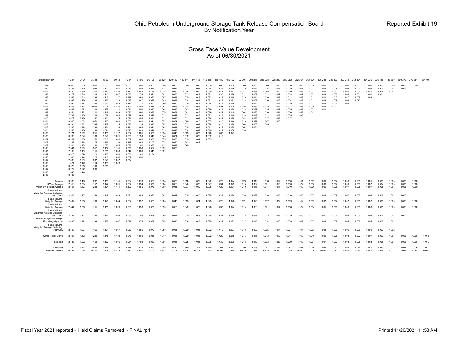#### Gross Face Value Development As of 06/30/2021

| Notification Year                                                                                                                                                                                                                                    | 12-24                                                                                                                                                                                                                                                                               | 24-36                                                                                                                                                                                                                                                                      | 36-48                                                                                                                                                                                                                                                             | 48-60                                                                                                                                                                                                                                                    | 60-72                                                                                                                                                                                                                                           | 72-84                                                                                                                                                                                                                                  | 84-96                                                                                                                                                                                                                         | 96-108                                                                                                                                                                                                               | 108-120                                                                                                                                                                                                     | 120-132                                                                                                                                                                                            | 132-144                                                                                                                                                                                   | 144-156                                                                                                                                                                          | 156-168                                                                                                                                                                 | 168-180                                                                                                                                                        | 180-192                                                                                                                                               | 192-204                                                                                                                                      | 204-216 216-228                                                                                                                     |                                                                                                                            | 228-240                                                                                                           | 240-252                                                                                                  | 252-264                                                                                         | 264-276                                                                                | 276-288                                                                       | 288-300                                                              | 300-312 312-324                                             |                                                    | 324-336                                   | 336-348                          | 348-360                 | 360-372 372-384         |                         | 384-UI         |
|------------------------------------------------------------------------------------------------------------------------------------------------------------------------------------------------------------------------------------------------------|-------------------------------------------------------------------------------------------------------------------------------------------------------------------------------------------------------------------------------------------------------------------------------------|----------------------------------------------------------------------------------------------------------------------------------------------------------------------------------------------------------------------------------------------------------------------------|-------------------------------------------------------------------------------------------------------------------------------------------------------------------------------------------------------------------------------------------------------------------|----------------------------------------------------------------------------------------------------------------------------------------------------------------------------------------------------------------------------------------------------------|-------------------------------------------------------------------------------------------------------------------------------------------------------------------------------------------------------------------------------------------------|----------------------------------------------------------------------------------------------------------------------------------------------------------------------------------------------------------------------------------------|-------------------------------------------------------------------------------------------------------------------------------------------------------------------------------------------------------------------------------|----------------------------------------------------------------------------------------------------------------------------------------------------------------------------------------------------------------------|-------------------------------------------------------------------------------------------------------------------------------------------------------------------------------------------------------------|----------------------------------------------------------------------------------------------------------------------------------------------------------------------------------------------------|-------------------------------------------------------------------------------------------------------------------------------------------------------------------------------------------|----------------------------------------------------------------------------------------------------------------------------------------------------------------------------------|-------------------------------------------------------------------------------------------------------------------------------------------------------------------------|----------------------------------------------------------------------------------------------------------------------------------------------------------------|-------------------------------------------------------------------------------------------------------------------------------------------------------|----------------------------------------------------------------------------------------------------------------------------------------------|-------------------------------------------------------------------------------------------------------------------------------------|----------------------------------------------------------------------------------------------------------------------------|-------------------------------------------------------------------------------------------------------------------|----------------------------------------------------------------------------------------------------------|-------------------------------------------------------------------------------------------------|----------------------------------------------------------------------------------------|-------------------------------------------------------------------------------|----------------------------------------------------------------------|-------------------------------------------------------------|----------------------------------------------------|-------------------------------------------|----------------------------------|-------------------------|-------------------------|-------------------------|----------------|
| 1989<br>1990<br>1991<br>1992<br>1993<br>1994<br>1995<br>1996<br>1997<br>1998<br>1999<br>2000<br>2001<br>2002<br>2003<br>2004<br>2005<br>2006<br>2007<br>2008<br>2009<br>2010<br>2011<br>2012<br>2013<br>2014<br>2015<br>2016<br>2017<br>2018<br>2019 | 0.000<br>2.229<br>2.320<br>3,279<br>2.866<br>3.992<br>2.994<br>2.211<br>2.629<br>3.344<br>7.733<br>2.678<br>3.083<br>6.834<br>2.245<br>2.845<br>2.271<br>3.233<br>4.162<br>1.838<br>2.204<br>2.641<br>2.109<br>3.023<br>2.505<br>2.638<br>1.424<br>3.078<br>3.222<br>1.948<br>3.560 | 0.000<br>1.426<br>1.316<br>1.644<br>1.618<br>1.256<br>1.493<br>1.761<br>1.581<br>1.272<br>1.326<br>2.176<br>1.399<br>1.632<br>1.885<br>1.426<br>1.262<br>1.545<br>1.256<br>1.168<br>1.139<br>1.205<br>1.135<br>1.220<br>1.145<br>1.235<br>1.173<br>1.250<br>1.222<br>1.440 | 1.000<br>1.096<br>1.210<br>1.214<br>1.296<br>1.224<br>1.342<br>2.002<br>1.108<br>1.211<br>1.208<br>1.157<br>1.651<br>1.365<br>1.298<br>1.183<br>1.211<br>1.160<br>1.151<br>1.175<br>1.120<br>1.312<br>1.115<br>1.123<br>1.125<br>1.207<br>1.154<br>1.109<br>1.209 | 1.000<br>1.121<br>1.182<br>1.240<br>1.217<br>1.153<br>1.553<br>1.094<br>1.178<br>1.248<br>1.058<br>1.101<br>1.165<br>1.238<br>1.174<br>1.084<br>1.115<br>1.049<br>1.219<br>1.166<br>1.070<br>1.117<br>1.065<br>1.155<br>1.110<br>1.240<br>1.131<br>1.055 | 1.000<br>1.081<br>1.122<br>1.067<br>1.117<br>1.343<br>1.073<br>1.110<br>1.141<br>1.089<br>1.062<br>1.175<br>1.043<br>1.135<br>1.116<br>1.100<br>1.117<br>1.071<br>1.098<br>1.153<br>1.074<br>1.135<br>1.090<br>1.096<br>1.056<br>1.097<br>1.073 | 1.000<br>1.043<br>1.110<br>1.052<br>1.439<br>1.047<br>1.114<br>1.101<br>1.094<br>1.092<br>1.029<br>1.096<br>1.036<br>1.073<br>1.111<br>1.042<br>1.052<br>1.069<br>1.057<br>1.149<br>1.066<br>1.079<br>1.047<br>1.090<br>1.037<br>1.074 | 1.000<br>1.055<br>1.062<br>1.176<br>1.062<br>1.047<br>1.121<br>1.104<br>1.050<br>1.090<br>1.069<br>1.054<br>1.041<br>1.116<br>1.064<br>1.043<br>1.081<br>1.136<br>1.048<br>1.082<br>1.101<br>1.058<br>1.089<br>1.141<br>1.053 | 1.000<br>1.046<br>1.168<br>1.021<br>1.070<br>1.088<br>1.061<br>1.074<br>1.042<br>1.077<br>1.028<br>1.034<br>1.041<br>1.042<br>1.024<br>1.028<br>1.030<br>1.049<br>1.099<br>1.103<br>1.053<br>1.057<br>1.048<br>1.124 | 1.000<br>1.114<br>1.023<br>1.042<br>1.087<br>1.049<br>1.090<br>1.051<br>1.064<br>1.070<br>1.023<br>1.011<br>1.071<br>1.052<br>1.061<br>1.025<br>1.058<br>1.046<br>1.075<br>1.074<br>1.132<br>1.097<br>1.022 | 1.000<br>1.016<br>1.039<br>1.050<br>1.044<br>1.038<br>1.040<br>1.053<br>1.045<br>1.064<br>1.022<br>1.015<br>1.024<br>1.054<br>1.011<br>1.016<br>1.048<br>1.031<br>1.020<br>1.070<br>1.047<br>1.079 | 1.000<br>1.031<br>1.048<br>1.033<br>1.035<br>1.034<br>1.030<br>1.041<br>1.043<br>1.041<br>1.033<br>1.021<br>1.006<br>1.023<br>1.025<br>1.024<br>1.029<br>1.012<br>1.013<br>1.042<br>1.065 | 1.000<br>1.064<br>1.030<br>1.023<br>1.018<br>1.033<br>1.018<br>1.033<br>1.026<br>1.026<br>1.026<br>1.009<br>1.018<br>1.008<br>1.007<br>1.009<br>1.027<br>1.022<br>1.031<br>1.022 | 1.000<br>1.014<br>1.030<br>1.031<br>1.022<br>1.031<br>1.014<br>1.027<br>1.029<br>1.029<br>1.023<br>1.028<br>1.007<br>1.028<br>1.011<br>1.010<br>1.040<br>1.032<br>1.009 | 1.000<br>1.027<br>1.017<br>1.030<br>1.018<br>1.017<br>1.017<br>1.027<br>1.019<br>1.022<br>1.016<br>1.021<br>1.023<br>1.010<br>1.013<br>1.012<br>1.068<br>1.012 | 1.000<br>1.026<br>1.017<br>1.026<br>1.019<br>1.031<br>1.018<br>1.025<br>1.020<br>1.048<br>1.018<br>1.029<br>1.040<br>1.020<br>1.035<br>1.006<br>1.027 | 1.000<br>1.015<br>1.016<br>1.011<br>1.016<br>1.013<br>1.017<br>1.023<br>1.018<br>1.062<br>1.023<br>1.042<br>1.016<br>1.008<br>1.001<br>1.036 | 1.000<br>1.016<br>1.015<br>1.009<br>1.014<br>1.008<br>1.024<br>1.013<br>1.027<br>1.025<br>1.018<br>1.026<br>1.027<br>1.006<br>1.064 | 1.000<br>1.014<br>1.008<br>1.012<br>1.010<br>1.010<br>1.027<br>1.012<br>1.015<br>1.020<br>1.032<br>1.027<br>1.007<br>1.059 | 1.000<br>1.008<br>1.010<br>1.007<br>1.009<br>1.016<br>1.012<br>1.008<br>1.007<br>1.041<br>1.012<br>1.022<br>1.010 | 1.000<br>1.009<br>1.009<br>1.008<br>1.011<br>1.004<br>1.019<br>1.004<br>1.005<br>1.026<br>1.005<br>1.017 | 1.000<br>1.009<br>1.007<br>1.007<br>1.008<br>1.013<br>1.011<br>1.005<br>1.009<br>1.022<br>1.035 | 1.000<br>1.003<br>1.007<br>1.003<br>1.013<br>1.013<br>1.007<br>1.006<br>1.001<br>1.041 | 1.000<br>1.006<br>1.007<br>1.003<br>1.011<br>1.009<br>1.006<br>1.002<br>1.010 | 1.000<br>1.009<br>1.012<br>1.003<br>1.013<br>1.009<br>1.004<br>1.007 | 1.000<br>1.006<br>1.007<br>1.002<br>1.017<br>1.006<br>1.003 | 1.000<br>1.003<br>1.006<br>1.001<br>1.008<br>1.010 | 1.000<br>1.004<br>1.011<br>1.001<br>1.009 | 1.000<br>1.005<br>1.008<br>1.001 | 1.000<br>1.002<br>1.008 | 1.000<br>1.005          | 1.000                   |                |
| Average<br>3 Year Average<br>Volume Weighted Average                                                                                                                                                                                                 | 3.038<br>2.910<br>2.651                                                                                                                                                                                                                                                             | 1.400<br>1.304<br>1.393                                                                                                                                                                                                                                                    | 1.232<br>1.157<br>1.248                                                                                                                                                                                                                                           | 1.153<br>1.142<br>1.174                                                                                                                                                                                                                                  | 1.105<br>1.075<br>1.111                                                                                                                                                                                                                         | 1.084<br>1.067<br>1.100                                                                                                                                                                                                                | 1.078<br>1.094<br>1.085                                                                                                                                                                                                       | 1.059<br>1.076<br>1.076                                                                                                                                                                                              | 1.058<br>1.084<br>1.060                                                                                                                                                                                     | 1.038<br>1.066<br>1.041                                                                                                                                                                            | 1.030<br>1.040<br>1.037                                                                                                                                                                   | 1.022<br>1.025<br>1.030                                                                                                                                                          | 1.022<br>1.027<br>1.025                                                                                                                                                 | 1.020<br>1.031<br>1.022                                                                                                                                        | 1.024<br>1.023<br>1.024                                                                                                                               | 1.020<br>1.015<br>1.019                                                                                                                      | 1.019<br>1.032<br>1.016                                                                                                             | 1.018<br>1.031<br>1.014                                                                                                    | 1.012<br>1.015<br>1.011                                                                                           | 1.010<br>1.016<br>1.010                                                                                  | 1.011<br>1.022<br>1.010                                                                         | 1.009<br>1.016<br>1.009                                                                | 1.006<br>1.006<br>1.006                                                       | 1.007<br>1.007<br>1.008                                              | 1.006<br>1.009<br>1.007                                     | 1.005<br>1.006<br>1.005                            | 1.005<br>1.007<br>1.007                   | 1.003<br>1.004<br>1.005          | 1.003<br>1.003<br>1.006 | 1.003<br>1.003<br>1.005 | 1.000<br>1.000<br>1.000 |                |
| 7 Year Volume<br>Weighted Average Excluding<br>Last 1 Years<br>5 Year Volume                                                                                                                                                                         | 2.305                                                                                                                                                                                                                                                                               | 1.207<br>1.256                                                                                                                                                                                                                                                             | 1.143                                                                                                                                                                                                                                                             | 1.148                                                                                                                                                                                                                                                    | 1.089                                                                                                                                                                                                                                           | 1.081                                                                                                                                                                                                                                  | 1.088                                                                                                                                                                                                                         | 1.070                                                                                                                                                                                                                | 1.082                                                                                                                                                                                                       | 1.042                                                                                                                                                                                              | 1.025                                                                                                                                                                                     | 1.020                                                                                                                                                                            | 1.025                                                                                                                                                                   | 1.029<br>1.026                                                                                                                                                 | 1.024                                                                                                                                                 | 1.036                                                                                                                                        | 1.023<br>1.025                                                                                                                      | 1.016                                                                                                                      | 1.015                                                                                                             | 1.010                                                                                                    | 1.010                                                                                           | 1.007                                                                                  | 1.006                                                                         | 1.009                                                                | 1.007                                                       | 1.005<br>1.005                                     | 1.006<br>1.007                            | 1.007                            | 1.002                   | 1.000<br>1.005          | 1.000                   |                |
| Weighted Average<br>3 Year Volume                                                                                                                                                                                                                    | 2.402                                                                                                                                                                                                                                                                               |                                                                                                                                                                                                                                                                            | 1.160                                                                                                                                                                                                                                                             | 1.146                                                                                                                                                                                                                                                    | 1.084                                                                                                                                                                                                                                           | 1.067                                                                                                                                                                                                                                  | 1.092                                                                                                                                                                                                                         | 1.081                                                                                                                                                                                                                | 1.086                                                                                                                                                                                                       | 1.048                                                                                                                                                                                              | 1.035                                                                                                                                                                                     | 1.024                                                                                                                                                                            | 1.023                                                                                                                                                                   |                                                                                                                                                                | 1.026                                                                                                                                                 | 1.021                                                                                                                                        |                                                                                                                                     | 1.027                                                                                                                      | 1.022                                                                                                             | 1.009                                                                                                    | 1.012                                                                                           | 1.012                                                                                  | 1.007                                                                         | 1.007                                                                | 1.007                                                       |                                                    |                                           | 1.005                            | 1.006                   |                         |                         |                |
| Weighted Average<br>5 Year Volume<br>Weighted Average Excluding<br>Last 1 Years                                                                                                                                                                      | 2.844<br>2.138                                                                                                                                                                                                                                                                      | 1.300<br>1.222                                                                                                                                                                                                                                                             | 1.151<br>1.152                                                                                                                                                                                                                                                    | 1.155<br>1.167                                                                                                                                                                                                                                           | 1.079<br>1.086                                                                                                                                                                                                                                  | 1.069<br>1.064                                                                                                                                                                                                                         | 1.096<br>1.102                                                                                                                                                                                                                | 1.085<br>1.069                                                                                                                                                                                                       | 1.096<br>1.095                                                                                                                                                                                              | 1.063<br>1.044                                                                                                                                                                                     | 1.042<br>1.025                                                                                                                                                                            | 1.025<br>1.024                                                                                                                                                                   | 1.026<br>1.028                                                                                                                                                          | 1.033<br>1.032                                                                                                                                                 | 1.024<br>1.026                                                                                                                                        | 1.014<br>1.018                                                                                                                               | 1.030<br>1.019                                                                                                                      | 1.031<br>1.023                                                                                                             | 1.014<br>1.023                                                                                                    | 1.018<br>1.009                                                                                           | 1.022<br>1.010                                                                                  | 1.014<br>1.007                                                                         | 1.005<br>1.007                                                                | 1.006<br>1.007                                                       | 1.009<br>1.008                                              | 1.006<br>1.005                                     | 1.008<br>1.006                            | 1.005<br>1.007                   | 1.006<br>1.002          | 1.005<br>1.000          | 1.000                   |                |
| Volume Weighted Average                                                                                                                                                                                                                              |                                                                                                                                                                                                                                                                                     |                                                                                                                                                                                                                                                                            |                                                                                                                                                                                                                                                                   |                                                                                                                                                                                                                                                          |                                                                                                                                                                                                                                                 |                                                                                                                                                                                                                                        |                                                                                                                                                                                                                               |                                                                                                                                                                                                                      |                                                                                                                                                                                                             |                                                                                                                                                                                                    |                                                                                                                                                                                           |                                                                                                                                                                                  |                                                                                                                                                                         |                                                                                                                                                                |                                                                                                                                                       |                                                                                                                                              |                                                                                                                                     |                                                                                                                            |                                                                                                                   |                                                                                                          |                                                                                                 |                                                                                        |                                                                               |                                                                      |                                                             |                                                    |                                           |                                  |                         |                         |                         |                |
| <b>Excluding High/Low</b><br>5 Year Volume<br>Weighted Average Excluding                                                                                                                                                                             | 2.635                                                                                                                                                                                                                                                                               | 1.391                                                                                                                                                                                                                                                                      | 1.196                                                                                                                                                                                                                                                             | 1.155                                                                                                                                                                                                                                                    | 1.097                                                                                                                                                                                                                                           | 1.078                                                                                                                                                                                                                                  | 1.075                                                                                                                                                                                                                         | 1.058                                                                                                                                                                                                                | 1.058                                                                                                                                                                                                       | 1.040                                                                                                                                                                                              | 1.036                                                                                                                                                                                     | 1.025                                                                                                                                                                            | 1.025                                                                                                                                                                   | 1.021                                                                                                                                                          | 1.023                                                                                                                                                 | 1.017                                                                                                                                        | 1.015                                                                                                                               | 1.014                                                                                                                      | 1.010                                                                                                             | 1.009                                                                                                    | 1.009                                                                                           | 1.007                                                                                  | 1.006                                                                         | 1.008                                                                | 1.005                                                       | 1.005                                              | 1.005                                     | 1.003                            | 1.002                   |                         |                         |                |
| High/Low                                                                                                                                                                                                                                             | 2.649                                                                                                                                                                                                                                                                               | 1.237                                                                                                                                                                                                                                                                      | 1.166                                                                                                                                                                                                                                                             | 1.131                                                                                                                                                                                                                                                    | 1.087                                                                                                                                                                                                                                           | 1.069                                                                                                                                                                                                                                  | 1.086                                                                                                                                                                                                                         | 1.073                                                                                                                                                                                                                | 1.080                                                                                                                                                                                                       | 1.051                                                                                                                                                                                              | 1.029                                                                                                                                                                                     | 1.024                                                                                                                                                                            | 1.022                                                                                                                                                                   | 1.012                                                                                                                                                          | 1.027                                                                                                                                                 | 1.018                                                                                                                                        | 1.022                                                                                                                               | 1.025                                                                                                                      | 1.014                                                                                                             | 1.007                                                                                                    | 1.014                                                                                           | 1.008                                                                                  | 1.008                                                                         | 1.006                                                                | 1.006                                                       | 1.006                                              | 1.005                                     | 1.003                            | 1.002                   |                         |                         |                |
| Inverse Power Curve                                                                                                                                                                                                                                  | 2.307                                                                                                                                                                                                                                                                               | 1.435                                                                                                                                                                                                                                                                      | 1.229                                                                                                                                                                                                                                                             | 1.145                                                                                                                                                                                                                                                    | 1.102                                                                                                                                                                                                                                           | 1.076                                                                                                                                                                                                                                  | 1.060                                                                                                                                                                                                                         | 1.048                                                                                                                                                                                                                | 1.040                                                                                                                                                                                                       | 1.034                                                                                                                                                                                              | 1.029                                                                                                                                                                                     | 1.025                                                                                                                                                                            | 1.022                                                                                                                                                                   | 1.020                                                                                                                                                          | 1.018                                                                                                                                                 | 1.016                                                                                                                                        | 1.015                                                                                                                               | 1.013                                                                                                                      | 1.012                                                                                                             | 1.011                                                                                                    | 1.010                                                                                           | 1.010                                                                                  | 1.009                                                                         | 1.008                                                                | 1.008                                                       | 1.007                                              | 1.007                                     | 1.007                            | 1.006                   | 1.006                   | 1.006                   | 1.045          |
| Selected                                                                                                                                                                                                                                             | 2.138                                                                                                                                                                                                                                                                               | 1.222                                                                                                                                                                                                                                                                      | 1.152                                                                                                                                                                                                                                                             | 1.167                                                                                                                                                                                                                                                    | 1.086                                                                                                                                                                                                                                           | 1.064                                                                                                                                                                                                                                  | 1.102                                                                                                                                                                                                                         | 1.069                                                                                                                                                                                                                | 1.095                                                                                                                                                                                                       | 1.044                                                                                                                                                                                              | 1.025                                                                                                                                                                                     | 1.024                                                                                                                                                                            | 1.028                                                                                                                                                                   | 1.032                                                                                                                                                          | 1.026                                                                                                                                                 | 1.018                                                                                                                                        | 1.019                                                                                                                               | 1.023                                                                                                                      | 1.023                                                                                                             | 1.009                                                                                                    | 1.010                                                                                           | 1.007                                                                                  | 1.007                                                                         | 1.007                                                                | 1.008                                                       | 1.005                                              | 1.008                                     | 1.005                            | 1.006                   | 1.006                   | 1.006                   | 1.010          |
| Cumulative<br>Ratio to Ultimate                                                                                                                                                                                                                      | 7.435<br>0.134                                                                                                                                                                                                                                                                      | 3.477<br>0.288                                                                                                                                                                                                                                                             | 2.845<br>0.351                                                                                                                                                                                                                                                    | 2.469<br>0.405                                                                                                                                                                                                                                           | 2.116<br>0.473                                                                                                                                                                                                                                  | 1.949<br>0.513                                                                                                                                                                                                                         | 1.832<br>0.546                                                                                                                                                                                                                | 1.663<br>0.601                                                                                                                                                                                                       | 1.555<br>0.643                                                                                                                                                                                              | 1.420<br>0.704                                                                                                                                                                                     | 1.360<br>0.735                                                                                                                                                                            | 1.327<br>0.754                                                                                                                                                                   | 1.295<br>0.772                                                                                                                                                          | 1.261<br>0.793                                                                                                                                                 | 1.221<br>0.819                                                                                                                                        | 1.190<br>0.840                                                                                                                               | 1.169<br>0.856                                                                                                                      | 1.147<br>0.872                                                                                                             | 1.121<br>0.892                                                                                                    | 1.097<br>0.912                                                                                           | 1.087<br>0.920                                                                                  | 1.076<br>0.929                                                                         | 1.068<br>0.936                                                                | 1.061<br>0.942                                                       | 1.054<br>0.949                                              | 1.046<br>0.956                                     | 1.041<br>0.961                            | 1.033<br>0.968                   | 1.028<br>0.973          | 1.022<br>0.978          | 1.016<br>0.984          | 1.010<br>0.990 |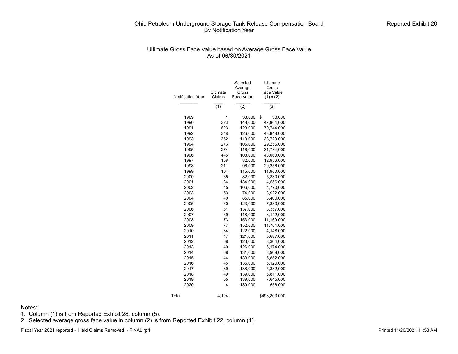#### Ultimate Gross Face Value based on Average Gross Face Value As of 06/30/2021

| Notification Year | Ultimate<br>Claims | Selected<br>Average<br>Gross<br>Face Value | Ultimate<br>Gross<br>Face Value<br>$(1) \times (2)$ |
|-------------------|--------------------|--------------------------------------------|-----------------------------------------------------|
|                   | (1)                | (2)                                        | (3)                                                 |
| 1989              | 1                  | 38,000                                     | \$<br>38,000                                        |
| 1990              | 323                | 148,000                                    | 47,804,000                                          |
| 1991              | 623                | 128,000                                    | 79,744,000                                          |
| 1992              | 348                | 126,000                                    | 43,848,000                                          |
| 1993              | 352                | 110,000                                    | 38,720,000                                          |
| 1994              | 276                | 106,000                                    | 29,256,000                                          |
| 1995              | 274                | 116,000                                    | 31,784,000                                          |
| 1996              | 445                | 108,000                                    | 48,060,000                                          |
| 1997              | 158                | 82,000                                     | 12,956,000                                          |
| 1998              | 211                | 96,000                                     | 20,256,000                                          |
| 1999              | 104                | 115,000                                    | 11,960,000                                          |
| 2000              | 65                 | 82,000                                     | 5,330,000                                           |
| 2001              | 34                 | 134,000                                    | 4,556,000                                           |
| 2002              | 45                 | 106,000                                    | 4,770,000                                           |
| 2003              | 53                 | 74,000                                     | 3,922,000                                           |
| 2004              | 40                 | 85,000                                     | 3,400,000                                           |
| 2005              | 60                 | 123,000                                    | 7,380,000                                           |
| 2006              | 61                 | 137,000                                    | 8,357,000                                           |
| 2007              | 69                 | 118,000                                    | 8,142,000                                           |
| 2008              | 73                 | 153,000                                    | 11,169,000                                          |
| 2009              | 77                 | 152,000                                    | 11,704,000                                          |
| 2010              | 34                 | 122,000                                    | 4,148,000                                           |
| 2011              | 47                 | 121,000                                    | 5,687,000                                           |
| 2012              | 68                 | 123,000                                    | 8,364,000                                           |
| 2013              | 49                 | 126,000                                    | 6,174,000                                           |
| 2014              | 68                 | 131,000                                    | 8,908,000                                           |
| 2015              | 44                 | 133,000                                    | 5,852,000                                           |
| 2016              | 45                 | 136,000                                    | 6,120,000                                           |
| 2017              | 39                 | 138,000                                    | 5,382,000                                           |
| 2018              | 49                 | 139,000                                    | 6,811,000                                           |
| 2019              | 55                 | 139,000                                    | 7,645,000                                           |
| 2020              | 4                  | 139,000                                    | 556,000                                             |
| Total             | 4,194              |                                            | \$498,803,000                                       |

Notes:

1. Column (1) is from Reported Exhibit 28, column (5).

2. Selected average gross face value in column (2) is from Reported Exhibit 22, column (4).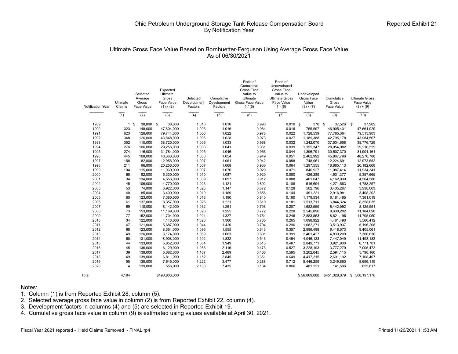## Ultimate Gross Face Value Based on Bornhuetter-Ferguson Using Average Gross Face Value As of 06/30/2021

| <b>Notification Year</b> | Ultimate<br>Claims | Selected<br>Average<br>Gross<br>Face Value | Expected<br>Ultimate<br>Gross<br>Face Value<br>$(1) \times (2)$ | Selected<br>Development<br>Factors | Cumulative<br>Development<br>Factors | Ratio of<br>Cumulative<br>Gross Face<br>Value to<br>Ultimate<br>Gross Face Value<br>1/(5) | Ratio of<br>Undeveloped<br>Gross Face<br>Value to<br><b>Ultimate Gross</b><br>Face Value<br>$1 - (6)$ | Undeveloped<br>Gross Face<br>Value<br>$(3) \times (7)$ | Cumulative<br>Gross<br>Face Value | <b>Ultimate Gross</b><br>Face Value<br>$(8) + (9)$ |
|--------------------------|--------------------|--------------------------------------------|-----------------------------------------------------------------|------------------------------------|--------------------------------------|-------------------------------------------------------------------------------------------|-------------------------------------------------------------------------------------------------------|--------------------------------------------------------|-----------------------------------|----------------------------------------------------|
|                          | $\overline{(1)}$   | (2)                                        | (3)                                                             | (4)                                | (5)                                  | (6)                                                                                       | (7)                                                                                                   | (8)                                                    | (9)                               | (10)                                               |
| 1989                     | $\mathbf{1}$       | \$<br>38,000                               | \$<br>38,000                                                    | 1.010                              | 1.010                                | 0.990                                                                                     | $0.010$ \$                                                                                            | 376                                                    | $$\mathbb{S}$$<br>37,526          | \$<br>37,902                                       |
| 1990                     | 323                | 148,000                                    | 47,804,000                                                      | 1.006                              | 1.016                                | 0.984                                                                                     | 0.016                                                                                                 | 755,597                                                | 46,905,431                        | 47,661,029                                         |
| 1991                     | 623                | 128,000                                    | 79,744,000                                                      | 1.006                              | 1.022                                | 0.978                                                                                     | 0.022                                                                                                 | 1,728,539                                              | 77,785,364                        | 79,513,903                                         |
| 1992                     | 348                | 126,000                                    | 43,848,000                                                      | 1.006                              | 1.028                                | 0.973                                                                                     | 0.027                                                                                                 | 1,189,388                                              | 42,795,178                        | 43,984,567                                         |
| 1993                     | 352                | 110,000                                    | 38,720,000                                                      | 1.005                              | 1.033                                | 0.968                                                                                     | 0.032                                                                                                 | 1,242,070                                              | 37,534,658                        | 38,776,729                                         |
| 1994                     | 276                | 106,000                                    | 29,256,000                                                      | 1.008                              | 1.041                                | 0.961                                                                                     | 0.039                                                                                                 | 1,155,347                                              | 28,054,982                        | 29,210,329                                         |
| 1995                     | 274                | 116,000                                    | 31,784,000                                                      | 1.005                              | 1.046                                | 0.956                                                                                     | 0.044                                                                                                 | 1,396,791                                              | 30,507,370                        | 31,904,161                                         |
| 1996                     | 445                | 108,000                                    | 48,060,000                                                      | 1.008                              | 1.054                                | 0.949                                                                                     | 0.051                                                                                                 | 2,462,992                                              | 45,807,796                        | 48,270,788                                         |
| 1997                     | 158                | 82,000                                     | 12,956,000                                                      | 1.007                              | 1.061                                | 0.942                                                                                     | 0.058                                                                                                 | 748,961                                                | 12,224,691                        | 12,973,652                                         |
| 1998                     | 211                | 96,000                                     | 20,256,000                                                      | 1.007                              | 1.068                                | 0.936                                                                                     | 0.064                                                                                                 | 1,297,555                                              | 18,885,113                        | 20,182,668                                         |
| 1999                     | 104                | 115,000                                    | 11,960,000                                                      | 1.007                              | 1.076                                | 0.929                                                                                     | 0.071                                                                                                 | 846,927                                                | 11,087,414                        | 11,934,341                                         |
| 2000                     | 65                 | 82,000                                     | 5,330,000                                                       | 1.010                              | 1.087                                | 0.920                                                                                     | 0.080                                                                                                 | 426,289                                                | 4,931,377                         | 5,357,665                                          |
| 2001                     | 34                 | 134.000                                    | 4,556,000                                                       | 1.009                              | 1.097                                | 0.912                                                                                     | 0.088                                                                                                 | 401,647                                                | 4,162,939                         | 4,564,586                                          |
| 2002                     | 45                 | 106,000                                    | 4,770,000                                                       | 1.023                              | 1.121                                | 0.892                                                                                     | 0.108                                                                                                 | 516,694                                                | 4,271,563                         | 4,788,257                                          |
| 2003                     | 53                 | 74,000                                     | 3,922,000                                                       | 1.023                              | 1.147                                | 0.872                                                                                     | 0.128                                                                                                 | 502,796                                                | 3,435,267                         | 3,938,063                                          |
| 2004                     | 40                 | 85,000                                     | 3,400,000                                                       | 1.019                              | 1.169                                | 0.856                                                                                     | 0.144                                                                                                 | 491,221                                                | 2,916,981                         | 3,408,202                                          |
| 2005                     | 60                 | 123.000                                    | 7,380,000                                                       | 1.018                              | 1.190                                | 0.840                                                                                     | 0.160                                                                                                 | 1,179,534                                              | 6,181,485                         | 7,361,019                                          |
| 2006                     | 61                 | 137,000                                    | 8,357,000                                                       | 1.026                              | 1.221                                | 0.819                                                                                     | 0.181                                                                                                 | 1,513,711                                              | 6,844,324                         | 8,358,035                                          |
| 2007                     | 69                 | 118,000                                    | 8,142,000                                                       | 1.032                              | 1.261                                | 0.793                                                                                     | 0.207                                                                                                 | 1,682,959                                              | 6,442,992                         | 8,125,951                                          |
| 2008                     | 73                 | 153,000                                    | 11,169,000                                                      | 1.028                              | 1.295                                | 0.772                                                                                     | 0.228                                                                                                 | 2,545,896                                              | 8,638,202                         | 11,184,098                                         |
| 2009                     | 77                 | 152,000                                    | 11,704,000                                                      | 1.024                              | 1.327                                | 0.754                                                                                     | 0.246                                                                                                 | 2,883,853                                              | 8,821,196                         | 11,705,050                                         |
| 2010                     | 34                 | 122,000                                    | 4,148,000                                                       | 1.025                              | 1.360                                | 0.735                                                                                     | 0.265                                                                                                 | 1,098,922                                              | 4,461,490                         | 5,560,412                                          |
| 2011                     | 47                 | 121,000                                    | 5,687,000                                                       | 1.044                              | 1.420                                | 0.704                                                                                     | 0.296                                                                                                 | 1,682,271                                              | 3,513,937                         | 5,196,208                                          |
| 2012                     | 68                 | 123.000                                    | 8,364,000                                                       | 1.095                              | 1.555                                | 0.643                                                                                     | 0.357                                                                                                 | 2,986,488                                              | 6,418,573                         | 9,405,061                                          |
| 2013                     | 49                 | 126,000                                    | 6,174,000                                                       | 1.069                              | 1.663                                | 0.601                                                                                     | 0.399                                                                                                 | 2,461,427                                              | 4,839,209                         | 7,300,636                                          |
| 2014                     | 68                 | 131,000                                    | 8,908,000                                                       | 1.102                              | 1.832                                | 0.546                                                                                     | 0.454                                                                                                 | 4,046,133                                              | 7,447,049                         | 11,493,182                                         |
| 2015                     | 44                 | 133.000                                    | 5,852,000                                                       | 1.064                              | 1.949                                | 0.513                                                                                     | 0.487                                                                                                 | 2,849,771                                              | 3,921,930                         | 6,771,701                                          |
| 2016                     | 45                 | 136,000                                    | 6,120,000                                                       | 1.086                              | 2.116                                | 0.473                                                                                     | 0.527                                                                                                 | 3,228,193                                              | 3,777,279                         | 7,005,472                                          |
| 2017                     | 39                 | 138,000                                    | 5,382,000                                                       | 1.167                              | 2.469                                | 0.405                                                                                     | 0.595                                                                                                 | 3,202,045                                              | 2,594,115                         | 5,796,160                                          |
| 2018                     | 49                 | 139,000                                    | 6,811,000                                                       | 1.152                              | 2.845                                | 0.351                                                                                     | 0.649                                                                                                 | 4,417,215                                              | 2,691,192                         | 7,108,407                                          |
| 2019                     | 55                 | 139,000                                    | 7,645,000                                                       | 1.222                              | 3.477                                | 0.288                                                                                     | 0.712                                                                                                 | 5,446,259                                              | 3,249,860                         | 8,696,119                                          |
| 2020                     | $\overline{4}$     | 139,000                                    | 556,000                                                         | 2.138                              | 7.435                                | 0.134                                                                                     | 0.866                                                                                                 | 481,221                                                | 141,596                           | 622,817                                            |
| Total                    | 4.194              |                                            | \$498,803,000                                                   |                                    |                                      |                                                                                           |                                                                                                       | \$56.869.088                                           | \$451,328,079                     | 508,197,170<br>\$                                  |

#### Notes:

1. Column (1) is from Reported Exhibit 28, column (5).

2. Selected average gross face value in column (2) is from Reported Exhibit 22, column (4).

3. Development factors in columns (4) and (5) are selected in Reported Exhibit 19.

4. Cumulative gross face value in column (9) is estimated using values available at April 30, 2021.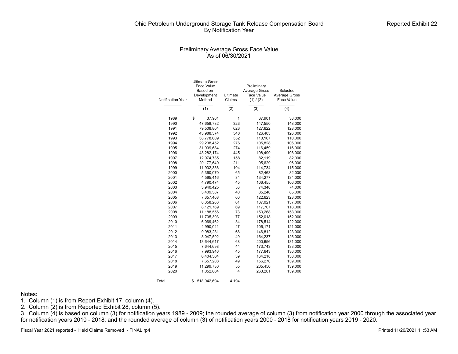## Preliminary Average Gross Face Value As of 06/30/2021

| <b>Notification Year</b> | <b>Ultimate Gross</b><br>Face Value<br>Based on<br>Development<br>Method | Ultimate<br>Claims | Preliminary<br><b>Average Gross</b><br>Face Value<br>(1) / (2) | Selected<br>Average Gross<br><b>Face Value</b> |
|--------------------------|--------------------------------------------------------------------------|--------------------|----------------------------------------------------------------|------------------------------------------------|
|                          | (1)                                                                      | $\overline{(2)}$   | (3)                                                            | (4)                                            |
| 1989                     | \$                                                                       | 37,901<br>1        | 37,901                                                         | 38,000                                         |
| 1990                     | 47,658,732                                                               | 323                | 147,550                                                        | 148,000                                        |
| 1991                     | 79,508,804                                                               | 623                | 127,622                                                        | 128,000                                        |
| 1992                     | 43,988,374                                                               | 348                | 126,403                                                        | 126,000                                        |
| 1993                     | 38,778,609                                                               | 352                | 110,167                                                        | 110,000                                        |
| 1994                     | 29,208,452                                                               | 276                | 105,828                                                        | 106,000                                        |
| 1995                     | 31,909,684                                                               | 274                | 116,459                                                        | 116,000                                        |
| 1996                     | 48,282,174                                                               | 445                | 108,499                                                        | 108,000                                        |
| 1997                     | 12,974,735                                                               | 158                | 82,119                                                         | 82,000                                         |
| 1998                     | 20,177,649                                                               | 211                | 95,629                                                         | 96,000                                         |
| 1999                     | 11,932,386                                                               | 104                | 114,734                                                        | 115,000                                        |
| 2000                     | 5,360,070                                                                | 65                 | 82,463                                                         | 82,000                                         |
| 2001                     | 4,565,416                                                                | 34                 | 134,277                                                        | 134,000                                        |
| 2002                     | 4,790,474                                                                | 45                 | 106,455                                                        | 106,000                                        |
| 2003                     | 3,940,425                                                                | 53                 | 74,348                                                         | 74,000                                         |
| 2004                     | 3,409,587                                                                | 40                 | 85,240                                                         | 85,000                                         |
| 2005                     | 7,357,408                                                                | 60                 | 122,623                                                        | 123,000                                        |
| 2006                     | 8,358,263                                                                | 61                 | 137,021                                                        | 137,000                                        |
| 2007                     | 8,121,769                                                                | 69                 | 117,707                                                        | 118,000                                        |
| 2008                     | 11,188,556                                                               | 73                 | 153,268                                                        | 153,000                                        |
| 2009                     | 11,705,393                                                               | 77                 | 152,018                                                        | 152,000                                        |
| 2010                     | 6,069,462                                                                | 34                 | 178,514                                                        | 122,000                                        |
| 2011                     | 4,990,041                                                                | 47                 | 106,171                                                        | 121,000                                        |
| 2012                     | 9,983,231                                                                | 68                 | 146,812                                                        | 123,000                                        |
| 2013                     | 8,047,592                                                                | 49                 | 164,237                                                        | 126,000                                        |
| 2014                     | 13,644,617                                                               | 68                 | 200,656                                                        | 131,000                                        |
| 2015                     | 7,644,698                                                                | 44                 | 173,743                                                        | 133,000                                        |
| 2016                     | 7,993,946                                                                | 45                 | 177,643                                                        | 136,000                                        |
| 2017                     | 6,404,504                                                                | 39                 | 164,218                                                        | 138,000                                        |
| 2018                     | 7,657,208                                                                | 49                 | 156,270                                                        | 139,000                                        |
| 2019                     | 11,299,730                                                               | 55                 | 205,450                                                        | 139,000                                        |
| 2020                     | 1,052,804                                                                | 4                  | 263,201                                                        | 139,000                                        |
| Total                    | \$<br>518,042,694                                                        | 4,194              |                                                                |                                                |

#### Notes:

1. Column (1) is from Report Exhibit 17, column (4).

2. Column  $(2)$  is from Reported Exhibit 28, column  $(5)$ .

3. Column (4) is based on column (3) for notification years 1989 - 2009; the rounded average of column (3) from notification year 2000 through the associated year for notification years 2010 - 2018; and the rounded average of column (3) of notification years 2000 - 2018 for notification years 2019 - 2020.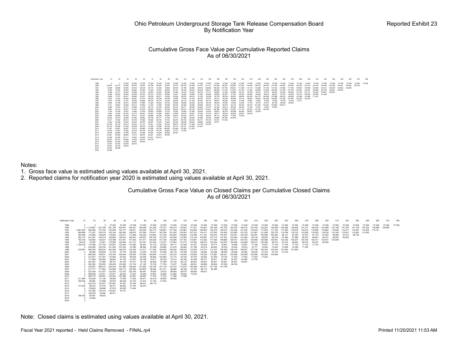#### Cumulative Gross Face Value per Cumulative Reported Claims As of 06/30/2021



Notes:

- 1. Gross face value is estimated using values available at April 30, 2021.
- 2. Reported claims for notification year 2020 is estimated using values available at April 30, 2021.

Cumulative Gross Face Value on Closed Claims per Cumulative Closed Claims As of 06/30/2021

Notification Year 12 24 36 48 60 72 84 96 108 120 132 144 156 168 180 192 204 216 228 240 252 264 276 288 300 312 324 336 348 360 372 384 1989 1990 1991 1992 1993 1994 1995 1996 1997 1998 1999 2000 2001 2002 2003 2004 2005 2006 2007 2008 2009 2010 2011 2012 2013 2014 2015 2016 2017 2018 2019 2020 0 0 37,526 37,526 37,526 37,526 37,526 37,526 37,526 37,526 37,526 37,526 37,526 37,526 37,526 37,526 37,526 37,526 37,526 37,526 37,526 37,526 37,526 37,526 37,526 37,526 37,526 37,526 37,526 37,526 37,526 37,526 37,526 3 0 1,719,867 447,796 261,196 225,461 189,341 185,069 181,055 178,701 185,614 179,542 177,301 178,841 165,199 161,765 160,784 156,013 153,224 149,289 150,298 140,599 140,377 146,035 144,468 142,199 141,784 141,109 140,324 139 2,691,824 368,289 173,755 144,948 143,177 138,971 144,558 140,773 149,657 147,166 143,563 140,646 136,563 132,279 128,513 123,392 121,325 119,432 117,653 117,565 117,365 116,075 116,068 116,062 115,839 115,471 115,335 115,4 969,609 171,937 190,379 163,184 165,285 159,675 157,294 170,611 163,796 161,932 152,004 147,915 134,411 127,052 124,390 123,893 122,125 121,861 121,069 120,703 119,188 118,132 118,505 118,292 116,185 116,185 115,492 115,537 483,058 119,096 125,826 118,650 123,817 117,649 142,293 133,804 131,330 130,205 124,663 116,498 111,237 104,915 103,327 103,321 102,746 102,041 100,998 100,395 98,131 97,294 97,610 97,179 97,055 96,986 97,013 96,752 852,170 241,081 152,914 155,826 156,033 168,047 149,027 146,754 137,479 130,509 115,064 114,140 105,987 103,715 101,547 103,402 101,864 99,105 98,090 98,519 97,569 97,985 98,397 96,661 96,031 95,693 95,693 163,730 135,906 133,027 132,496 151,841 141,093 141,471 144,526 137,799 130,366 127,165 114,661 113,263 111,090 108,696 108,757 104,703 103,659 103,606 102,851 103,336 104,207 104,192 104,211 103,441 103,046 85,915 76,392 97,851 170,568 150,484 141,101 127,347 123,349 113,877 112,553 110,773 110,384 108,073 105,244 104,870 104,626 103,668 100,512 100,298 98,370 97,419 96,644 96,610 96,437 96,209 1,184,478 174,486 147,729 123,807 123,636 112,082 98,281 87,134 83,328 80,711 81,069 81,631 80,234 78,773 76,891 76,085 76,291 77,160 74,591 71,724 71,724 71,724 71,724 71,724 0 232,069 156,784 141,242 107,322 91,285 88,262 87,939 83,682 81,970 82,683 81,786 82,219 80,803 78,532 78,525 76,812 74,771 74,645 73,453 73,095 72,048 71,252 478,881 549,350 295,634 253,028 148,279 120,454 111,517 111,002 109,362 106,362 108,223 112,002 114,313 114,147 109,469 108,416 106,837 107,746 105,335 104,235 101,893 101,893  $\begin{array}{cccccccc} 0&86.468&106.849&81.702&69.398&73.46&70.468&75.46&70.486&75.46&70.586&68.168&76.985&76.998&86.864&76.985&76.998&76.998&76.998&76.998&76.998&76.998&76.998&76.998&76.998&76.998&76.998&76.998&76.998&76.998&76.998&7$ 426,393 88,282 61,698 55,879 58,446 54,740 51,612 51,704 47,304  $\begin{array}{cccc} 0 & 223.72 & 132.027 & 103.861 & 87.081 & 81.542 & 68.521 & 66.718 \\ 137.834 & 88.472 & 67.470 & 65.271 & 56.604 & 47.375 & 46.247 \\ 0 & 176.600 & 96.666 & 87.879 & 83.652 & 71.642 \\ 0 & 197.065 & 118.419 & 102.051 & 79.157 \\ 0 & 197.065 &$ 

Note: Closed claims is estimated using values available at April 30, 2021.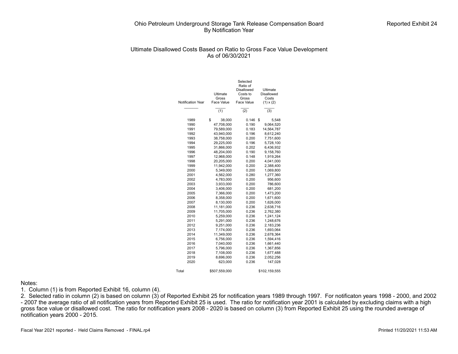## Ultimate Disallowed Costs Based on Ratio to Gross Face Value Development As of 06/30/2021

|                          |               | Selected                      |                   |
|--------------------------|---------------|-------------------------------|-------------------|
|                          |               | Ratio of<br><b>Disallowed</b> | Ultimate          |
|                          | Ultimate      | Costs to                      | <b>Disallowed</b> |
|                          | Gross         | Gross                         | Costs             |
| <b>Notification Year</b> | Face Value    | Face Value                    | $(1) \times (2)$  |
|                          |               |                               |                   |
|                          | (1)           | $\overline{(2)}$              | (3)               |
| 1989                     | \$<br>38,000  | 0.146                         | \$<br>5,548       |
| 1990                     | 47,708,000    | 0.190                         | 9,064,520         |
| 1991                     | 79,589,000    | 0.183                         | 14,564,787        |
| 1992                     | 43,940,000    | 0.196                         | 8,612,240         |
| 1993                     | 38,758,000    | 0.200                         | 7,751,600         |
| 1994                     | 29,225,000    | 0.196                         | 5,728,100         |
| 1995                     | 31,866,000    | 0.202                         | 6,436,932         |
| 1996                     | 48,204,000    | 0.190                         | 9,158,760         |
| 1997                     | 12,968,000    | 0.148                         | 1,919,264         |
| 1998                     | 20,205,000    | 0.200                         | 4,041,000         |
| 1999                     | 11,942,000    | 0.200                         | 2,388,400         |
| 2000                     | 5,349,000     | 0.200                         | 1,069,800         |
| 2001                     | 4,562,000     | 0.280                         | 1,277,360         |
| 2002                     | 4.783.000     | 0.200                         | 956.600           |
| 2003                     | 3.933.000     | 0.200                         | 786.600           |
| 2004                     | 3,406,000     | 0.200                         | 681,200           |
| 2005                     | 7,366,000     | 0.200                         | 1,473,200         |
| 2006                     | 8.358.000     | 0.200                         | 1,671,600         |
| 2007                     | 8,130,000     | 0.200                         | 1,626,000         |
| 2008                     | 11,181,000    | 0.236                         | 2,638,716         |
| 2009                     | 11,705,000    | 0.236                         | 2,762,380         |
| 2010                     | 5,259,000     | 0.236                         | 1,241,124         |
| 2011                     | 5,291,000     | 0.236                         | 1,248,676         |
| 2012                     | 9,251,000     | 0.236                         | 2,183,236         |
| 2013                     | 7,174,000     | 0.236                         | 1,693,064         |
| 2014                     | 11,349,000    | 0.236                         | 2,678,364         |
| 2015                     | 6,756,000     | 0.236                         | 1,594,416         |
| 2016                     | 7,040,000     | 0.236                         | 1,661,440         |
| 2017                     | 5,796,000     | 0.236                         | 1,367,856         |
| 2018                     | 7.108.000     | 0.236                         | 1,677,488         |
| 2019                     | 8,696,000     | 0.236                         | 2,052,256         |
| 2020                     | 623,000       | 0.236                         | 147,028           |
| Total                    | \$507,559,000 |                               | \$102,159,555     |

#### Notes:

1. Column (1) is from Reported Exhibit 16, column (4).

2. Selected ratio in column (2) is based on column (3) of Reported Exhibit 25 for notification years 1989 through 1997. For notificaton years 1998 - 2000, and 2002 - 2007 the average ratio of all notification years from Reported Exhibit 25 is used. The ratio for notification year 2001 is calculated by excluding claims with a high gross face value or disallowed cost. The ratio for notification years 2008 - 2020 is based on column (3) from Reported Exhibit 25 using the rounded average of notification years 2000 - 2015.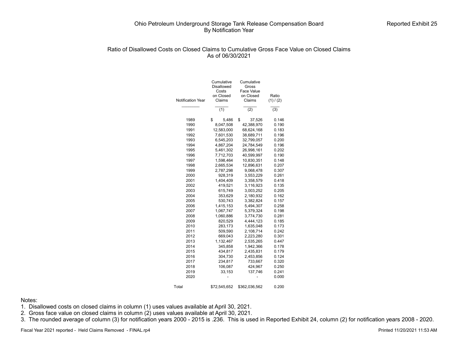# Ratio of Disallowed Costs on Closed Claims to Cumulative Gross Face Value on Closed Claims As of 06/30/2021

| <b>Notification Year</b> | Cumulative<br>Disallowed<br>Costs<br>on Closed<br>Claims | Cumulative<br>Gross<br>Face Value<br>on Closed<br>Claims | Ratio<br>(1) / (2) |  |  |
|--------------------------|----------------------------------------------------------|----------------------------------------------------------|--------------------|--|--|
|                          | $\overline{(1)}$                                         | (2)                                                      | (3)                |  |  |
| 1989                     | \$<br>5,486                                              | \$<br>37,526                                             | 0.146              |  |  |
| 1990                     | 8,047,508                                                | 42,388,970                                               | 0.190              |  |  |
| 1991                     | 12,583,000                                               | 68,624,168                                               | 0.183              |  |  |
| 1992                     | 7,601,530                                                | 38,689,711                                               | 0.196              |  |  |
| 1993                     | 6,545,203                                                | 32,799,057                                               | 0.200              |  |  |
| 1994                     | 4,867,204                                                | 24,784,549                                               | 0.196              |  |  |
| 1995                     | 5,461,302                                                | 26,998,161                                               | 0.202              |  |  |
| 1996                     | 7,712,703                                                | 40,599,997                                               | 0.190              |  |  |
| 1997                     | 1,598,464                                                | 10,830,351                                               | 0.148              |  |  |
| 1998                     | 2,665,534                                                | 12,896,631                                               | 0.207              |  |  |
| 1999                     | 2,787,298                                                | 9,068,478                                                | 0.307              |  |  |
| 2000                     | 928,319                                                  | 3,553,229                                                | 0.261              |  |  |
| 2001                     | 1,404,409                                                | 3,358,579                                                | 0.418              |  |  |
| 2002                     | 419,521                                                  | 3,116,923                                                | 0.135              |  |  |
| 2003                     | 615,749                                                  | 3,003,252                                                | 0.205              |  |  |
| 2004                     | 353,629                                                  | 2,180,932                                                | 0.162              |  |  |
| 2005                     | 530,743                                                  | 3,382,824                                                | 0.157              |  |  |
| 2006                     | 1,415,153                                                | 5,494,307                                                | 0.258              |  |  |
| 2007                     | 1,067,747                                                | 5,379,324                                                | 0.198              |  |  |
| 2008                     | 1,060,886                                                | 3,774,730                                                | 0.281              |  |  |
| 2009                     | 820,529                                                  | 4,444,123                                                | 0.185              |  |  |
| 2010                     | 283,173                                                  | 1,635,048                                                | 0.173              |  |  |
| 2011                     | 509,590                                                  | 2,108,714                                                | 0.242              |  |  |
| 2012                     | 669,043                                                  | 2,223,280                                                | 0.301              |  |  |
| 2013                     | 1,132,467                                                | 2,535,265                                                | 0.447              |  |  |
| 2014                     | 345,858                                                  | 1,942,366                                                | 0.178              |  |  |
| 2015                     | 434,817                                                  | 2,435,831                                                | 0.179              |  |  |
| 2016                     | 304,730                                                  | 2,453,856                                                | 0.124              |  |  |
| 2017                     | 234,817                                                  | 733,667                                                  | 0.320              |  |  |
| 2018                     | 106,087                                                  | 424,967                                                  | 0.250              |  |  |
| 2019                     | 33,153                                                   | 137,746                                                  | 0.241              |  |  |
| 2020                     |                                                          |                                                          | 0.000              |  |  |
| Total                    | \$72,545,652                                             | \$362,036,562                                            | 0.200              |  |  |

Notes:

1. Disallowed costs on closed claims in column (1) uses values available at April 30, 2021.

2. Gross face value on closed claims in column (2) uses values available at April 30, 2021.

3. The rounded average of column (3) for notification years 2000 - 2015 is .236. This is used in Reported Exhibit 24, column (2) for notification years 2008 - 2020.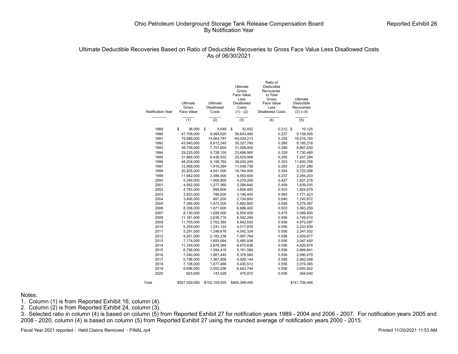## Ultimate Deductible Recoveries Based on Ratio of Deductible Recoveries to Gross Face Value Less Disallowed Costs As of 06/30/2021

|                   |               |                   | Ultimate<br>Gross<br>Face Value | Ratio of<br>Deductible<br>Recoveries<br>to Total |                  |
|-------------------|---------------|-------------------|---------------------------------|--------------------------------------------------|------------------|
|                   |               |                   | Less                            | Gross                                            | Ultimate         |
|                   | Ultimate      | Ultimate          | Disallowed                      | Face Value                                       | Deductible       |
|                   | Gross         | <b>Disallowed</b> | Costs                           | Less                                             | Recoveries       |
| Notification Year | Face Value    | Costs             | $(1) - (2)$                     | <b>Disallowed Costs</b>                          | $(3) \times (4)$ |
|                   | (1)           | (2)               | (3)                             | (4)                                              | (5)              |
| 1989              | \$<br>38,000  | \$<br>5,548       | \$<br>32,452                    | $0.312$ \$                                       | 10,125           |
| 1990              | 47,708,000    | 9,064,520         | 38,643,480                      | 0.237                                            | 9,158,505        |
| 1991              | 79,589,000    | 14,564,787        | 65,024,213                      | 0.254                                            | 16,516,150       |
| 1992              | 43,940,000    | 8,612,240         | 35,327,760                      | 0.260                                            | 9,185,218        |
| 1993              | 38,758,000    | 7,751,600         | 31,006,400                      | 0.286                                            | 8,867,830        |
| 1994              | 29,225,000    | 5,728,100         | 23,496,900                      | 0.329                                            | 7,730,480        |
| 1995              | 31,866,000    | 6,436,932         | 25,429,068                      | 0.285                                            | 7,247,284        |
| 1996              | 48,204,000    | 9,158,760         | 39,045,240                      | 0.303                                            | 11,830,708       |
| 1997              | 12,968,000    | 1,919,264         | 11,048,736                      | 0.293                                            | 3,237,280        |
| 1998              | 20,205,000    | 4,041,000         | 16,164,000                      | 0.354                                            | 5,722,056        |
| 1999              | 11,942,000    | 2,388,400         | 9,553,600                       | 0.237                                            | 2,264,203        |
| 2000              | 5,349,000     | 1,069,800         | 4,279,200                       | 0.427                                            | 1,827,218        |
| 2001              | 4,562,000     | 1,277,360         | 3,284,640                       | 0.499                                            | 1,639,035        |
| 2002              | 4,783,000     | 956,600           | 3,826,400                       | 0.503                                            | 1,924,679        |
| 2003              | 3,933,000     | 786,600           | 3,146,400                       | 0.563                                            | 1,771,423        |
| 2004              | 3,406,000     | 681,200           | 2,724,800                       | 0.640                                            | 1,743,872        |
| 2005              | 7,366,000     | 1,473,200         | 5,892,800                       | 0.556                                            | 3,276,397        |
| 2006              | 8,358,000     | 1,671,600         | 6,686,400                       | 0.503                                            | 3,363,259        |
| 2007              | 8,130,000     | 1,626,000         | 6,504,000                       | 0.475                                            | 3,089,400        |
| 2008              | 11,181,000    | 2,638,716         | 8,542,284                       | 0.556                                            | 4,749,510        |
| 2009              | 11,705,000    | 2,762,380         | 8,942,620                       | 0.556                                            | 4,972,097        |
| 2010              | 5,259,000     | 1,241,124         | 4,017,876                       | 0.556                                            | 2,233,939        |
| 2011              | 5,291,000     | 1,248,676         | 4,042,324                       | 0.556                                            | 2,247,532        |
| 2012              | 9,251,000     | 2,183,236         | 7,067,764                       | 0.556                                            | 3,929,677        |
| 2013              | 7,174,000     | 1,693,064         | 5,480,936                       | 0.556                                            | 3,047,400        |
| 2014              | 11,349,000    | 2,678,364         | 8,670,636                       | 0.556                                            | 4,820,874        |
| 2015              | 6,756,000     | 1,594,416         | 5,161,584                       | 0.556                                            | 2,869,841        |
| 2016              | 7,040,000     | 1,661,440         | 5,378,560                       | 0.556                                            | 2,990,479        |
| 2017              | 5,796,000     | 1,367,856         | 4,428,144                       | 0.556                                            | 2,462,048        |
| 2018              | 7,108,000     | 1,677,488         | 5,430,512                       | 0.556                                            | 3,019,365        |
| 2019              | 8,696,000     | 2,052,256         | 6,643,744                       | 0.556                                            | 3,693,922        |
| 2020              | 623,000       | 147,028           | 475,972                         | 0.556                                            | 264,640          |
| Total             | \$507,559,000 | \$102,159,555     | \$405,399,445                   |                                                  | \$141,706,446    |

Notes:

1. Column (1) is from Reported Exhibit 16, column (4).

2. Column (2) is from Reported Exhibit 24, column (3).

3. Selected ratio in column (4) is based on column (5) from Reported Exhibit 27 for notification years 1989 - 2004 and 2006 - 2007. For notification years 2005 and 2008 - 2020, column (4) is based on column (5) from Reported Exhibit 27 using the rounded average of notification years 2000 - 2015.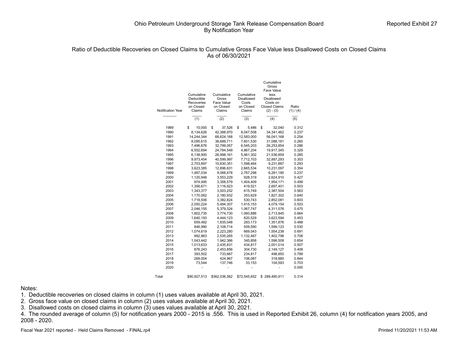#### Ratio of Deductible Recoveries on Closed Claims to Cumulative Gross Face Value less Disallowed Costs on Closed Claims As of 06/30/2021

|                   |              |               |                   | Cumulative<br>Gross  |           |
|-------------------|--------------|---------------|-------------------|----------------------|-----------|
|                   |              |               |                   | Face Value           |           |
|                   | Cumulative   | Cumulative    | Cumulative        | less                 |           |
|                   | Deductible   | Gross         | <b>Disallowed</b> | <b>Disallowed</b>    |           |
|                   | Recoveries   | Face Value    | Costs             | Costs on             |           |
|                   | on Closed    | on Closed     | on Closed         | <b>Closed Claims</b> | Ratio     |
| Notification Year | Claims       | Claims        | Claims            | $(2) - (3)$          | (1) / (4) |
|                   | (1)          | (2)           | (3)               | (4)                  | (5)       |
|                   |              |               |                   |                      |           |
| 1989              | \$<br>10,000 | \$<br>37,526  | \$<br>5,486       | \$<br>32,040         | 0.312     |
| 1990              | 8,134,626    | 42,388,970    | 8,047,508         | 34, 341, 462         | 0.237     |
| 1991              | 14,244,344   | 68,624,168    | 12,583,000        | 56,041,168           | 0.254     |
| 1992              | 8,095,615    | 38,689,711    | 7,601,530         | 31,088,181           | 0.260     |
| 1993              | 7,496,876    | 32,799,057    | 6,545,203         | 26,253,854           | 0.286     |
| 1994              | 6,552,694    | 24,784,549    | 4,867,204         | 19,917,345           | 0.329     |
| 1995              | 6,138,900    | 26,998,161    | 5,461,302         | 21,536,859           | 0.285     |
| 1996              | 9,973,454    | 40,599,997    | 7,712,703         | 32,887,293           | 0.303     |
| 1997              | 2.703.897    | 10.830.351    | 1,598,464         | 9,231,887            | 0.293     |
| 1998              | 3,623,385    | 12,896,631    | 2,665,534         | 10,231,097           | 0.354     |
| 1999              | 1,487,034    | 9,068,478     | 2,787,298         | 6,281,180            | 0.237     |
| 2000              | 1,120,948    | 3,553,229     | 928,319           | 2,624,910            | 0.427     |
| 2001              | 974,495      | 3,358,579     | 1,404,409         | 1,954,171            | 0.499     |
| 2002              | 1,356,671    | 3,116,923     | 419,521           | 2,697,401            | 0.503     |
| 2003              | 1,343,377    | 3,003,252     | 615,749           | 2,387,504            | 0.563     |
| 2004              | 1,170,062    | 2,180,932     | 353,629           | 1,827,302            | 0.640     |
| 2005              | 1,718,506    | 3,382,824     | 530,743           | 2,852,081            | 0.603     |
| 2006              | 2,050,224    | 5,494,307     | 1,415,153         | 4,079,154            | 0.503     |
| 2007              | 2,046,155    | 5,379,324     | 1,067,747         | 4,311,576            | 0.475     |
| 2008              | 1,802,735    | 3,774,730     | 1,060,886         | 2,713,845            | 0.664     |
| 2009              | 1,640,193    | 4,444,123     | 820,529           | 3,623,594            | 0.453     |
| 2010              | 659,482      | 1,635,048     | 283,173           | 1,351,876            | 0.488     |
| 2011              | 846,990      | 2,108,714     | 509,590           | 1,599,123            | 0.530     |
| 2012              | 1,074,619    | 2,223,280     | 669,043           | 1,554,238            | 0.691     |
| 2013              | 992,863      | 2,535,265     | 1,132,467         | 1,402,798            | 0.708     |
| 2014              | 1,043,442    | 1,942,366     | 345,858           | 1,596,508            | 0.654     |
| 2015              | 1,013,633    | 2,435,831     | 434,817           | 2,001,014            | 0.507     |
| 2016              | 876,243      | 2,453,856     | 304,730           | 2,149,127            | 0.408     |
| 2017              | 393,502      | 733,667       | 234,817           | 498,850              | 0.789     |
| 2018              | 269,004      | 424,967       | 106,087           | 318,880              | 0.844     |
| 2019              | 73,544       | 137,746       | 33,153            | 104,593              | 0.703     |
| 2020              |              |               |                   |                      | 0.000     |
| Total             | \$90,927,513 | \$362,036,562 | \$72,545,652      | 289,490,911<br>\$    | 0.314     |

#### Notes:

1. Deductible recoveries on closed claims in column (1) uses values available at April 30, 2021.

2. Gross face value on closed claims in column (2) uses values available at April 30, 2021.

3. Disallowed costs on closed claims in column (3) uses values available at April 30, 2021.

4. The rounded average of column (5) for notification years 2000 - 2015 is .556. This is used in Reported Exhibit 26, column (4) for notification years 2005, and 2008 - 2020.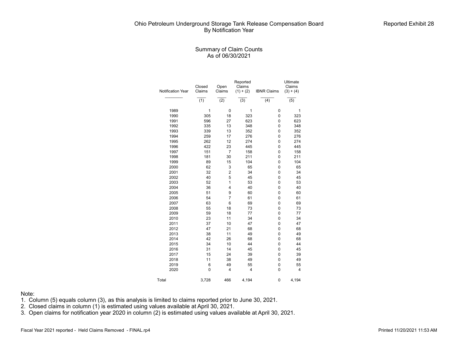## Summary of Claim Counts As of 06/30/2021

| Notification Year | Closed<br>Claims | Open<br>Claims          | Reported<br>Claims<br>$(1) + (2)$ | <b>IBNR Claims</b> | Ultimate<br>Claims<br>$(3) + (4)$ |
|-------------------|------------------|-------------------------|-----------------------------------|--------------------|-----------------------------------|
|                   | (1)              | $\overline{(2)}$        | $\overline{(3)}$                  | (4)                | $\overline{(5)}$                  |
| 1989              | $\mathbf{1}$     | $\mathbf 0$             | 1                                 | 0                  | 1                                 |
| 1990              | 305              | 18                      | 323                               | 0                  | 323                               |
| 1991              | 596              | 27                      | 623                               | 0                  | 623                               |
| 1992              | 335              | 13                      | 348                               | 0                  | 348                               |
| 1993              | 339              | 13                      | 352                               | 0                  | 352                               |
| 1994              | 259              | 17                      | 276                               | 0                  | 276                               |
| 1995              | 262              | 12                      | 274                               | 0                  | 274                               |
| 1996              | 422              | 23                      | 445                               | 0                  | 445                               |
| 1997              | 151              | $\overline{7}$          | 158                               | 0                  | 158                               |
| 1998              | 181              | 30                      | 211                               | 0                  | 211                               |
| 1999              | 89               | 15                      | 104                               | 0                  | 104                               |
| 2000              | 62               | 3                       | 65                                | 0                  | 65                                |
| 2001              | 32               | $\overline{\mathbf{c}}$ | 34                                | 0                  | 34                                |
| 2002              | 40               | 5                       | 45                                | 0                  | 45                                |
| 2003              | 52               | $\mathbf{1}$            | 53                                | 0                  | 53                                |
| 2004              | 36               | 4                       | 40                                | 0                  | 40                                |
| 2005              | 51               | 9                       | 60                                | 0                  | 60                                |
| 2006              | 54               | $\overline{7}$          | 61                                | 0                  | 61                                |
| 2007              | 63               | 6                       | 69                                | 0                  | 69                                |
| 2008              | 55               | 18                      | 73                                | 0                  | 73                                |
| 2009              | 59               | 18                      | 77                                | 0                  | 77                                |
| 2010              | 23               | 11                      | 34                                | 0                  | 34                                |
| 2011              | 37               | 10                      | 47                                | 0                  | 47                                |
| 2012              | 47               | 21                      | 68                                | 0                  | 68                                |
| 2013              | 38               | 11                      | 49                                | 0                  | 49                                |
| 2014              | 42               | 26                      | 68                                | 0                  | 68                                |
| 2015              | 34               | 10                      | 44                                | 0                  | 44                                |
| 2016              | 31               | 14                      | 45                                | 0                  | 45                                |
| 2017              | 15               | 24                      | 39                                | 0                  | 39                                |
| 2018              | 11               | 38                      | 49                                | 0                  | 49                                |
| 2019              | 6                | 49                      | 55                                | 0                  | 55                                |
| 2020              | 0                | 4                       | 4                                 | 0                  | 4                                 |
| Total             | 3,728            | 466                     | 4,194                             | 0                  | 4,194                             |

#### Note:

- 1. Column (5) equals column (3), as this analysis is limited to claims reported prior to June 30, 2021.
- 2. Closed claims in column (1) is estimated using values available at April 30, 2021.
- 3. Open claims for notification year 2020 in column (2) is estimated using values available at April 30, 2021.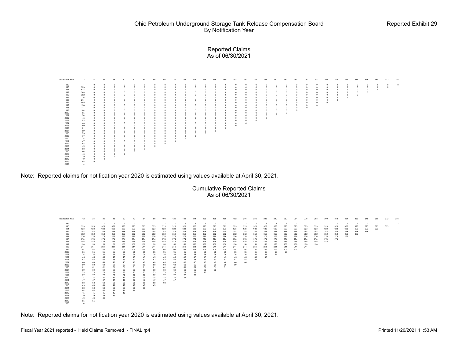#### Reported Claims As of 06/30/2021



Note: Reported claims for notification year 2020 is estimated using values available at April 30, 2021.

Cumulative Reported Claims As of 06/30/2021

| Notification Year | 12             | 24  | 36  | 48  | 60  | 72  | 84  | 96  | 108            | 120 | 132 | 144 | 156 | 168 | 180 | 192 | 204 | 216 | 228 | 240 | 252            | 264            | 276 | 288 | 300 | 312 | 324            | 336 | 348 | 360 | 372 | 384            |
|-------------------|----------------|-----|-----|-----|-----|-----|-----|-----|----------------|-----|-----|-----|-----|-----|-----|-----|-----|-----|-----|-----|----------------|----------------|-----|-----|-----|-----|----------------|-----|-----|-----|-----|----------------|
| 1989              | $\overline{1}$ |     |     |     |     |     |     |     | $\overline{1}$ |     |     |     |     |     |     |     |     | - 1 | - 1 |     | $\overline{1}$ | $\overline{1}$ |     |     |     |     | $\overline{1}$ |     | - 1 |     |     | $\overline{1}$ |
| 1990              | 323            | 323 | 323 | 323 | 323 | 323 | 323 | 323 | 323            | 323 | 323 | 323 | 323 | 323 | 323 | 323 | 323 | 323 | 323 | 323 | 323            | 323            | 323 | 323 | 323 | 323 | 323            | 323 | 323 | 323 | 323 |                |
| 1991              | 623            | 623 | 623 | 623 | 623 | 623 | 623 | 623 | 623            | 623 | 623 | 623 | 623 | 623 | 623 | 623 | 623 | 623 | 623 | 623 | 623            | 623            | 623 | 623 | 623 | 623 | 623            | 623 | 623 | 623 |     |                |
| 1992              | 348            | 348 | 348 | 348 | 348 | 348 | 348 | 348 | 348            | 348 | 348 | 348 | 348 | 348 | 348 | 348 | 348 | 348 | 348 | 348 | 348            | 348            | 348 | 348 | 348 | 348 | 348            | 348 | 348 |     |     |                |
| 1993              | 352            | 352 | 352 | 352 | 352 | 352 | 352 | 352 | 352            | 352 | 352 | 352 | 352 | 352 | 352 | 352 | 352 | 352 | 352 | 352 | 352            | 352            | 352 | 352 | 352 | 352 | 352            | 352 |     |     |     |                |
| 1994              | 276            | 276 | 276 | 276 | 276 | 276 | 276 | 276 | 276            | 276 | 276 | 276 | 276 | 276 | 276 | 276 | 276 | 276 | 276 | 276 | 276            | 276            | 276 | 276 | 276 | 276 | 276            |     |     |     |     |                |
| 1995              | 274            | 274 | 274 | 274 | 274 | 274 | 274 | 274 | 274            | 274 | 274 | 274 | 274 | 274 | 274 | 274 | 274 | 274 | 274 | 274 | 274            | 274            | 274 | 274 | 274 | 274 |                |     |     |     |     |                |
| 1996              | 445            | 445 | 445 | 445 | 445 | 445 | 445 | 445 | 445            | 445 | 445 | 445 | 445 | 445 | 445 | 445 | 445 | 445 | 445 | 445 | 445            | 445            | 445 | 445 | 445 |     |                |     |     |     |     |                |
| 1997              | 158            | 158 | 158 | 158 | 158 | 158 | 158 | 158 | 158            | 158 | 158 | 158 | 158 | 158 | 158 | 158 | 158 | 158 | 158 | 158 | 158            | 158            | 158 | 158 |     |     |                |     |     |     |     |                |
| 1998              | 211            | 211 | 211 | 211 | 211 | 211 | 211 | 211 | 211            | 211 | 211 | 211 | 211 | 211 | 211 | 211 | 211 | 211 | 211 | 211 | 211            | 211            | 211 |     |     |     |                |     |     |     |     |                |
| 1999              | 104            | 104 | 104 | 104 | 104 | 104 | 104 | 104 | 104            | 104 | 104 | 104 | 104 | 104 | 104 | 104 | 104 | 104 | 104 | 104 | 104            | 104            |     |     |     |     |                |     |     |     |     |                |
| 2000              | 65             | 65  | 65  | 65  | 65  | 65  | 65  | 65  | 65             | 65  | 65  | 65  | 65  | 65  | 65  | 65  | 65  | 65  | 65  | 65  | 65             |                |     |     |     |     |                |     |     |     |     |                |
| 2001              | 34             | 34  | 34  | 34  | 34  | 34  | 34  | 34  | 34             | 34  | 34  | 34  | 34  | 34  | 34  | 34  | 34  | 34  | 34  | 34  |                |                |     |     |     |     |                |     |     |     |     |                |
| 2002              | 45             | 45  | 45  | 45  | 45  | 45  | 45  | 45  | 45             | 45  | 45  | 45  | 45  | 45  | 45  | 45  | 45  | 45  | 45  |     |                |                |     |     |     |     |                |     |     |     |     |                |
| 2003              | 53             | 53  | 53  | 53  | 53  | 53  | 53  | 53  | 53             | 53  | 53  | 53  | 53  | 53  | 53  | 53  | 53  | 53  |     |     |                |                |     |     |     |     |                |     |     |     |     |                |
| 2004              | 40             | 40  | 40  | 40  | 40  | 40  | 40  | 40  | 40             | 40  | 40  | 40  | 40  | 40  | 40  | 40  | 40  |     |     |     |                |                |     |     |     |     |                |     |     |     |     |                |
| 2005              | 60             | 60  | 60  | 60  | 60  | 60  | 60  | 60  | 60             | 60  | 60  | 60  | 60  | 60  | 60  | 60  |     |     |     |     |                |                |     |     |     |     |                |     |     |     |     |                |
| 2006              | 61             | 61  | 61  | 61  | 61  | 61  | 61  | 61  | 61             | 61  | 61  | 61  | 61  | 61  | 61  |     |     |     |     |     |                |                |     |     |     |     |                |     |     |     |     |                |
| 2007              | 69             | 69  | 69  | 69  | 69  | 69  | 69  | 69  | 69             | 69  | 69  | 69  | 69  | 69  |     |     |     |     |     |     |                |                |     |     |     |     |                |     |     |     |     |                |
| 2008              | 73             | 73  | 73  | 73  | 73  | 73  | 73  | 73  | 73             | 73  | 73  | 73  | 73  |     |     |     |     |     |     |     |                |                |     |     |     |     |                |     |     |     |     |                |
| 2009              | 77             | 77  | 77  | 77  | 77  | 77  | 77  | 77  | 77             | 77  | 77  | 77  |     |     |     |     |     |     |     |     |                |                |     |     |     |     |                |     |     |     |     |                |
| 2010              | 34             | 34  | 34  | 34  | 34  | 34  | 34  | 34  | 34             | 34  | 34  |     |     |     |     |     |     |     |     |     |                |                |     |     |     |     |                |     |     |     |     |                |
| 2011              | 47             | 47  | 47  | 47  | 47  | 47  | 47  | 47  | 47             | 47  |     |     |     |     |     |     |     |     |     |     |                |                |     |     |     |     |                |     |     |     |     |                |
| 2012              | 68             | 68  | 68  | 68  | 68  | 68  | 68  | 68  | 68             |     |     |     |     |     |     |     |     |     |     |     |                |                |     |     |     |     |                |     |     |     |     |                |
| 2013              | 49             | 49  | 49  | 49  | 49  | 49  | 49  | 49  |                |     |     |     |     |     |     |     |     |     |     |     |                |                |     |     |     |     |                |     |     |     |     |                |
| 2014              | 68             | 68  | 68  | 68  | 68  | 68  | 68  |     |                |     |     |     |     |     |     |     |     |     |     |     |                |                |     |     |     |     |                |     |     |     |     |                |
| 2015              | 44             | 44  | 44  | 44  | 44  | 44  |     |     |                |     |     |     |     |     |     |     |     |     |     |     |                |                |     |     |     |     |                |     |     |     |     |                |
| 2016              | 45             | 45  | 45  | 45  | 45  |     |     |     |                |     |     |     |     |     |     |     |     |     |     |     |                |                |     |     |     |     |                |     |     |     |     |                |
| 2017              | 39             | 39  | 39  | 39  |     |     |     |     |                |     |     |     |     |     |     |     |     |     |     |     |                |                |     |     |     |     |                |     |     |     |     |                |
| 2018              | 49             | 49  | 49  |     |     |     |     |     |                |     |     |     |     |     |     |     |     |     |     |     |                |                |     |     |     |     |                |     |     |     |     |                |
| 2019              | 55             | 55  |     |     |     |     |     |     |                |     |     |     |     |     |     |     |     |     |     |     |                |                |     |     |     |     |                |     |     |     |     |                |
| 2020              |                |     |     |     |     |     |     |     |                |     |     |     |     |     |     |     |     |     |     |     |                |                |     |     |     |     |                |     |     |     |     |                |

Note: Reported claims for notification year 2020 is estimated using values available at April 30, 2021.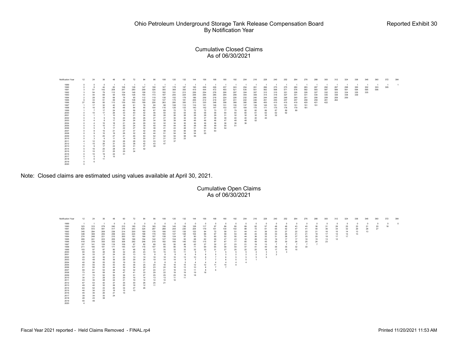#### Cumulative Closed Claims As of 06/30/2021

| Notification Year | 12             | 24         | 36           | 48  | 60  | 72  | 84      | 96              | 108 | 120    | 132 | 144        | 156    | 168 | 180 | 192 | 204    | 216 | 228 | 240            | 252 | 264 | 276 | 288 | 300 | 312 | 324 | 336 | 348 | 360            | 372 | 384 |
|-------------------|----------------|------------|--------------|-----|-----|-----|---------|-----------------|-----|--------|-----|------------|--------|-----|-----|-----|--------|-----|-----|----------------|-----|-----|-----|-----|-----|-----|-----|-----|-----|----------------|-----|-----|
| 1989              | $\circ$        | $^{\circ}$ | $^{\circ}$   |     |     |     | -1      |                 |     |        |     |            |        |     |     |     |        |     |     | $\overline{1}$ |     |     |     |     |     |     |     |     |     | $\overline{1}$ |     |     |
| 1990              | $^{\circ}$     |            | 44           | 83  | 108 | 138 | 147     | 158             | 167 | 178    | 187 | 195        | 206    | 226 | 237 | 243 | 254    | 261 | 266 | 275            | 275 | 280 | 283 | 287 | 292 | 297 | 298 | 300 | 302 | 303            | 305 |     |
| 1991              | 3              | 51         | 142          | 206 | 247 | 280 | 299     | 326             | 355 | 369    | 393 | 419        | 444    | 472 | 493 | 521 | 535    | 551 | 562 | 568            | 571 | 576 | 582 | 583 | 587 | 589 | 591 | 594 | 595 | 596            |     |     |
| 1992              | 3              | 54         | 79           | 112 | 134 | 148 | 158     | 172             | 182 | 191    | 213 | 226        | 254    | 276 | 290 | 297 | 304    | 307 | 312 | 315            | 321 | 326 | 326 | 327 | 332 | 333 | 334 | 335 | 335 |                |     |     |
| 1993              | $\sim$         | 44         | 68           | 94  | 109 | 128 | 154     | 173             | 187 | 205    | 224 | 248        | 264    | 285 | 294 | 299 | 304    | 309 | 314 | 318            | 327 | 331 | 331 | 334 | 335 | 338 | 338 | 339 |     |                |     |     |
| 1994              | $\overline{2}$ | 28         | 55           | 66  | 76  | 95  | 112     | 119             | 138 | 152    | 179 | 186        | 206    | 216 | 224 | 226 | 232    | 240 | 244 | 245            | 248 | 249 | 251 | 256 | 258 | 259 | 259 |     |     |                |     |     |
| 1995              | 9              | 33         | 51           | 69  | 94  | 108 | 120     | 132             | 147 | 170    | 181 | 206        | 212    | 219 | 227 | 231 | 242    | 246 | 251 | 255            | 257 | 257 | 258 | 259 | 261 | 262 |     |     |     |                |     |     |
| 1996              | 27             | 69         | 95           | 113 | 139 | 163 | 199     | 226             | 263 | 280    | 300 | 313        | 330    | 348 | 358 | 368 | 380    | 396 | 400 | 410            | 415 | 419 | 420 | 421 | 422 |     |     |     |     |                |     |     |
| 1997              |                | 17         | 32           | 42  | 49  | 61  | 76      | 90              | 98  | 108    | 112 | 116        | 121    | 126 | 131 | 135 | 137    | 139 | 145 | 151            | 151 | 151 | 151 | 151 |     |     |     |     |     |                |     |     |
| 1998              | $^{\circ}$     | 16         | 30           | 40  | 66  | 84  | 95      | 104             | 116 | 126    | 133 | 140        | 142    | 147 | 153 | 157 | 164    | 170 | 171 | 175            | 176 | 179 | 181 |     |     |     |     |     |     |                |     |     |
| 1999              |                | -7         | 17           | 24  | 43  | 56  | 62      | 67              | 69  | 72     | 72  | 72         | $72\,$ | 73  | 77  | 79  | 82     | 82  | 86  | 87             | 89  | 89  |     |     |     |     |     |     |     |                |     |     |
| 2000              | $^{\circ}$     | 10         | 17           | 26  | 33  | 40  | 42      | 46              | 50  | 52     | 54  | 56         | 58     | 58  | 60  | 60  | 60     | 61  | 62  | 62             | 62  |     |     |     |     |     |     |     |     |                |     |     |
| 2001              | $^{\circ}$     |            |              | 10  | 14  | 21  | 24      | ${\bf 26}$      | 26  | 26     | 28  | ${\bf 28}$ | 28     | 29  | 31  | 32  | $32\,$ | 32  | 32  | 32             |     |     |     |     |     |     |     |     |     |                |     |     |
| 2002              | $^{\circ}$     |            | 9            | 14  | 20  | 26  | 26      | 27              | 27  | 30     | 32  | 35         | 37     | 38  | 39  | 40  | 40     | 40  | 40  |                |     |     |     |     |     |     |     |     |     |                |     |     |
| 2003              |                |            | 8            | 17  | 24  | 24  | 29      | $34\,$          | 39  | 39     | 44  | 46         | 46     | 46  | 47  | 48  | 48     | 52  |     |                |     |     |     |     |     |     |     |     |     |                |     |     |
| 2004              | $^{\circ}$     |            | 15           | 18  | 21  | 24  | 29      | $32\,$          | 32  | 34     | 35  | 36         | 36     | 36  | 36  | 36  | 36     |     |     |                |     |     |     |     |     |     |     |     |     |                |     |     |
| 2005              | $^{\circ}$     |            | 15           | 17  | 20  | 24  | 35      | 40              | 44  | 44     | 45  | 48         | 48     | 49  | 50  | 51  |        |     |     |                |     |     |     |     |     |     |     |     |     |                |     |     |
| 2006              | $^{\circ}$     |            | 9            | 17  | 22  | 27  | 32      | 38              | 41  | 43     | 48  | 51         | 53     | 54  | 54  |     |        |     |     |                |     |     |     |     |     |     |     |     |     |                |     |     |
| 2007              | $^{\circ}$     |            | 15           | 21  | 27  | 37  | 42      | 45              | 48  | 53     | 56  | 58         | 61     | 63  |     |     |        |     |     |                |     |     |     |     |     |     |     |     |     |                |     |     |
| 2008              | $^{\circ}$     |            | 15           | 19  | 26  | 32  | 40      | 44              | 51  | 54     | 54  | 54         | 55     |     |     |     |        |     |     |                |     |     |     |     |     |     |     |     |     |                |     |     |
| 2009              | $^{\circ}$     | 5          | 25           | 27  | 41  | 46  | 50      | $52\,$          | 52  | 54     | 58  | 59         |        |     |     |     |        |     |     |                |     |     |     |     |     |     |     |     |     |                |     |     |
| 2010              | $^{\circ}$     |            | -6           | 11  | 14  | 18  | $20\,$  | 21              | 21  | $23\,$ | 23  |            |        |     |     |     |        |     |     |                |     |     |     |     |     |     |     |     |     |                |     |     |
| 2011              | $\mathbf{4}$   | 12         | 19           | 23  | 26  | 28  | $_{33}$ | $33\,$          | 37  | 37     |     |            |        |     |     |     |        |     |     |                |     |     |     |     |     |     |     |     |     |                |     |     |
| 2012              |                | 15         | 26           | 31  | 33  | 38  | 42      | $\frac{43}{38}$ | 47  |        |     |            |        |     |     |     |        |     |     |                |     |     |     |     |     |     |     |     |     |                |     |     |
| 2013              | $^{\circ}$     | 9          | 17           | 23  | 29  | 31  | 37      |                 |     |        |     |            |        |     |     |     |        |     |     |                |     |     |     |     |     |     |     |     |     |                |     |     |
| 2014              | -5             | 16         | 25           | 28  | 34  | 41  | 42      |                 |     |        |     |            |        |     |     |     |        |     |     |                |     |     |     |     |     |     |     |     |     |                |     |     |
| 2015              | $^{\circ}$     | 10         | 21           | 25  | 29  | 34  |         |                 |     |        |     |            |        |     |     |     |        |     |     |                |     |     |     |     |     |     |     |     |     |                |     |     |
| 2016              | $\circ$        | 10         | 19           | 24  | 31  |     |         |                 |     |        |     |            |        |     |     |     |        |     |     |                |     |     |     |     |     |     |     |     |     |                |     |     |
| 2017              | $^{\circ}$     | 5          | $\mathbf{Q}$ | 15  |     |     |         |                 |     |        |     |            |        |     |     |     |        |     |     |                |     |     |     |     |     |     |     |     |     |                |     |     |
| 2018              |                | 6          | 11           |     |     |     |         |                 |     |        |     |            |        |     |     |     |        |     |     |                |     |     |     |     |     |     |     |     |     |                |     |     |
| 2019              | $\Omega$       | 6          |              |     |     |     |         |                 |     |        |     |            |        |     |     |     |        |     |     |                |     |     |     |     |     |     |     |     |     |                |     |     |
| 2020              | $\Omega$       |            |              |     |     |     |         |                 |     |        |     |            |        |     |     |     |        |     |     |                |     |     |     |     |     |     |     |     |     |                |     |     |
|                   |                |            |              |     |     |     |         |                 |     |        |     |            |        |     |     |     |        |     |     |                |     |     |     |     |     |     |     |     |     |                |     |     |

Note: Closed claims are estimated using values available at April 30, 2021.

#### Cumulative Open Claims As of 06/30/2021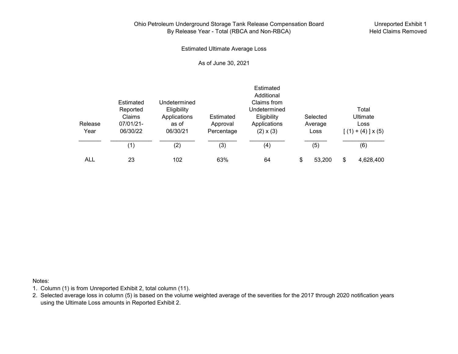# Ohio Petroleum Underground Storage Tank Release Compensation Board By Release Year - Total (RBCA and Non-RBCA)

Unreported Exhibit 1 Held Claims Removed

Estimated Ultimate Average Loss

As of June 30, 2021

|         |                       |                             |            | Estimated<br>Additional     |              |                          |
|---------|-----------------------|-----------------------------|------------|-----------------------------|--------------|--------------------------|
|         | Estimated<br>Reported | Undetermined<br>Eligibility |            | Claims from<br>Undetermined |              | Total                    |
|         | Claims                | Applications                | Estimated  | Eligibility                 | Selected     | <b>Ultimate</b>          |
| Release | 07/01/21-             | as of                       | Approval   | Applications                | Average      | Loss                     |
| Year    | 06/30/22              | 06/30/21                    | Percentage | $(2) \times (3)$            | Loss         | $[(1) + (4)] \times (5)$ |
|         | (1)                   | (2)                         | (3)        | (4)                         | (5)          | (6)                      |
| ALL     | 23                    | 102                         | 63%        | 64                          | \$<br>53,200 | \$<br>4,628,400          |

Notes:

- 1. Column (1) is from Unreported Exhibit 2, total column (11).
- 2. Selected average loss in column (5) is based on the volume weighted average of the severities for the 2017 through 2020 notification years using the Ultimate Loss amounts in Reported Exhibit 2.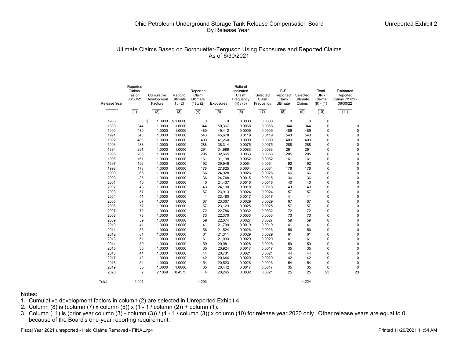## Ultimate Claims Based on Bornhuetter-Ferguson Using Exposures and Reported Claims As of 6/30/2021

| Release Year | Reported<br>Claims<br>as of<br>06/30/21 | Cumulative<br>Development<br>Factors | Ratio to<br>Ultimate<br>1/(2) | Reported<br>Claim<br>Ultimate<br>$(1) \times (2)$ | <b>Exposures</b> | Ratio of<br>Indicated<br>Claim<br>Frequency<br>(4) / (5) | Selected<br>Claim<br>Frequency | $B-F$<br>Reported<br>Claim<br>Ultimate | Selected<br>Ultimate<br>Claims | Total<br><b>IBNR</b><br>Claims<br>$(9) - (1)$ | Estimated<br>Reported<br>Claims 7/1/21 -<br>06/30/22 |
|--------------|-----------------------------------------|--------------------------------------|-------------------------------|---------------------------------------------------|------------------|----------------------------------------------------------|--------------------------------|----------------------------------------|--------------------------------|-----------------------------------------------|------------------------------------------------------|
|              | $\overline{(1)}$                        | (2)                                  | $\overline{(3)}$              | $\overline{(4)}$                                  | $\overline{(5)}$ | (6)                                                      | (7)                            | $\overline{(8)}$                       | $\overline{(9)}$               | (10)                                          | (11)                                                 |
| 1988         |                                         | 0 <sup>5</sup><br>1.0000             | \$1.0000                      | 0                                                 | 0                | 0.0000                                                   | 0.0000                         | 0                                      | 0                              | 0                                             |                                                      |
| 1989         | 344                                     | 1.0000                               | 1.0000                        | 344                                               | 50,367           | 0.0068                                                   | 0.0068                         | 344                                    | 344                            | 0                                             | 0                                                    |
| 1990         | 489                                     | 1.0000                               | 1.0000                        | 489                                               | 49,412           | 0.0099                                                   | 0.0099                         | 489                                    | 489                            | $\mathbf 0$                                   | 0                                                    |
| 1991         | 543                                     | 1.0000                               | 1.0000                        | 543                                               | 45,678           | 0.0119                                                   | 0.0119                         | 543                                    | 543                            | $\mathbf 0$                                   | $\Omega$                                             |
| 1992         | 409                                     | 1.0000                               | 1.0000                        | 409                                               | 41,260           | 0.0099                                                   | 0.0099                         | 409                                    | 409                            | 0                                             | $\Omega$                                             |
| 1993         | 288                                     | 1.0000                               | 1.0000                        | 288                                               | 38,314           | 0.0075                                                   | 0.0075                         | 288                                    | 288                            | 0                                             | $\Omega$                                             |
| 1994         | 291                                     | 1.0000                               | 1.0000                        | 291                                               | 34,989           | 0.0083                                                   | 0.0083                         | 291                                    | 291                            | 0                                             | 0                                                    |
| 1995         | 205                                     | 1.0000                               | 1.0000                        | 205                                               | 32,665           | 0.0063                                                   | 0.0063                         | 205                                    | 205                            | 0                                             | $\Omega$                                             |
| 1996         | 161                                     | 1.0000                               | 1.0000                        | 161                                               | 31,198           | 0.0052                                                   | 0.0052                         | 161                                    | 161                            | 0                                             | $\Omega$                                             |
| 1997         | 192                                     | 1.0000                               | 1.0000                        | 192                                               | 29,949           | 0.0064                                                   | 0.0064                         | 192                                    | 192                            | 0                                             | $\Omega$                                             |
| 1998         | 178                                     | 1.0000                               | 1.0000                        | 178                                               | 27,825           | 0.0064                                                   | 0.0064                         | 178                                    | 178                            | 0                                             | 0                                                    |
| 1999         | 66                                      | 1.0000                               | 1.0000                        | 66                                                | 24,928           | 0.0026                                                   | 0.0026                         | 66                                     | 66                             | 0                                             | $\Omega$                                             |
| 2000         | 36                                      | 1.0000                               | 1.0000                        | 36                                                | 24,748           | 0.0015                                                   | 0.0015                         | 36                                     | 36                             | 0                                             | $\Omega$                                             |
| 2001         | 40                                      | 1.0000                               | 1.0000                        | 40                                                | 24,437           | 0.0016                                                   | 0.0016                         | 40                                     | 40                             | 0                                             | $\Omega$                                             |
| 2002         | 43                                      | 1.0000                               | 1.0000                        | 43                                                | 24,190           | 0.0018                                                   | 0.0018                         | 43                                     | 43                             | 0                                             | $\Omega$                                             |
| 2003         | 57                                      | 1.0000                               | 1.0000                        | 57                                                | 23,913           | 0.0024                                                   | 0.0024                         | 57                                     | 57                             | 0                                             | $\Omega$                                             |
| 2004         | 41                                      | 1.0000                               | 1.0000                        | 41                                                | 23,480           | 0.0017                                                   | 0.0017                         | 41                                     | 41                             | 0                                             | $\Omega$                                             |
| 2005         | 67                                      | 1.0000                               | 1.0000                        | 67                                                | 23,367           | 0.0029                                                   | 0.0029                         | 67                                     | 67                             | 0                                             | $\Omega$                                             |
| 2006         | 57                                      | 1.0000                               | 1.0000                        | 57                                                | 23,123           | 0.0025                                                   | 0.0025                         | 57                                     | 57                             | 0                                             | $\Omega$                                             |
| 2007         | 72                                      | 1.0000                               | 1.0000                        | 72                                                | 22,786           | 0.0032                                                   | 0.0032                         | 72                                     | 72                             | 0                                             | $\Omega$                                             |
| 2008         | 73                                      | 1.0000                               | 1.0000                        | 73                                                | 22,370           | 0.0033                                                   | 0.0033                         | 73                                     | 73                             | $\mathbf 0$                                   | $\Omega$                                             |
| 2009         | 59                                      | 1.0000                               | 1.0000                        | 59                                                | 22,074           | 0.0027                                                   | 0.0027                         | 59                                     | 59                             | 0                                             | $\Omega$                                             |
| 2010         | 41                                      | 1.0000                               | 1.0000                        | 41                                                | 21,799           | 0.0019                                                   | 0.0019                         | 41                                     | 41                             | 0                                             | $\Omega$                                             |
| 2011         | 56                                      | 1.0000                               | 1.0000                        | 56                                                | 21,524           | 0.0026                                                   | 0.0026                         | 56                                     | 56                             | 0                                             | $\Omega$                                             |
| 2012         | 61                                      | 1.0000                               | 1.0000                        | 61                                                | 21,311           | 0.0029                                                   | 0.0029                         | 61                                     | 61                             | 0                                             | 0                                                    |
| 2013         | 61                                      | 1.0000                               | 1.0000                        | 61                                                | 21,093           | 0.0029                                                   | 0.0029                         | 61                                     | 61                             | 0                                             | $\Omega$                                             |
| 2014         | 59                                      | 1.0000                               | 1.0000                        | 59                                                | 20,981           | 0.0028                                                   | 0.0028                         | 59                                     | 59                             | 0                                             | $\Omega$                                             |
| 2015         | 35                                      | 1.0000                               | 1.0000                        | 35                                                | 20,924           | 0.0017                                                   | 0.0017                         | 35                                     | 35                             | 0                                             | $\Omega$                                             |
| 2016         | 44                                      | 1.0000                               | 1.0000                        | 44                                                | 20.731           | 0.0021                                                   | 0.0021                         | 44                                     | 44                             | 0                                             | 0                                                    |
| 2017         | 42                                      | 1.0000                               | 1.0000                        | 42                                                | 20,644           | 0.0020                                                   | 0.0020                         | 42                                     | 42                             | 0                                             | 0                                                    |
| 2018         | 54                                      | 1.0000                               | 1.0000                        | 54                                                | 20,523           | 0.0026                                                   | 0.0026                         | 54                                     | 54                             | 0                                             | 0                                                    |
| 2019         | 35                                      | 1.0000                               | 1.0000                        | 35                                                | 20,442           | 0.0017                                                   | 0.0017                         | 35                                     | 35                             | 0                                             | $\Omega$                                             |
| 2020         | $\overline{2}$                          | 2.1869                               | 0.4573                        | 4                                                 | 20,245           | 0.0002                                                   | 0.0021                         | 25                                     | 25                             | 23                                            | 23                                                   |
| Total        | 4.201                                   |                                      |                               | 4.203                                             |                  |                                                          |                                |                                        | 4.224                          |                                               |                                                      |

#### Notes:

- 1. Cumulative development factors in column (2) are selected in Unreported Exhibit 4.
- 2. Column (8) is (column (7) x column (5)) x (1 1 / column (2)) + column (1).
- 3. Column (11) is (prior year column (3) column (3)) / (1 1 / column (3)) x column (10) for release year 2020 only. Other release years are equal to 0 because of the Board's one-year reporting requirement.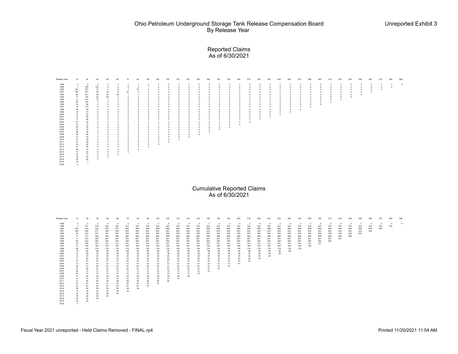### Reported Claims As of 6/30/2021

| Release Year<br>1988<br>1989<br>1990<br>1991<br>1992<br>1993<br>1994<br>1995                                                                                                                                                                                                        | 12<br>$\circ$<br>$\overline{1}$<br>163<br>198<br>92<br>${\bf 77}$<br>71                                                                                                                                                                                                                                            | 24<br>$\Omega$<br>160<br>270<br>$24\,1$<br>231<br>$\frac{144}{147}$                                                                                                                                                                                                     | 36<br>$\mathbf{0}$<br>155<br>10<br>38<br>28<br>$\bf 28$<br>72<br>$\mathbf{3}$                                                                                                                                                                                    | 48<br>$\overline{2}$<br>19<br>$\begin{array}{c} 20 \\ 39 \\ 1 \end{array}$                                                                                                                                                | 60<br>$\theta$<br>$\overline{4}$<br>6<br>8<br>36<br>$\circ$<br>$\theta$<br>$\Omega$                                                                                                                                        | 72<br>3<br>39                                                                                                                                                                                                 | $\bf{0}$<br>$\mathbf{4}$<br>35<br>$\Omega$<br>n                                                                                                                                                                                     | $^{\circ}$<br>$\Omega$                                                                                                                                                                                                        | 108<br>$\theta$<br>$^{\circ}$<br>$^{\circ}$<br>$\Omega$<br>$\theta$                                                                                                                     | 120<br>$^{\circ}$<br>$\Omega$<br>$\Omega$                                                                                                                                                                               | 132<br>$\theta$<br>$^{\circ}$<br>$^{\circ}$<br>$\Omega$<br>$\Omega$                                                                                                                                | 144<br>$^{\circ}$<br>$^{\circ}$<br>$\Omega$<br>$\Omega$                                                                                                                                            | 156<br>$\Omega$<br>$\circ$<br>$\circ$<br>$\circ$<br>$^{\circ}$                                                                                                    | 168<br>$\Omega$<br>$^{\circ}$<br>$\Omega$                                                                                                                                    | 180<br>$^{\circ}$<br>$^{\circ}$<br>$\Omega$<br>$\Omega$                                                                                             | 192<br>$^{\circ}$<br>$^{\circ}$<br>$\Omega$<br>$\circ$                                                                              | 204<br>$\circ$<br>$^{\circ}$<br>$\circ$<br>$^{\circ}$<br>$\circ$                                                                                                                 | 216<br>$\theta$<br>$^{\circ}$<br>$^{\circ}$<br>$\Omega$<br>$\circ$<br>$\Omega$                                             | 228<br>$\Omega$<br>$^{\circ}$<br>$^{\circ}$<br>$\theta$<br>$\circ$<br>$\Omega$                                | 240<br>$\circ$<br>$\circ$<br>$\mathbb O$<br>$\circ$<br>$\circ$<br>$\mathbf 0$<br>$\circ$<br>$\,$ 0 $\,$ | 252<br>$\ddot{\text{o}}$<br>$^{\circ}$<br>$\dot{\mathbf{0}}$<br>$\circ$<br>$\circ$<br>$\circ$<br>$\circ$ | 264<br>$^{\circ}$<br>$^{\circ}$<br>$\theta$<br>$\,$ 0<br>$\,$ 0<br>$\theta$<br>$\mathbf 0$                         | 276<br>$\circ$<br>$\circ$<br>$\circ$<br>$\circ$<br>$\mathbb O$<br>$\circ$<br>$\mathbf 0$    | 288<br>$\circ$<br>$^{\circ}$<br>$\mathbb O$<br>$\mathbb O$<br>$\mathbb O$<br>$\,0\,$<br>$\circ$ | 300<br>$\mathbf{0}$<br>$\circ$<br>$\mathbf 0$<br>$\,$ 0 $\,$<br>$\,$ 0 $\,$<br>$\,0\,$<br>$\circ$<br>$\,$ 0 $\,$ | 312<br>$\circ$<br>$\circ$<br>$\circ$<br>$\circ$<br>$\mathbb O$<br>$\mathbf 0$<br>$\circ$<br>$\Omega$ | 324<br>$\circ$<br>$\circ$<br>$\circ$<br>$\,$ 0<br>$\,$ 0<br>$\mathbb O$ | 336<br>$\circ$<br>$\,$ 0 $\,$<br>$\circ$<br>$\,$ 0 $\,$<br>$\,$ 0 $\,$<br>$\,$ 0 $\,$ | 348<br>$\theta$<br>$\begin{matrix} 0 \\ 0 \\ 0 \end{matrix}$ | 360<br>$\mathbb O$<br>$\begin{smallmatrix}0\\0\\0\\0\end{smallmatrix}$ | 372<br>$\,0\,$<br>$\begin{smallmatrix}0\\0\\0\end{smallmatrix}$ | 384<br>$\,0\,$<br>$\,$ 0     | 396<br>$\overline{0}$ |
|-------------------------------------------------------------------------------------------------------------------------------------------------------------------------------------------------------------------------------------------------------------------------------------|--------------------------------------------------------------------------------------------------------------------------------------------------------------------------------------------------------------------------------------------------------------------------------------------------------------------|-------------------------------------------------------------------------------------------------------------------------------------------------------------------------------------------------------------------------------------------------------------------------|------------------------------------------------------------------------------------------------------------------------------------------------------------------------------------------------------------------------------------------------------------------|---------------------------------------------------------------------------------------------------------------------------------------------------------------------------------------------------------------------------|----------------------------------------------------------------------------------------------------------------------------------------------------------------------------------------------------------------------------|---------------------------------------------------------------------------------------------------------------------------------------------------------------------------------------------------------------|-------------------------------------------------------------------------------------------------------------------------------------------------------------------------------------------------------------------------------------|-------------------------------------------------------------------------------------------------------------------------------------------------------------------------------------------------------------------------------|-----------------------------------------------------------------------------------------------------------------------------------------------------------------------------------------|-------------------------------------------------------------------------------------------------------------------------------------------------------------------------------------------------------------------------|----------------------------------------------------------------------------------------------------------------------------------------------------------------------------------------------------|----------------------------------------------------------------------------------------------------------------------------------------------------------------------------------------------------|-------------------------------------------------------------------------------------------------------------------------------------------------------------------|------------------------------------------------------------------------------------------------------------------------------------------------------------------------------|-----------------------------------------------------------------------------------------------------------------------------------------------------|-------------------------------------------------------------------------------------------------------------------------------------|----------------------------------------------------------------------------------------------------------------------------------------------------------------------------------|----------------------------------------------------------------------------------------------------------------------------|---------------------------------------------------------------------------------------------------------------|---------------------------------------------------------------------------------------------------------|----------------------------------------------------------------------------------------------------------|--------------------------------------------------------------------------------------------------------------------|---------------------------------------------------------------------------------------------|-------------------------------------------------------------------------------------------------|------------------------------------------------------------------------------------------------------------------|------------------------------------------------------------------------------------------------------|-------------------------------------------------------------------------|---------------------------------------------------------------------------------------|--------------------------------------------------------------|------------------------------------------------------------------------|-----------------------------------------------------------------|------------------------------|-----------------------|
| 1996<br>1997<br>1998<br>1999<br>2000<br>2001<br>2002<br>2003<br>2004<br>2005<br>2006<br>2007<br>2008<br>2009<br>2010<br>2011<br>2012<br>2013<br>2014<br>2015<br>2016<br>2017<br>2018<br>2019<br>2020                                                                                | 64<br>79<br>73<br>89<br>19<br>14<br>12<br>$17\,$<br>27<br>10<br>$rac{10}{29}$<br>36<br>36<br>41<br>$\frac{15}{21}$<br>33<br>$21\,$<br>28<br>13<br>23<br>18<br>25<br>32<br>$\overline{2}$                                                                                                                           | $\frac{138}{80}$<br>119<br>85<br>47<br>$22\,$<br>28<br>26<br>30<br>31<br>38<br>33<br>36<br>36<br>18<br>26<br>35<br>28<br>40<br>31<br>22<br>21<br>24<br>29                                                                                                               | $\Omega$<br>$\Omega$<br>$\Omega$<br>$^{\circ}$<br>$^{\circ}$<br>$\bf 0$<br>$^{\circ}$<br>$\circ$<br>$^{\circ}$<br>$^{\circ}$<br>$\mathbf{0}$                                                                                                                     | $\Omega$<br>$^{\circ}$<br>$\circ$<br>$\,0\,$<br>$\theta$<br>$\Omega$<br>$\circ$                                                                                                                                           | $\Omega$<br>$\circ$<br>$\theta$<br>$\theta$<br>$^{\circ}$<br>$\circ$<br>$\circ$<br>$\circ$<br>$\Omega$<br>$\Omega$<br>$\Omega$<br>$\theta$<br>$\circ$<br>$\circ$<br>$\circ$<br>$\circ$<br>$\theta$<br>$\Omega$<br>$\Omega$ | $\Omega$<br>$\Omega$<br>$\circ$<br>$\circ$                                                                                                                                                                    | n<br>$\Omega$<br>$\Omega$<br>$\bf{0}$<br>$\mathbf 0$<br>$\circ$                                                                                                                                                                     | $\Omega$<br>$\Omega$<br>$\Omega$                                                                                                                                                                                              | $\Omega$<br>$\Omega$<br>$\theta$                                                                                                                                                        | $\Omega$                                                                                                                                                                                                                | $^{\circ}$<br>$\Omega$<br>$\Omega$<br>$^{\circ}$<br>$\mathbf{0}$<br>$^{\circ}$<br>$^{\circ}$                                                                                                       | $\circ$<br>$\Omega$<br>$^{\circ}$                                                                                                                                                                  | $\theta$<br>$\circ$<br>$\circ$<br>$\circ$<br>$\circ$<br>$\Omega$                                                                                                  | $\theta$<br>$\circ$<br>$\Omega$<br>$\Omega$                                                                                                                                  | $\Omega$<br>$\mathbf 0$<br>$\mathbf 0$<br>$\Omega$                                                                                                  | $^{\circ}$<br>$^{\circ}$<br>$^{\circ}$<br>$\circ$<br>$\circ$<br>$\Omega$<br><b>Cumulative Reported Claims</b><br>As of 6/30/2021    | $\circ$<br>$\circ$<br>$\circ$<br>$\circ$<br>$\circ$<br>$\circ$<br>$\circ$                                                                                                        | $\theta$<br>$\circ$<br>$\circ$<br>$^{\circ}$<br>$\circ$<br>$\circ$                                                         | $\Omega$<br>$\bf{0}$<br>$\theta$<br>$\circ$<br>$\circ$<br>$\circ$                                             | $\,0\,$<br>$\mathbb O$<br>$\,0\,$<br>$\mathsf{o}\,$<br>$\circ$<br>$\circ$                               | $_{0}^{0}$<br>$\circ$<br>$\mathbf 0$<br>$\mathbf 0$<br>$\ddot{\mathbf{0}}$                               | $\theta$<br>$\mathbf 0$<br>$\Omega$                                                                                | 0<br>$\mathbb O$                                                                            | $\begin{smallmatrix}0\\0\\0\end{smallmatrix}$<br>$\circ$                                        |                                                                                                                  |                                                                                                      |                                                                         |                                                                                       |                                                              |                                                                        |                                                                 |                              |                       |
| Release Yea<br>1988<br>1989<br>1990<br>1991<br>1992<br>1993<br>1994<br>1995<br>1996<br>1997<br>1998<br>1999<br>2000<br>2001<br>2002<br>2003<br>2004<br>2005<br>2006<br>2007<br>2008<br>2009<br>2010<br>2011<br>2012<br>2013<br>2014<br>2015<br>2016<br>2017<br>2018<br>2019<br>2020 | 12<br>$\theta$<br>$\overline{1}$<br>163<br>$\begin{array}{c} 198 \\ 92 \\ 77 \\ 71 \end{array}$<br>64<br>79<br>73<br>89<br>19<br>14<br>12<br>17<br>$27\,$<br>10<br>29<br>23<br>36<br>36<br>41<br>15<br>21<br>$\begin{array}{c} 33 \\ 21 \end{array}$<br>28<br>13<br>$23$<br>$18$<br>$25$<br>$32$<br>$\overline{2}$ | $\bf 24$<br>$\Omega$<br>161<br>433<br>439<br>323<br>$\frac{221}{218}$<br>202<br>159<br>192<br>174<br>66<br>36<br>40<br>43<br>57<br>41<br>67<br>56<br>$\scriptstyle{72}$<br>$\scriptstyle{72}$<br>59<br>41<br>56<br>61<br>61<br>59<br>35<br>$44$<br>$42$<br>$54$<br>$35$ | 36<br>$\theta$<br>316<br>443<br>477<br>351<br>249<br>290<br>205<br>161<br>192<br>178<br>66<br>$36\,$<br>40<br>43<br>57<br>41<br>67<br>57<br>$\scriptstyle{72}$<br>$\bf 73$<br>59<br>41<br>56<br>61<br>$\mathbf{61}$<br>59<br>$35\,$<br>$44\,$<br>$\frac{42}{54}$ | 48<br>$\Omega$<br>320<br>445<br>496<br>371<br>288<br>291<br>205<br>161<br>192<br>178<br>66<br>36<br>36<br>40<br>43<br>57<br>41<br>67<br>57<br>72<br>73<br>59<br>41<br>56<br>61<br>61<br>59<br>59<br>35<br>$\frac{44}{42}$ | 60<br>$\overline{0}$<br>$324\,$<br>451<br>504<br>407<br>288<br>291<br>205<br>161<br>192<br>178<br>66<br>36<br>40<br>43<br>57<br>41<br>67<br>$\frac{57}{72}$<br>$\frac{73}{59}$<br>41<br>56<br>61<br>61<br>59<br>35<br>44   | ${\bf 72}$<br>$\Omega$<br>333<br>454<br>543<br>548<br>288<br>291<br>205<br>161<br>192<br>178<br>66<br>36<br>40<br>43<br>57<br>41<br>67<br>57<br>$72$<br>$73$<br>59<br>41<br>$\frac{56}{61}$<br>61<br>59<br>35 | 84<br>$\overline{\mathbf{0}}$<br>337<br>$\frac{489}{543}$<br>409<br>288<br>291<br>205<br>161<br>192<br>178<br>66<br>36<br>40<br>43<br>57<br>41<br>67<br>57<br>$\scriptstyle{72}$<br>$\sqrt{73}$<br>59<br>41<br>56<br>61<br>61<br>59 | 96<br>$\Omega$<br>344<br>489<br>543<br>409<br>288<br>291<br>205<br>161<br>192<br>$\frac{178}{66}$<br>$_{\rm 36}$<br>$\begin{array}{c} 40 \\ 43 \end{array}$<br>57<br>41<br>67<br>57<br>72<br>73<br>59<br>41<br>56<br>61<br>61 | 108<br>$\circ$<br>344<br>489<br>543<br>409<br>$\frac{288}{291}$<br>205<br>161<br>192<br>178<br>66<br>$36\,$<br>40<br>43<br>57<br>41<br>67<br>$57\,$<br>72<br>73<br>59<br>41<br>56<br>61 | 120<br>$\Omega$<br>344<br>489<br>543<br>409<br>288<br>291<br>205<br>161<br>192<br>$\frac{178}{66}$<br>36<br>40<br>43<br>57<br>41<br>67<br>$\frac{57}{72}$<br>$\frac{73}{59}$<br>$\begin{array}{c} 41 \\ 56 \end{array}$ | 132<br>$\sqrt{2}$<br>344<br>489<br>543<br>409<br>288<br>291<br>205<br>161<br>192<br>178<br>66<br>36<br>40<br>43<br>57<br>41<br>67<br>$57\,$<br>$\scriptstyle{72}$<br>$\boldsymbol{73}$<br>59<br>41 | 144<br>$\theta$<br>344<br>489<br>543<br>409<br>288<br>291<br>205<br>161<br>192<br>178<br>66<br>$36\,$<br>40<br>43<br>${\sf 57}$<br>41<br>67<br>$\begin{array}{c} 57 \\ 72 \\ 73 \end{array}$<br>59 | 156<br>$\Omega$<br>344<br>489<br>543<br>409<br>288<br>291<br>205<br>161<br>192<br>178<br>66<br>$_{36}$<br>40<br>43<br>$57\,$<br>$\frac{41}{67}$<br>57<br>72<br>73 | 168<br>$\sqrt{2}$<br>$\bf 344$<br>489<br>543<br>409<br>$\frac{288}{291}$<br>205<br>161<br>192<br>178<br>66<br>36<br>40<br>43<br>$\frac{57}{41}$<br>67<br>57<br>$\mathbf{72}$ | 180<br>$\theta$<br>344<br>489<br>543<br>409<br>$\frac{288}{291}$<br>205<br>161<br>$\frac{192}{178}$<br>66<br>36<br>40<br>43<br>57<br>41<br>67<br>57 | 192<br>$\Omega$<br>344<br>489<br>543<br>409<br>288<br>291<br>205<br>161<br>192<br>178<br>66<br>$36\,$<br>40<br>43<br>57<br>41<br>67 | 204<br>$\overline{0}$<br>$\bf 344$<br>489<br>543<br>409<br>288<br>291<br>205<br>161<br>192<br>178<br>66<br>$36\,$<br>$\begin{array}{c} 40 \\ 43 \end{array}$<br>${\bf 57}$<br>41 | 216<br>$\Omega$<br>344<br>489<br>543<br>409<br>$\frac{288}{291}$<br>205<br>161<br>192<br>178<br>66<br>36<br>40<br>43<br>57 | 228<br>$\theta$<br>344<br>489<br>543<br>409<br>288<br>291<br>205<br>161<br>192<br>178<br>66<br>66<br>40<br>43 | 240<br>$\Omega$<br>344<br>489<br>543<br>409<br>288<br>291<br>205<br>161<br>192<br>178<br>66<br>36<br>40 | 252<br>$\circ$<br>$\bf 344$<br>489<br>543<br>409<br>288<br>291<br>205<br>161<br>192<br>86<br>36          | 264<br>$\sqrt{2}$<br>344<br>489<br>543<br>543<br>409<br>288<br>291<br>51<br>51<br>51<br>51<br>51<br>51<br>52<br>66 | 276<br>$\circ$<br>344<br>489<br>543<br>543<br>409<br>288<br>291<br>205<br>161<br>192<br>178 | 288<br>$\circ$<br>$\bf 344$<br>489<br>543<br>543<br>409<br>288<br>291<br>205<br>161<br>192      | 300<br>$\overline{0}$<br>$_{\rm 344}$<br>489<br>543<br>$409$<br>$288$<br>$291$<br>205<br>161                     | 312<br>$^{\circ}$<br>344<br>489<br>543<br>409<br>288<br>291<br>205                                   | 324<br>$\theta$<br>344<br>489<br>543<br>409<br>288<br>291               | 336<br>$\Omega$<br>344<br>489<br>543<br>409<br>288                                    | 348<br>$\overline{0}$<br>344<br>489<br>543<br>409            | 360<br>$\,$ 0<br>344<br>489<br>543                                     | 372<br>$\sim$<br>$\frac{344}{489}$                              | 384<br>$\overline{0}$<br>344 | 396<br>$\theta$       |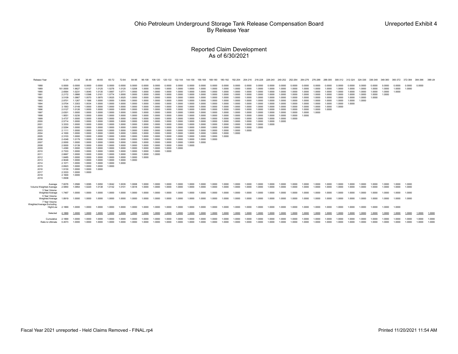#### Reported Claim Development As of 6/30/2021

| Release Year                                                                                                                                                                                                                                 | $12 - 24$                                                                                                                                                                                                                                                                                                  | 24-36                                                                                                                                                                                                                                                                                                    | 36-48                                                                                                                                                                                                                                                                                                    | 48-60                                                                                                                                                                                                                                                                                          | 60-72                                                                                                                                                                                                                                                                                | 72-84                                                                                                                                                                                                                                                                      | 84-96                                                                                                                                                                                                                                                            | 96-108                                                                                                                                                                                                                                                 | 108-120                                                                                                                                                                                                                                      | 120-132                                                                                                                                                                                                                            | 132-144                                                                                                                                                                                                                  | 144-156                                                                                                                                                                                                        | 156-168                                                                                                                                                                                              | 168-180                                                                                                                                                                                    | 180-192                                                                                                                                                                          |                                                                                                                                                                        | 192-204 204-216 216-228 228-240 240-252 252-264 264-276 276-288 288-300                                                                                      |                                                                                                                                                    |                                                                                                                                          |                                                                                                                                |                                                                                                                      |                                                                                                            |                                                                                                  |                                                                                        |                                                                              | 300-312 312-324 324-336 336-348                                    |                                                          |                                                | 348-360                              | 360-372                    | 372-384          | 384-396          | 396-U            |
|----------------------------------------------------------------------------------------------------------------------------------------------------------------------------------------------------------------------------------------------|------------------------------------------------------------------------------------------------------------------------------------------------------------------------------------------------------------------------------------------------------------------------------------------------------------|----------------------------------------------------------------------------------------------------------------------------------------------------------------------------------------------------------------------------------------------------------------------------------------------------------|----------------------------------------------------------------------------------------------------------------------------------------------------------------------------------------------------------------------------------------------------------------------------------------------------------|------------------------------------------------------------------------------------------------------------------------------------------------------------------------------------------------------------------------------------------------------------------------------------------------|--------------------------------------------------------------------------------------------------------------------------------------------------------------------------------------------------------------------------------------------------------------------------------------|----------------------------------------------------------------------------------------------------------------------------------------------------------------------------------------------------------------------------------------------------------------------------|------------------------------------------------------------------------------------------------------------------------------------------------------------------------------------------------------------------------------------------------------------------|--------------------------------------------------------------------------------------------------------------------------------------------------------------------------------------------------------------------------------------------------------|----------------------------------------------------------------------------------------------------------------------------------------------------------------------------------------------------------------------------------------------|------------------------------------------------------------------------------------------------------------------------------------------------------------------------------------------------------------------------------------|--------------------------------------------------------------------------------------------------------------------------------------------------------------------------------------------------------------------------|----------------------------------------------------------------------------------------------------------------------------------------------------------------------------------------------------------------|------------------------------------------------------------------------------------------------------------------------------------------------------------------------------------------------------|--------------------------------------------------------------------------------------------------------------------------------------------------------------------------------------------|----------------------------------------------------------------------------------------------------------------------------------------------------------------------------------|------------------------------------------------------------------------------------------------------------------------------------------------------------------------|--------------------------------------------------------------------------------------------------------------------------------------------------------------|----------------------------------------------------------------------------------------------------------------------------------------------------|------------------------------------------------------------------------------------------------------------------------------------------|--------------------------------------------------------------------------------------------------------------------------------|----------------------------------------------------------------------------------------------------------------------|------------------------------------------------------------------------------------------------------------|--------------------------------------------------------------------------------------------------|----------------------------------------------------------------------------------------|------------------------------------------------------------------------------|--------------------------------------------------------------------|----------------------------------------------------------|------------------------------------------------|--------------------------------------|----------------------------|------------------|------------------|------------------|
| 1988<br>1989<br>1990<br>1991<br>1992<br>1993<br>1994<br>1995<br>1996<br>1997<br>1998<br>1999<br>2000<br>2001<br>2002<br>2003<br>2004<br>2005<br>2006<br>2007<br>2008<br>2009<br>2010<br>2011<br>2012<br>2013<br>2014<br>2015<br>2016<br>2017 | 0.0000<br>161.0000<br>2.6564<br>2.2172<br>3.5109<br>2.8701<br>3.0704<br>3.1563<br>2.0127<br>2.6301<br>1.9551<br>3.4737<br>2.5714<br>3.3333<br>2.5294<br>2.1111<br>4.1000<br>2.3103<br>2.4348<br>2.0000<br>2,0000<br>1.4390<br>2.7333<br>2.6667<br>1.8485<br>2.9048<br>2.1071<br>2.6923<br>1.9130<br>2.3333 | 0.0000<br>1.9627<br>1.0231<br>1.0866<br>1.0867<br>1.1267<br>1.3303<br>1.0149<br>1.0126<br>1.0000<br>1.0230<br>1.0000<br>1.0000<br>1.0000<br>1.0000<br>1.0000<br>1.0000<br>1.0000<br>1.0179<br>1.0000<br>1.0139<br>1.0000<br>1.0000<br>1.0000<br>1.0000<br>1.0000<br>1.0000<br>1.0000<br>1.0000<br>1.0000 | 0.0000<br>1.0127<br>1.0045<br>1.0398<br>1.0570<br>1.1566<br>1.0034<br>1.0000<br>1.0000<br>1.0000<br>1.0000<br>1.0000<br>1.0000<br>1.0000<br>1.0000<br>1.0000<br>1.0000<br>1.0000<br>1.0000<br>1.0000<br>1.0000<br>1.0000<br>1.0000<br>1.0000<br>1.0000<br>1.0000<br>1.0000<br>1.0000<br>1.0000<br>1.0000 | 0.0000<br>1.0125<br>1.0135<br>1.0161<br>1.0970<br>1.0000<br>1.0000<br>1.0000<br>1.0000<br>1.0000<br>1.0000<br>1.0000<br>1.0000<br>1.0000<br>1.0000<br>1.0000<br>1.0000<br>1.0000<br>1.0000<br>1.0000<br>1.0000<br>1.0000<br>1.0000<br>1.0000<br>1.0000<br>1.0000<br>1.0000<br>1.0000<br>1.0000 | 0.0000<br>1.0278<br>1.0067<br>1.0774<br>1.0025<br>1.0000<br>1.0000<br>1.0000<br>1.0000<br>1.0000<br>1.0000<br>1.0000<br>1.0000<br>1.0000<br>1.0000<br>1.0000<br>1.0000<br>1.0000<br>1.0000<br>1.0000<br>1.0000<br>1.0000<br>1.0000<br>1.0000<br>1.0000<br>1.0000<br>1.0000<br>1.0000 | 0.0000<br>1.0120<br>1.0771<br>1.0000<br>1.0025<br>1.0000<br>1.0000<br>1.0000<br>1.0000<br>1.0000<br>1.0000<br>1.0000<br>1.0000<br>1.0000<br>1.0000<br>1.0000<br>1.0000<br>1.0000<br>1.0000<br>1.0000<br>1.0000<br>1.0000<br>1.0000<br>1.0000<br>1.0000<br>1.0000<br>1.0000 | 0.0000<br>1.0208<br>1.0000<br>1.0000<br>1.0000<br>1.0000<br>1.0000<br>1.0000<br>1.0000<br>1.0000<br>1.0000<br>1.0000<br>1.0000<br>1.0000<br>1.0000<br>1.0000<br>1.0000<br>1.0000<br>1.0000<br>1.0000<br>1.0000<br>1.0000<br>1.0000<br>1.0000<br>1.0000<br>1.0000 | 0.0000<br>1.0000<br>1.0000<br>1.0000<br>1.0000<br>1.0000<br>1.0000<br>1.0000<br>1.0000<br>1.0000<br>1.0000<br>1.0000<br>1.0000<br>1.0000<br>1.0000<br>1.0000<br>1.0000<br>1.0000<br>1.0000<br>1.0000<br>1.0000<br>1.0000<br>1.0000<br>1.0000<br>1.0000 | 0.0000<br>1.0000<br>1.0000<br>1.0000<br>1.0000<br>1.0000<br>1.0000<br>1.0000<br>1.0000<br>1.0000<br>1.0000<br>1.0000<br>1.0000<br>1.0000<br>1.0000<br>1.0000<br>1.0000<br>1.0000<br>1.0000<br>1.0000<br>1.0000<br>1.0000<br>1.0000<br>1.0000 | 0.0000<br>1.0000<br>1.0000<br>1.0000<br>1.0000<br>1.0000<br>1.0000<br>1.0000<br>1.0000<br>1.0000<br>1.0000<br>1.0000<br>1.0000<br>1.0000<br>1.0000<br>1.0000<br>1.0000<br>1.0000<br>1.0000<br>1.0000<br>1.0000<br>1.0000<br>1.0000 | 0.0000<br>1.0000<br>1.0000<br>1.0000<br>1.0000<br>1.0000<br>1.0000<br>1.0000<br>1.0000<br>1.0000<br>1.0000<br>1.0000<br>1.0000<br>1.0000<br>1.0000<br>1.0000<br>1.0000<br>1.0000<br>1.0000<br>1.0000<br>1.0000<br>1.0000 | 0.0000<br>1.0000<br>1.0000<br>1.0000<br>1.0000<br>1.0000<br>1.0000<br>1.0000<br>1.0000<br>1.0000<br>1.0000<br>1.0000<br>1.0000<br>1.0000<br>1.0000<br>1.0000<br>1.0000<br>1.0000<br>1.0000<br>1.0000<br>1.0000 | 0.0000<br>1.0000<br>1.0000<br>1.0000<br>1.0000<br>1.0000<br>1.0000<br>1.0000<br>1.0000<br>1.0000<br>1.0000<br>1.0000<br>1.0000<br>1.0000<br>1.0000<br>1.0000<br>1.0000<br>1.0000<br>1.0000<br>1.0000 | 0.0000<br>1.0000<br>1.0000<br>1.0000<br>1.0000<br>1.0000<br>1.0000<br>1.0000<br>1.0000<br>1.0000<br>1.0000<br>1.0000<br>1.0000<br>1.0000<br>1.0000<br>1.0000<br>1.0000<br>1.0000<br>1.0000 | 0.0000<br>1.0000<br>1.0000<br>1.0000<br>1.0000<br>1.0000<br>1.0000<br>1.0000<br>1.0000<br>1.0000<br>1.0000<br>1.0000<br>1.0000<br>1.0000<br>1.0000<br>1.0000<br>1.0000<br>1.0000 | 0.0000<br>1.0000<br>1.0000<br>1.0000<br>1.0000<br>1.0000<br>1.0000<br>1.0000<br>1.0000<br>1.0000<br>1.0000<br>1.0000<br>1.0000<br>1.0000<br>1.0000<br>1.0000<br>1.0000 | 0.0000<br>1.0000<br>1.0000<br>1.0000<br>1.0000<br>1.0000<br>1.0000<br>1.0000<br>1.0000<br>1.0000<br>1.0000<br>1.0000<br>1.0000<br>1.0000<br>1.0000<br>1.0000 | 0.0000<br>1.0000<br>1.0000<br>1.0000<br>1.0000<br>1.0000<br>1.0000<br>1.0000<br>1.0000<br>1.0000<br>1.0000<br>1.0000<br>1.0000<br>1.0000<br>1.0000 | 0.0000<br>1.0000<br>1.0000<br>1.0000<br>1.0000<br>1.0000<br>1.0000<br>1.0000<br>1.0000<br>1.0000<br>1.0000<br>1.0000<br>1.0000<br>1.0000 | 0.0000<br>1.0000<br>1.0000<br>1.0000<br>1.0000<br>1.0000<br>1.0000<br>1.0000<br>1.0000<br>1.0000<br>1.0000<br>1.0000<br>1,0000 | 0.0000<br>1.0000<br>1.0000<br>1.0000<br>1.0000<br>1.0000<br>1.0000<br>1.0000<br>1.0000<br>1.0000<br>1.0000<br>1.0000 | 0.0000<br>1.0000<br>1.0000<br>1.0000<br>1.0000<br>1.0000<br>1.0000<br>1.0000<br>1.0000<br>1.0000<br>1.0000 | 0.0000<br>1.0000<br>1.0000<br>1.0000<br>1.0000<br>1.0000<br>1.0000<br>1.0000<br>1.0000<br>1.0000 | 0.0000<br>1.0000<br>1.0000<br>1.0000<br>1.0000<br>1.0000<br>1.0000<br>1.0000<br>1.0000 | 0.0000<br>1.0000<br>1.0000<br>1.0000<br>1.0000<br>1.0000<br>1.0000<br>1.0000 | 0.0000<br>1.0000<br>1.0000<br>1.0000<br>1.0000<br>1.0000<br>1.0000 | 0.0000<br>1.0000<br>1.0000<br>1.0000<br>1.0000<br>1.0000 | 0.0000<br>1.0000<br>1.0000<br>1.0000<br>1.0000 | 0.0000<br>1.0000<br>1.0000<br>1.0000 | 0.0000<br>1.0000<br>1.0000 | 0.0000<br>1,0000 | 0.0000           |                  |
| 2018<br>2019                                                                                                                                                                                                                                 | 2.1600<br>1.0938                                                                                                                                                                                                                                                                                           | 1.0000                                                                                                                                                                                                                                                                                                   |                                                                                                                                                                                                                                                                                                          |                                                                                                                                                                                                                                                                                                |                                                                                                                                                                                                                                                                                      |                                                                                                                                                                                                                                                                            |                                                                                                                                                                                                                                                                  |                                                                                                                                                                                                                                                        |                                                                                                                                                                                                                                              |                                                                                                                                                                                                                                    |                                                                                                                                                                                                                          |                                                                                                                                                                                                                |                                                                                                                                                                                                      |                                                                                                                                                                                            |                                                                                                                                                                                  |                                                                                                                                                                        |                                                                                                                                                              |                                                                                                                                                    |                                                                                                                                          |                                                                                                                                |                                                                                                                      |                                                                                                            |                                                                                                  |                                                                                        |                                                                              |                                                                    |                                                          |                                                |                                      |                            |                  |                  |                  |
| Average<br>Volume Weighted Average<br>3 Year Volume                                                                                                                                                                                          | 7.6076<br>2.5850                                                                                                                                                                                                                                                                                           | 1.0566<br>1.0954                                                                                                                                                                                                                                                                                         | 1.0095<br>1.0220                                                                                                                                                                                                                                                                                         | 1.0050<br>1.0138                                                                                                                                                                                                                                                                               | 1.0042<br>1.0132                                                                                                                                                                                                                                                                     | 1.0035<br>1.0101                                                                                                                                                                                                                                                           | 1.0008<br>1.0018                                                                                                                                                                                                                                                 | 1.0000<br>1.0000                                                                                                                                                                                                                                       | 1.0000<br>1.0000                                                                                                                                                                                                                             | 1.0000<br>1.0000                                                                                                                                                                                                                   | 1.0000<br>1.0000                                                                                                                                                                                                         | 1.0000<br>1.0000                                                                                                                                                                                               | 1.0000<br>1.0000                                                                                                                                                                                     | 1.0000<br>1.0000                                                                                                                                                                           | 1.0000<br>1.0000                                                                                                                                                                 | 1.0000<br>1.0000                                                                                                                                                       | 1.0000<br>1.0000                                                                                                                                             | 1.0000<br>1.0000                                                                                                                                   | 1.0000<br>1.0000                                                                                                                         | 1.0000<br>1.0000                                                                                                               | 1.0000<br>1.0000                                                                                                     | 1.0000<br>1.0000                                                                                           | 1.0000<br>1.0000                                                                                 | 1.0000<br>1.0000                                                                       | 1.0000<br>1.0000                                                             | 1.0000<br>1.0000                                                   | 1.0000<br>1.0000                                         | 1.0000<br>1.0000                               | 1.0000<br>1.0000                     | 1.0000<br>1.0000           | 1.0000<br>1.0000 |                  |                  |
| Weighted Average<br>5 Year Volume<br>Weighted Average                                                                                                                                                                                        | 1.7467<br>1.8919                                                                                                                                                                                                                                                                                           | 1.0000<br>1.0000                                                                                                                                                                                                                                                                                         | 1.0000<br>1.0000                                                                                                                                                                                                                                                                                         | 1.0000<br>1.0000                                                                                                                                                                                                                                                                               | 1.0000<br>1.0000                                                                                                                                                                                                                                                                     | 1.0000<br>1.0000                                                                                                                                                                                                                                                           | 1.0000<br>1.0000                                                                                                                                                                                                                                                 | 1.0000<br>1.0000                                                                                                                                                                                                                                       | 1.0000<br>1.0000                                                                                                                                                                                                                             | 1.0000<br>1.0000                                                                                                                                                                                                                   | 1.0000<br>1.0000                                                                                                                                                                                                         | 1.0000<br>1.0000                                                                                                                                                                                               | 1.0000<br>1.0000                                                                                                                                                                                     | 1.0000<br>1.0000                                                                                                                                                                           | 1.0000<br>1.0000                                                                                                                                                                 | 1.0000<br>1.0000                                                                                                                                                       | 1.0000<br>1.0000                                                                                                                                             | 1.0000<br>1.0000                                                                                                                                   | 1.0000<br>1.0000                                                                                                                         | 1.0000<br>1.0000                                                                                                               | 1.0000<br>1.0000                                                                                                     | 1.0000<br>1.0000                                                                                           | 1.0000<br>1.0000                                                                                 | 1.0000<br>1.0000                                                                       | 1.0000<br>1.0000                                                             | 1.0000<br>1.0000                                                   | 1.0000<br>1.0000                                         | 1.0000<br>1.0000                               | 1.0000<br>1.0000                     | 1.0000<br>1.0000           | 1.0000<br>1.0000 |                  |                  |
| 7 Year Volume<br>Weighted Average Excluding<br>High/Low                                                                                                                                                                                      | 2.1869                                                                                                                                                                                                                                                                                                     | 1.0000                                                                                                                                                                                                                                                                                                   | 1.0000                                                                                                                                                                                                                                                                                                   | 1.0000                                                                                                                                                                                                                                                                                         | 1.0000                                                                                                                                                                                                                                                                               | 1,0000                                                                                                                                                                                                                                                                     | 1.0000                                                                                                                                                                                                                                                           | 1.0000                                                                                                                                                                                                                                                 | 1.0000                                                                                                                                                                                                                                       | 1.0000                                                                                                                                                                                                                             | 1.0000                                                                                                                                                                                                                   | 1.0000                                                                                                                                                                                                         | 1.0000                                                                                                                                                                                               | 1.0000                                                                                                                                                                                     | 1.0000                                                                                                                                                                           | 1.0000                                                                                                                                                                 | 1.0000                                                                                                                                                       | 1.0000                                                                                                                                             | 1.0000                                                                                                                                   | 1.0000                                                                                                                         | 1.0000                                                                                                               | 1.0000                                                                                                     | 1.0000                                                                                           | 1.0000                                                                                 | 1.0000                                                                       | 1.0000                                                             | 1.0000                                                   | 1.0000                                         | 1.0000                               | 1.0000                     |                  |                  |                  |
| Selected                                                                                                                                                                                                                                     | 2.1869                                                                                                                                                                                                                                                                                                     | 1.0000                                                                                                                                                                                                                                                                                                   | 1.0000                                                                                                                                                                                                                                                                                                   | 1.0000                                                                                                                                                                                                                                                                                         | 1.0000                                                                                                                                                                                                                                                                               | 1.0000                                                                                                                                                                                                                                                                     | 1.0000                                                                                                                                                                                                                                                           | 1.0000                                                                                                                                                                                                                                                 | 1.0000                                                                                                                                                                                                                                       | 1.0000                                                                                                                                                                                                                             | 1.0000                                                                                                                                                                                                                   | 1.0000                                                                                                                                                                                                         | 1.0000                                                                                                                                                                                               | 1.0000                                                                                                                                                                                     | 1.0000                                                                                                                                                                           | 1.0000                                                                                                                                                                 | 1.0000                                                                                                                                                       | 1.0000                                                                                                                                             | 1.0000                                                                                                                                   | 1.0000                                                                                                                         | 1.0000                                                                                                               | 1.0000                                                                                                     | 1.0000                                                                                           | 1.0000                                                                                 | 1.0000                                                                       | 1.0000                                                             | 1.0000                                                   | 1.0000                                         | 1.0000                               | 1.0000                     | 1.0000           | 1.0000           | 1.000            |
| Cumulative<br>Ratio to Ultimate                                                                                                                                                                                                              | 2.1869<br>0.4573                                                                                                                                                                                                                                                                                           | 1.0000<br>1.0000                                                                                                                                                                                                                                                                                         | 1.0000<br>1.0000                                                                                                                                                                                                                                                                                         | 1.0000<br>1.0000                                                                                                                                                                                                                                                                               | 1.0000<br>1.0000                                                                                                                                                                                                                                                                     | 1.0000<br>1.0000                                                                                                                                                                                                                                                           | 1.0000<br>1.0000                                                                                                                                                                                                                                                 | 1.0000<br>1.0000                                                                                                                                                                                                                                       | 1.0000<br>1.0000                                                                                                                                                                                                                             | 1.0000<br>1.0000                                                                                                                                                                                                                   | 1.0000<br>1.0000                                                                                                                                                                                                         | 1.0000<br>1.0000                                                                                                                                                                                               | 1.0000<br>1.0000                                                                                                                                                                                     | 1.0000<br>1.0000                                                                                                                                                                           | 1.0000<br>1.0000                                                                                                                                                                 | 1.0000<br>1.0000                                                                                                                                                       | 1.0000<br>1.0000                                                                                                                                             | 1.0000<br>1.0000                                                                                                                                   | 1.0000<br>1.0000                                                                                                                         | 1.0000<br>1.0000                                                                                                               | 1.0000<br>1.0000                                                                                                     | 1.0000<br>1.0000                                                                                           | 1.0000<br>1.0000                                                                                 | 1.0000<br>1.0000                                                                       | 1.0000<br>1.0000                                                             | 1.0000<br>1.0000                                                   | 1.0000<br>1.0000                                         | 1.0000<br>1.0000                               | 1.0000<br>1.0000                     | 1.0000<br>1.0000           | 1.0000<br>1.0000 | 1.0000<br>1.0000 | 1.0000<br>1.0000 |